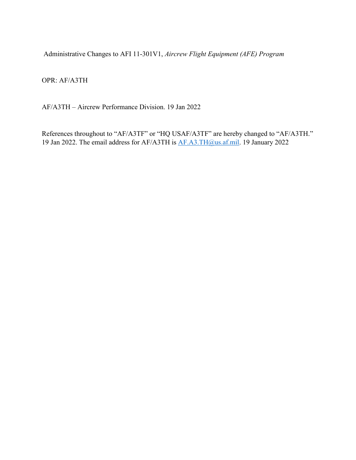Administrative Changes to AFI 11-301V1, *Aircrew Flight Equipment (AFE) Program*

OPR: AF/A3TH

AF/A3TH – Aircrew Performa[nce Division. 19](mailto:usaf.pentagon.af-a3.mbx.aircrew-crisis-task-force1@mail.mil) Jan 2022

References throughout to "AF/A3TF" or "HQ USAF/A3TF" are hereby changed to "AF/A3TH." 19 Jan 2022. The email address for AF/A3TH is AF.A3.TH@us.af.mil. 19 January 2022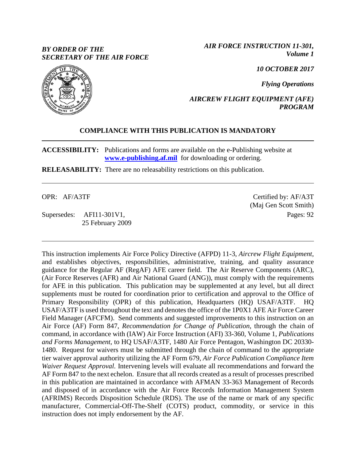## *BY ORDER OF THE SECRETARY OF THE AIR FORCE*

*AIR FORCE INSTRUCTION 11-301, Volume 1*

*10 OCTOBER 2017*

*Flying Operations*

*AIRCREW FLIGHT EQUIPMENT (AFE) PROGRAM*

## **COMPLIANCE WITH THIS PUBLICATION IS MANDATORY**

**ACCESSIBILITY:** Publications and forms are available on the e-Publishing website at **[www.e-publishing.af.mil](http://www.e-publishing.af.mil/)** for downloading or ordering.

**RELEASABILITY:** There are no releasability restrictions on this publication.

OPR: AF/A3TF

Supersedes: AFI11-301V1, 25 February 2009

Certified by: AF/A3T (Maj Gen Scott Smith) Pages: 92

This instruction implements Air Force Policy Directive (AFPD) 11-3, *Aircrew Flight Equipment*, and establishes objectives, responsibilities, administrative, training, and quality assurance guidance for the Regular AF (RegAF) AFE career field. The Air Reserve Components (ARC), (Air Force Reserves (AFR) and Air National Guard (ANG)), must comply with the requirements for AFE in this publication. This publication may be supplemented at any level, but all direct supplements must be routed for coordination prior to certification and approval to the Office of Primary Responsibility (OPR) of this publication, Headquarters (HQ) USAF/A3TF. HQ USAF/A3TF is used throughout the text and denotes the office of the 1P0X1 AFE Air Force Career Field Manager (AFCFM). Send comments and suggested improvements to this instruction on an Air Force (AF) Form 847, *Recommendation for Change of Publication*, through the chain of command, in accordance with (IAW) Air Force Instruction (AFI) 33-360, Volume 1, *Publications and Forms Management*, to HQ USAF/A3TF, 1480 Air Force Pentagon, Washington DC 20330- 1480. Request for waivers must be submitted through the chain of command to the appropriate tier waiver approval authority utilizing the AF Form 679, *Air Force Publication Compliance Item Waiver Request Approval.* Intervening levels will evaluate all recommendations and forward the AF Form 847 to the next echelon. Ensure that all records created as a result of processes prescribed in this publication are maintained in accordance with AFMAN 33-363 Management of Records and disposed of in accordance with the Air Force Records Information Management System (AFRIMS) Records Disposition Schedule (RDS). The use of the name or mark of any specific manufacturer, Commercial-Off-The-Shelf (COTS) product, commodity, or service in this instruction does not imply endorsement by the AF.

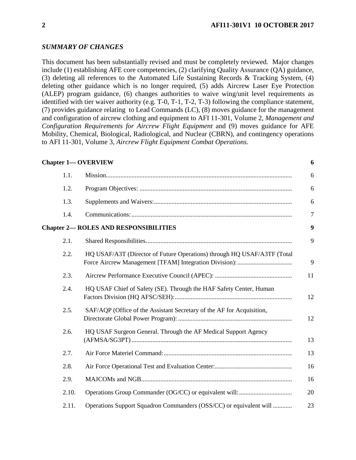#### *SUMMARY OF CHANGES*

This document has been substantially revised and must be completely reviewed. Major changes include (1) establishing AFE core competencies, (2) clarifying Quality Assurance (QA) guidance, (3) deleting all references to the Automated Life Sustaining Records & Tracking System, (4) deleting other guidance which is no longer required, (5) adds Aircrew Laser Eye Protection (ALEP) program guidance, (6) changes authorities to waive wing/unit level requirements as identified with tier waiver authority (e.g. T-0, T-1, T-2, T-3) following the compliance statement, (7) provides guidance relating to Lead Commands (LC), (8) moves guidance for the management and configuration of aircrew clothing and equipment to AFI 11-301, Volume 2, *Management and Configuration Requirements for Aircrew Flight Equipment* and (9) moves guidance for AFE Mobility, Chemical, Biological, Radiological, and Nuclear (CBRN), and contingency operations to AFI 11-301, Volume 3, *Aircrew Flight Equipment Combat Operations*.

|       | <b>Chapter 1-OVERVIEW</b>                                               | 6              |
|-------|-------------------------------------------------------------------------|----------------|
| 1.1.  |                                                                         | 6              |
| 1.2.  |                                                                         | 6              |
| 1.3.  |                                                                         | 6              |
| 1.4.  |                                                                         | $\overline{7}$ |
|       | <b>Chapter 2- ROLES AND RESPONSIBILITIES</b>                            | 9              |
| 2.1.  |                                                                         | 9              |
| 2.2.  | HQ USAF/A3T (Director of Future Operations) through HQ USAF/A3TF (Total | 9              |
| 2.3.  |                                                                         | 11             |
| 2.4.  | HQ USAF Chief of Safety (SE). Through the HAF Safety Center, Human      | 12             |
| 2.5.  | SAF/AQP (Office of the Assistant Secretary of the AF for Acquisition,   | 12             |
| 2.6.  | HQ USAF Surgeon General. Through the AF Medical Support Agency          | 13             |
| 2.7.  |                                                                         | 13             |
| 2.8.  |                                                                         | 16             |
| 2.9.  |                                                                         | 16             |
| 2.10. |                                                                         | 20             |
| 2.11. | Operations Support Squadron Commanders (OSS/CC) or equivalent will      | 23             |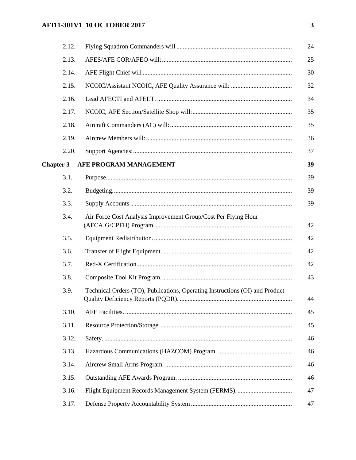## **AFI11-301V1 10 OCTOBER 2017**

| 2.12. |                                                                              | 24 |
|-------|------------------------------------------------------------------------------|----|
| 2.13. |                                                                              | 25 |
| 2.14. |                                                                              | 30 |
| 2.15. |                                                                              | 32 |
| 2.16. |                                                                              | 34 |
| 2.17. |                                                                              | 35 |
| 2.18. |                                                                              | 35 |
| 2.19. |                                                                              | 36 |
| 2.20. |                                                                              | 37 |
|       | <b>Chapter 3— AFE PROGRAM MANAGEMENT</b>                                     | 39 |
| 3.1.  |                                                                              | 39 |
| 3.2.  |                                                                              | 39 |
| 3.3.  |                                                                              | 39 |
| 3.4.  | Air Force Cost Analysis Improvement Group/Cost Per Flying Hour               | 42 |
| 3.5.  |                                                                              | 42 |
| 3.6.  |                                                                              | 42 |
| 3.7.  |                                                                              | 42 |
| 3.8.  |                                                                              | 43 |
| 3.9.  | Technical Orders (TO), Publications, Operating Instructions (OI) and Product | 44 |
| 3.10. |                                                                              | 45 |
| 3.11. |                                                                              | 45 |
| 3.12. |                                                                              | 46 |
| 3.13. |                                                                              | 46 |
| 3.14. |                                                                              | 46 |
| 3.15. |                                                                              | 46 |
| 3.16. |                                                                              | 47 |
| 3.17. |                                                                              | 47 |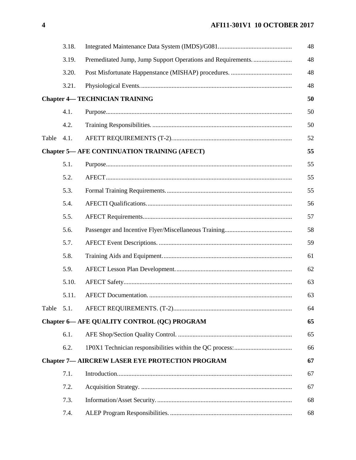# **AFI11-301V1 10 OCTOBER 2017**

|                                                     | 3.18. |                                                        | 48 |
|-----------------------------------------------------|-------|--------------------------------------------------------|----|
|                                                     | 3.19. |                                                        | 48 |
|                                                     | 3.20. |                                                        | 48 |
|                                                     | 3.21. |                                                        | 48 |
|                                                     |       | <b>Chapter 4— TECHNICIAN TRAINING</b>                  | 50 |
|                                                     | 4.1.  |                                                        | 50 |
|                                                     | 4.2.  |                                                        | 50 |
| Table                                               | 4.1.  |                                                        | 52 |
| <b>Chapter 5— AFE CONTINUATION TRAINING (AFECT)</b> |       |                                                        | 55 |
|                                                     | 5.1.  |                                                        | 55 |
|                                                     | 5.2.  |                                                        | 55 |
|                                                     | 5.3.  |                                                        | 55 |
|                                                     | 5.4.  |                                                        | 56 |
|                                                     | 5.5.  |                                                        | 57 |
|                                                     | 5.6.  |                                                        | 58 |
|                                                     | 5.7.  |                                                        | 59 |
|                                                     | 5.8.  |                                                        | 61 |
|                                                     | 5.9.  |                                                        | 62 |
|                                                     | 5.10. |                                                        | 63 |
|                                                     | 5.11. |                                                        | 63 |
| Table 5.1.                                          |       |                                                        | 64 |
|                                                     |       | Chapter 6- AFE QUALITY CONTROL (QC) PROGRAM            | 65 |
|                                                     | 6.1.  |                                                        | 65 |
|                                                     | 6.2.  |                                                        | 66 |
|                                                     |       | <b>Chapter 7— AIRCREW LASER EYE PROTECTION PROGRAM</b> | 67 |
|                                                     | 7.1.  |                                                        | 67 |
|                                                     | 7.2.  |                                                        | 67 |
|                                                     | 7.3.  |                                                        | 68 |
|                                                     | 7.4.  |                                                        | 68 |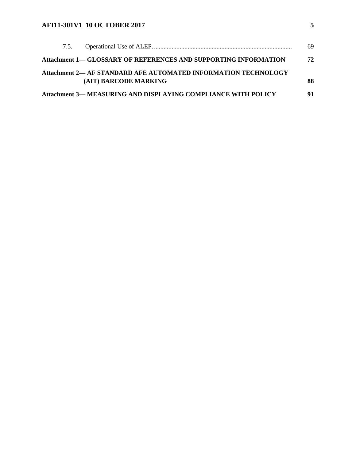## **AFI11-301V1 10 OCTOBER 2017 5**

| 7.5. |                                                                        | 69 |
|------|------------------------------------------------------------------------|----|
|      | <b>Attachment 1— GLOSSARY OF REFERENCES AND SUPPORTING INFORMATION</b> | 72 |
|      | Attachment 2— AF STANDARD AFE AUTOMATED INFORMATION TECHNOLOGY         |    |
|      | (AIT) BARCODE MARKING                                                  | 88 |
|      | <b>Attachment 3— MEASURING AND DISPLAYING COMPLIANCE WITH POLICY</b>   | 91 |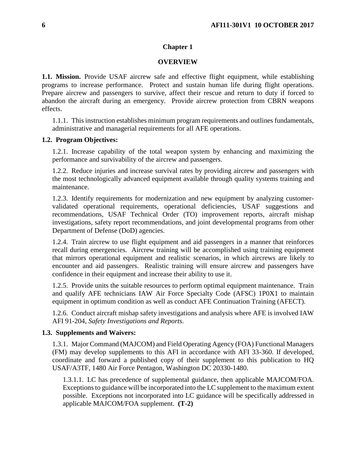#### **Chapter 1**

#### **OVERVIEW**

<span id="page-6-1"></span><span id="page-6-0"></span>**1.1. Mission.** Provide USAF aircrew safe and effective flight equipment, while establishing programs to increase performance. Protect and sustain human life during flight operations. Prepare aircrew and passengers to survive, affect their rescue and return to duty if forced to abandon the aircraft during an emergency. Provide aircrew protection from CBRN weapons effects.

1.1.1. This instruction establishes minimum program requirements and outlines fundamentals, administrative and managerial requirements for all AFE operations.

#### <span id="page-6-2"></span>**1.2. Program Objectives:**

1.2.1. Increase capability of the total weapon system by enhancing and maximizing the performance and survivability of the aircrew and passengers.

1.2.2. Reduce injuries and increase survival rates by providing aircrew and passengers with the most technologically advanced equipment available through quality systems training and maintenance.

1.2.3. Identify requirements for modernization and new equipment by analyzing customervalidated operational requirements, operational deficiencies, USAF suggestions and recommendations, USAF Technical Order (TO) improvement reports, aircraft mishap investigations, safety report recommendations, and joint developmental programs from other Department of Defense (DoD) agencies.

1.2.4. Train aircrew to use flight equipment and aid passengers in a manner that reinforces recall during emergencies. Aircrew training will be accomplished using training equipment that mirrors operational equipment and realistic scenarios, in which aircrews are likely to encounter and aid passengers. Realistic training will ensure aircrew and passengers have confidence in their equipment and increase their ability to use it.

1.2.5. Provide units the suitable resources to perform optimal equipment maintenance. Train and qualify AFE technicians IAW Air Force Specialty Code (AFSC) 1P0X1 to maintain equipment in optimum condition as well as conduct AFE Continuation Training (AFECT).

1.2.6. Conduct aircraft mishap safety investigations and analysis where AFE is involved IAW AFI 91-204, *Safety Investigations and Reports*.

#### <span id="page-6-3"></span>**1.3. Supplements and Waivers:**

1.3.1. Major Command (MAJCOM) and Field Operating Agency (FOA) Functional Managers (FM) may develop supplements to this AFI in accordance with AFI 33-360. If developed, coordinate and forward a published copy of their supplement to this publication to HQ USAF/A3TF, 1480 Air Force Pentagon, Washington DC 20330-1480.

1.3.1.1. LC has precedence of supplemental guidance, then applicable MAJCOM/FOA. Exceptions to guidance will be incorporated into the LC supplement to the maximum extent possible. Exceptions not incorporated into LC guidance will be specifically addressed in applicable MAJCOM/FOA supplement. **(T-2)**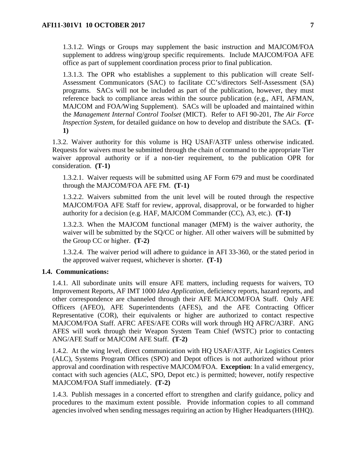1.3.1.2. Wings or Groups may supplement the basic instruction and MAJCOM/FOA supplement to address wing/group specific requirements. Include MAJCOM/FOA AFE office as part of supplement coordination process prior to final publication.

1.3.1.3. The OPR who establishes a supplement to this publication will create Self-Assessment Communicators (SAC) to facilitate CC's/directors Self-Assessment (SA) programs. SACs will not be included as part of the publication, however, they must reference back to compliance areas within the source publication (e.g., AFI, AFMAN, MAJCOM and FOA/Wing Supplement). SACs will be uploaded and maintained within the *Management Internal Control Toolset* (MICT). Refer to AFI 90-201, *The Air Force Inspection System*, for detailed guidance on how to develop and distribute the SACs. **(T-1)**

1.3.2. Waiver authority for this volume is HQ USAF/A3TF unless otherwise indicated. Requests for waivers must be submitted through the chain of command to the appropriate Tier waiver approval authority or if a non-tier requirement, to the publication OPR for consideration. **(T-1)**

1.3.2.1. Waiver requests will be submitted using AF Form 679 and must be coordinated through the MAJCOM/FOA AFE FM. **(T-1)**

1.3.2.2. Waivers submitted from the unit level will be routed through the respective MAJCOM/FOA AFE Staff for review, approval, disapproval, or be forwarded to higher authority for a decision (e.g. HAF, MAJCOM Commander (CC), A3, etc.). **(T-1)**

1.3.2.3. When the MAJCOM functional manager (MFM) is the waiver authority, the waiver will be submitted by the SQ/CC or higher. All other waivers will be submitted by the Group CC or higher. **(T-2)**

1.3.2.4. The waiver period will adhere to guidance in AFI 33-360, or the stated period in the approved waiver request, whichever is shorter. **(T-1)**

#### <span id="page-7-0"></span>**1.4. Communications:**

1.4.1. All subordinate units will ensure AFE matters, including requests for waivers, TO Improvement Reports, AF IMT 1000 *Idea Application*, deficiency reports, hazard reports, and other correspondence are channeled through their AFE MAJCOM/FOA Staff. Only AFE Officers (AFEO), AFE Superintendents (AFES), and the AFE Contracting Officer Representative (COR), their equivalents or higher are authorized to contact respective MAJCOM/FOA Staff. AFRC AFES/AFE CORs will work through HQ AFRC/A3RF. ANG AFES will work through their Weapon System Team Chief (WSTC) prior to contacting ANG/AFE Staff or MAJCOM AFE Staff. **(T-2)**

1.4.2. At the wing level, direct communication with HQ USAF/A3TF, Air Logistics Centers (ALC), Systems Program Offices (SPO) and Depot offices is not authorized without prior approval and coordination with respective MAJCOM/FOA. **Exception**: In a valid emergency, contact with such agencies (ALC, SPO, Depot etc.) is permitted; however, notify respective MAJCOM/FOA Staff immediately. **(T-2)**

1.4.3. Publish messages in a concerted effort to strengthen and clarify guidance, policy and procedures to the maximum extent possible. Provide information copies to all command agencies involved when sending messages requiring an action by Higher Headquarters (HHQ).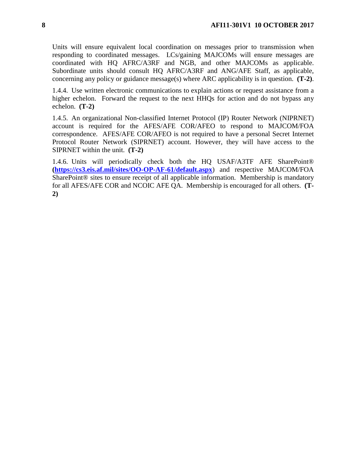Units will ensure equivalent local coordination on messages prior to transmission when responding to coordinated messages. LCs/gaining MAJCOMs will ensure messages are coordinated with HQ AFRC/A3RF and NGB, and other MAJCOMs as applicable. Subordinate units should consult HQ AFRC/A3RF and ANG/AFE Staff, as applicable, concerning any policy or guidance message(s) where ARC applicability is in question. **(T-2)**.

1.4.4. Use written electronic communications to explain actions or request assistance from a higher echelon. Forward the request to the next HHQs for action and do not bypass any echelon. **(T-2)**

1.4.5. An organizational Non-classified Internet Protocol (IP) Router Network (NIPRNET) account is required for the AFES/AFE COR/AFEO to respond to MAJCOM/FOA correspondence. AFES/AFE COR/AFEO is not required to have a personal Secret Internet Protocol Router Network (SIPRNET) account. However, they will have access to the SIPRNET within the unit. **(T-2)**

1.4.6. Units will periodically check both the HQ USAF/A3TF AFE SharePoint® **[\(https://cs3.eis.af.mil/sites/OO-OP-AF-61/default.aspx](https://cs3.eis.af.mil/sites/OO-OP-AF-61/default.aspx)**) and respective MAJCOM/FOA SharePoint® sites to ensure receipt of all applicable information. Membership is mandatory for all AFES/AFE COR and NCOIC AFE QA. Membership is encouraged for all others. **(T-2)**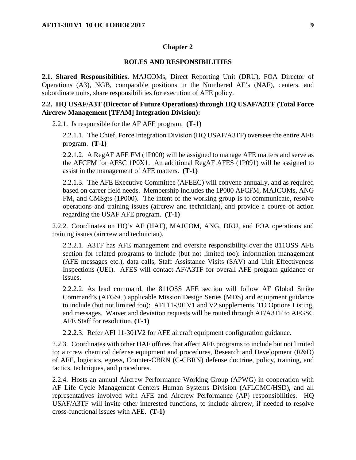#### **Chapter 2**

#### **ROLES AND RESPONSIBILITIES**

<span id="page-9-1"></span><span id="page-9-0"></span>**2.1. Shared Responsibilities.** MAJCOMs, Direct Reporting Unit (DRU), FOA Director of Operations (A3), NGB, comparable positions in the Numbered AF's (NAF), centers, and subordinate units, share responsibilities for execution of AFE policy.

#### <span id="page-9-2"></span>**2.2. HQ USAF/A3T (Director of Future Operations) through HQ USAF/A3TF (Total Force Aircrew Management [TFAM] Integration Division):**

2.2.1. Is responsible for the AF AFE program. **(T-1)**

2.2.1.1. The Chief, Force Integration Division (HQ USAF/A3TF) oversees the entire AFE program. **(T-1)**

2.2.1.2. A RegAF AFE FM (1P000) will be assigned to manage AFE matters and serve as the AFCFM for AFSC 1P0X1. An additional RegAF AFES (1P091) will be assigned to assist in the management of AFE matters. **(T-1)**

2.2.1.3. The AFE Executive Committee (AFEEC) will convene annually, and as required based on career field needs. Membership includes the 1P000 AFCFM, MAJCOMs, ANG FM, and CMSgts (1P000). The intent of the working group is to communicate, resolve operations and training issues (aircrew and technician), and provide a course of action regarding the USAF AFE program. **(T-1)**

2.2.2. Coordinates on HQ's AF (HAF), MAJCOM, ANG, DRU, and FOA operations and training issues (aircrew and technician).

2.2.2.1. A3TF has AFE management and oversite responsibility over the 811OSS AFE section for related programs to include (but not limited too): information management (AFE messages etc.), data calls, Staff Assistance Visits (SAV) and Unit Effectiveness Inspections (UEI). AFES will contact AF/A3TF for overall AFE program guidance or issues.

2.2.2.2. As lead command, the 811OSS AFE section will follow AF Global Strike Command's (AFGSC) applicable Mission Design Series (MDS) and equipment guidance to include (but not limited too): AFI 11-301V1 and V2 supplements, TO Options Listing, and messages. Waiver and deviation requests will be routed through AF/A3TF to AFGSC AFE Staff for resolution. **(T-1)**

2.2.2.3. Refer AFI 11-301V2 for AFE aircraft equipment configuration guidance.

2.2.3. Coordinates with other HAF offices that affect AFE programs to include but not limited to: aircrew chemical defense equipment and procedures, Research and Development (R&D) of AFE, logistics, egress, Counter-CBRN (C-CBRN) defense doctrine, policy, training, and tactics, techniques, and procedures.

2.2.4. Hosts an annual Aircrew Performance Working Group (APWG) in cooperation with AF Life Cycle Management Centers Human Systems Division (AFLCMC/HSD), and all representatives involved with AFE and Aircrew Performance (AP) responsibilities. HQ USAF/A3TF will invite other interested functions, to include aircrew, if needed to resolve cross-functional issues with AFE. **(T-1)**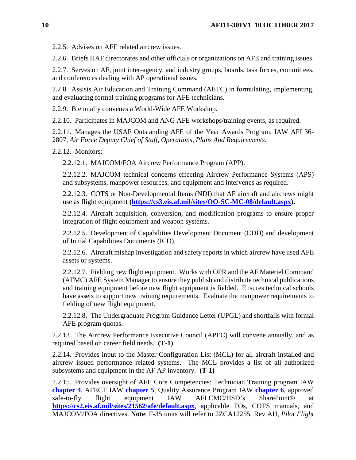2.2.5. Advises on AFE related aircrew issues.

2.2.6. Briefs HAF directorates and other officials or organizations on AFE and training issues.

2.2.7. Serves on AF, joint inter-agency, and industry groups, boards, task forces, committees, and conferences dealing with AP operational issues.

2.2.8. Assists Air Education and Training Command (AETC) in formulating, implementing, and evaluating formal training programs for AFE technicians.

2.2.9. Biennially convenes a World-Wide AFE Workshop.

2.2.10. Participates in MAJCOM and ANG AFE workshops/training events, as required.

2.2.11. Manages the USAF Outstanding AFE of the Year Awards Program, IAW AFI 36- 2807, *Air Force Deputy Chief of Staff, Operations, Plans And Requirements*.

2.2.12. Monitors:

2.2.12.1. MAJCOM/FOA Aircrew Performance Program (APP).

2.2.12.2. MAJCOM technical concerns effecting Aircrew Performance Systems (APS) and subsystems, manpower resources, and equipment and intervenes as required.

2.2.12.3. COTS or Non-Developmental Items (NDI) that AF aircraft and aircrews might use as flight equipment **[\(https://cs3.eis.af.mil/sites/OO-SC-MC-08/default.aspx\)](https://cs3.eis.af.mil/sites/OO-SC-MC-08/default.aspx).**

2.2.12.4. Aircraft acquisition, conversion, and modification programs to ensure proper integration of flight equipment and weapon systems.

2.2.12.5. Development of Capabilities Development Document (CDD) and development of Initial Capabilities Documents (ICD).

2.2.12.6. Aircraft mishap investigation and safety reports in which aircrew have used AFE assets or systems.

2.2.12.7. Fielding new flight equipment. Works with OPR and the AF Materiel Command (AFMC) AFE System Manager to ensure they publish and distribute technical publications and training equipment before new flight equipment is fielded. Ensures technical schools have assets to support new training requirements. Evaluate the manpower requirements to fielding of new flight equipment.

2.2.12.8. The Undergraduate Program Guidance Letter (UPGL) and shortfalls with formal AFE program quotas.

2.2.13. The Aircrew Performance Executive Council (APEC) will convene annually, and as required based on career field needs. **(T-1)**

2.2.14. Provides input to the Master Configuration List (MCL) for all aircraft installed and aircrew issued performance related systems. The MCL provides a list of all authorized subsystems and equipment in the AF AP inventory. **(T-1)**

2.2.15. Provides oversight of AFE Core Competencies: Technician Training program IAW **[chapter](#page-50-0) 4**, AFECT IAW **[chapter](#page-55-0) 5**, Quality Assurance Program IAW **[chapter](#page-65-0) 6**, approved safe-to-fly flight equipment IAW AFLCMC/HSD's SharePoint<sup>®</sup> at **<https://cs2.eis.af.mil/sites/21562/afe/default.aspx>**, applicable TOs, COTS manuals, and MAJCOM/FOA directives. **Note**: F-35 units will refer to 2ZCA12255, Rev AH, *Pilot Flight*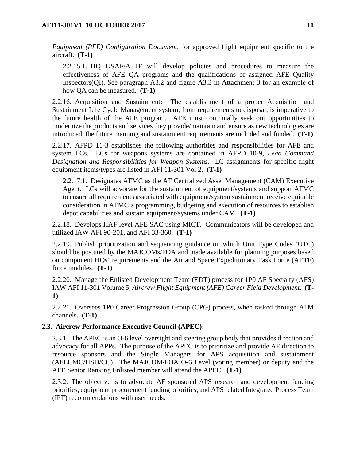*Equipment (PFE) Configuration Document*, for approved flight equipment specific to the aircraft. **(T-1)**

2.2.15.1. HQ USAF/A3TF will develop policies and procedures to measure the effectiveness of AFE QA programs and the qualifications of assigned AFE Quality Inspectors(QI). See paragraph A3.2 and figure A3.3 in Attachment 3 for an example of how QA can be measured. **(T-1)**

2.2.16. Acquisition and Sustainment: The establishment of a proper Acquisition and Sustainment Life Cycle Management system, from requirements to disposal, is imperative to the future health of the AFE program. AFE must continually seek out opportunities to modernize the products and services they provide/maintain and ensure as new technologies are introduced, the future manning and sustainment requirements are included and funded. **(T-1)**

2.2.17. AFPD 11-3 establishes the following authorities and responsibilities for AFE and system LCs. LCs for weapons systems are contained in AFPD 10-9, *Lead Command Designation and Responsibilities for Weapon Systems*. LC assignments for specific flight equipment items/types are listed in AFI 11-301 Vol 2. **(T-1)**

2.2.17.1. Designates AFMC as the AF Centralized Asset Management (CAM) Executive Agent. LCs will advocate for the sustainment of equipment/systems and support AFMC to ensure all requirements associated with equipment/system sustainment receive equitable consideration in AFMC's programming, budgeting and execution of resources to establish depot capabilities and sustain equipment/systems under CAM. **(T-1)**

2.2.18. Develops HAF level AFE SAC using MICT. Communicators will be developed and utilized IAW AFI 90-201*,* and AFI 33-360. **(T-1)**

2.2.19. Publish prioritization and sequencing guidance on which Unit Type Codes (UTC) should be postured by the MAJCOMs/FOA and made available for planning purposes based on component HQs' requirements and the Air and Space Expeditionary Task Force (AETF) force modules. **(T-1)**

2.2.20. Manage the Enlisted Development Team (EDT) process for 1P0 AF Specialty (AFS) IAW AFI 11-301 Volume 5, *Aircrew Flight Equipment (AFE) Career Field Development*. **(T-1)**

2.2.21. Oversees 1P0 Career Progression Group (CPG) process, when tasked through A1M channels. **(T-1)**

#### <span id="page-11-0"></span>**2.3. Aircrew Performance Executive Council (APEC):**

2.3.1. The APEC is an O-6 level oversight and steering group body that provides direction and advocacy for all APPs. The purpose of the APEC is to prioritize and provide AF direction to resource sponsors and the Single Managers for APS acquisition and sustainment (AFLCMC/HSD/CC). The MAJCOM/FOA O-6 Level (voting member) or deputy and the AFE Senior Ranking Enlisted member will attend the APEC. **(T-1)**

2.3.2. The objective is to advocate AF sponsored APS research and development funding priorities, equipment procurement funding priorities, and APS related Integrated Process Team (IPT) recommendations with user needs.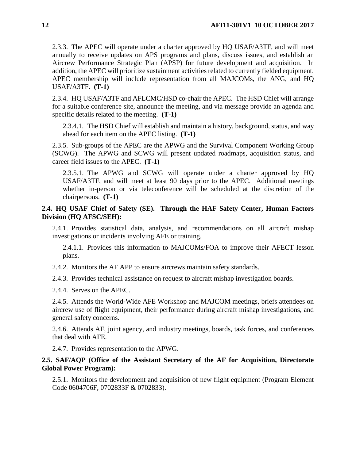2.3.3. The APEC will operate under a charter approved by HQ USAF/A3TF, and will meet annually to receive updates on APS programs and plans, discuss issues, and establish an Aircrew Performance Strategic Plan (APSP) for future development and acquisition. In addition, the APEC will prioritize sustainment activities related to currently fielded equipment. APEC membership will include representation from all MAJCOMs, the ANG, and HQ USAF/A3TF. **(T-1)**

2.3.4. HQ USAF/A3TF and AFLCMC/HSD co-chair the APEC. The HSD Chief will arrange for a suitable conference site, announce the meeting, and via message provide an agenda and specific details related to the meeting. **(T-1)**

2.3.4.1. The HSD Chief will establish and maintain a history, background, status, and way ahead for each item on the APEC listing. **(T-1)**

2.3.5. Sub-groups of the APEC are the APWG and the Survival Component Working Group (SCWG). The APWG and SCWG will present updated roadmaps, acquisition status, and career field issues to the APEC. **(T-1)**

2.3.5.1. The APWG and SCWG will operate under a charter approved by HQ USAF/A3TF, and will meet at least 90 days prior to the APEC. Additional meetings whether in-person or via teleconference will be scheduled at the discretion of the chairpersons. **(T-1)**

### <span id="page-12-0"></span>**2.4. HQ USAF Chief of Safety (SE). Through the HAF Safety Center, Human Factors Division (HQ AFSC/SEH):**

2.4.1. Provides statistical data, analysis, and recommendations on all aircraft mishap investigations or incidents involving AFE or training.

2.4.1.1. Provides this information to MAJCOMs/FOA to improve their AFECT lesson plans.

2.4.2. Monitors the AF APP to ensure aircrews maintain safety standards.

2.4.3. Provides technical assistance on request to aircraft mishap investigation boards.

2.4.4. Serves on the APEC.

2.4.5. Attends the World-Wide AFE Workshop and MAJCOM meetings, briefs attendees on aircrew use of flight equipment, their performance during aircraft mishap investigations, and general safety concerns.

2.4.6. Attends AF, joint agency, and industry meetings, boards, task forces, and conferences that deal with AFE.

2.4.7. Provides representation to the APWG.

### <span id="page-12-1"></span>**2.5. SAF/AQP (Office of the Assistant Secretary of the AF for Acquisition, Directorate Global Power Program):**

2.5.1. Monitors the development and acquisition of new flight equipment (Program Element Code 0604706F, 0702833F & 0702833).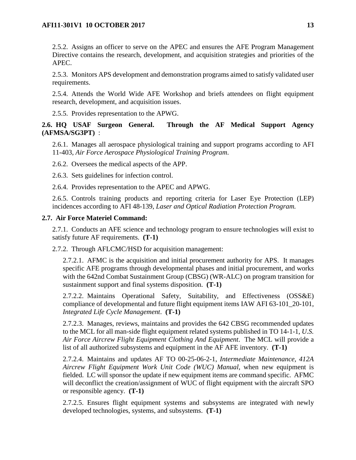2.5.2. Assigns an officer to serve on the APEC and ensures the AFE Program Management Directive contains the research, development, and acquisition strategies and priorities of the APEC.

2.5.3. Monitors APS development and demonstration programs aimed to satisfy validated user requirements.

2.5.4. Attends the World Wide AFE Workshop and briefs attendees on flight equipment research, development, and acquisition issues.

2.5.5. Provides representation to the APWG.

<span id="page-13-0"></span>**2.6. HQ USAF Surgeon General. Through the AF Medical Support Agency (AFMSA/SG3PT)** :

2.6.1. Manages all aerospace physiological training and support programs according to AFI 11-403, *Air Force Aerospace Physiological Training Program*.

2.6.2. Oversees the medical aspects of the APP.

2.6.3. Sets guidelines for infection control.

2.6.4. Provides representation to the APEC and APWG.

2.6.5. Controls training products and reporting criteria for Laser Eye Protection (LEP) incidences according to AFI 48-139, *Laser and Optical Radiation Protection Program.*

#### <span id="page-13-1"></span>**2.7. Air Force Materiel Command:**

2.7.1. Conducts an AFE science and technology program to ensure technologies will exist to satisfy future AF requirements. **(T-1)**

2.7.2. Through AFLCMC/HSD for acquisition management:

2.7.2.1. AFMC is the acquisition and initial procurement authority for APS. It manages specific AFE programs through developmental phases and initial procurement, and works with the 642nd Combat Sustainment Group (CBSG) (WR-ALC) on program transition for sustainment support and final systems disposition. **(T-1)**

2.7.2.2. Maintains Operational Safety, Suitability, and Effectiveness (OSS&E) compliance of developmental and future flight equipment items IAW AFI 63-101\_20-101, *Integrated Life Cycle Management*. **(T-1)**

2.7.2.3. Manages, reviews, maintains and provides the 642 CBSG recommended updates to the MCL for all man-side flight equipment related systems published in TO 14-1-1, *U.S. Air Force Aircrew Flight Equipment Clothing And Equipment*. The MCL will provide a list of all authorized subsystems and equipment in the AF AFE inventory. **(T-1)**

2.7.2.4. Maintains and updates AF TO 00-25-06-2-1, *Intermediate Maintenance, 412A Aircrew Flight Equipment Work Unit Code (WUC) Manual*, when new equipment is fielded. LC will sponsor the update if new equipment items are command specific. AFMC will deconflict the creation/assignment of WUC of flight equipment with the aircraft SPO or responsible agency. **(T-1)**

2.7.2.5. Ensures flight equipment systems and subsystems are integrated with newly developed technologies, systems, and subsystems. **(T-1)**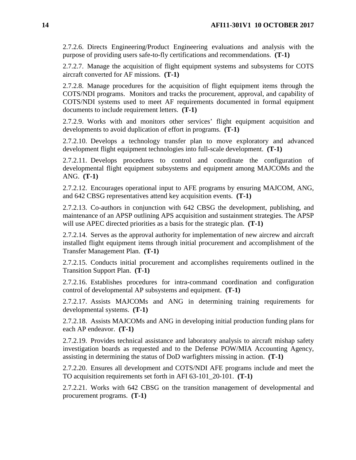2.7.2.6. Directs Engineering/Product Engineering evaluations and analysis with the purpose of providing users safe-to-fly certifications and recommendations. **(T-1)**

2.7.2.7. Manage the acquisition of flight equipment systems and subsystems for COTS aircraft converted for AF missions. **(T-1)**

2.7.2.8. Manage procedures for the acquisition of flight equipment items through the COTS/NDI programs. Monitors and tracks the procurement, approval, and capability of COTS/NDI systems used to meet AF requirements documented in formal equipment documents to include requirement letters. **(T-1)**

2.7.2.9. Works with and monitors other services' flight equipment acquisition and developments to avoid duplication of effort in programs. **(T-1)**

2.7.2.10. Develops a technology transfer plan to move exploratory and advanced development flight equipment technologies into full-scale development. **(T-1)**

2.7.2.11. Develops procedures to control and coordinate the configuration of developmental flight equipment subsystems and equipment among MAJCOMs and the ANG. **(T-1)**

2.7.2.12. Encourages operational input to AFE programs by ensuring MAJCOM, ANG, and 642 CBSG representatives attend key acquisition events. **(T-1)**

2.7.2.13. Co-authors in conjunction with 642 CBSG the development, publishing, and maintenance of an APSP outlining APS acquisition and sustainment strategies. The APSP will use APEC directed priorities as a basis for the strategic plan. **(T-1)**

2.7.2.14. Serves as the approval authority for implementation of new aircrew and aircraft installed flight equipment items through initial procurement and accomplishment of the Transfer Management Plan. **(T-1)**

2.7.2.15. Conducts initial procurement and accomplishes requirements outlined in the Transition Support Plan. **(T-1)**

2.7.2.16. Establishes procedures for intra-command coordination and configuration control of developmental AP subsystems and equipment. **(T-1)**

2.7.2.17. Assists MAJCOMs and ANG in determining training requirements for developmental systems. **(T-1)**

2.7.2.18. Assists MAJCOMs and ANG in developing initial production funding plans for each AP endeavor. **(T-1)**

2.7.2.19. Provides technical assistance and laboratory analysis to aircraft mishap safety investigation boards as requested and to the Defense POW/MIA Accounting Agency, assisting in determining the status of DoD warfighters missing in action. **(T-1)**

2.7.2.20. Ensures all development and COTS/NDI AFE programs include and meet the TO acquisition requirements set forth in AFI 63-101\_20-101. **(T-1)**

2.7.2.21. Works with 642 CBSG on the transition management of developmental and procurement programs. **(T-1)**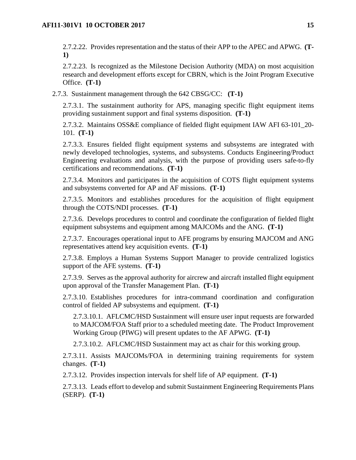2.7.2.22. Provides representation and the status of their APP to the APEC and APWG. **(T-1)**

2.7.2.23. Is recognized as the Milestone Decision Authority (MDA) on most acquisition research and development efforts except for CBRN, which is the Joint Program Executive Office. **(T-1)**

2.7.3. Sustainment management through the 642 CBSG/CC: **(T-1)**

2.7.3.1. The sustainment authority for APS, managing specific flight equipment items providing sustainment support and final systems disposition. **(T-1)**

2.7.3.2. Maintains OSS&E compliance of fielded flight equipment IAW AFI 63-101\_20- 101*.* **(T-1)**

2.7.3.3. Ensures fielded flight equipment systems and subsystems are integrated with newly developed technologies, systems, and subsystems. Conducts Engineering/Product Engineering evaluations and analysis, with the purpose of providing users safe-to-fly certifications and recommendations. **(T-1)**

2.7.3.4. Monitors and participates in the acquisition of COTS flight equipment systems and subsystems converted for AP and AF missions. **(T-1)**

2.7.3.5. Monitors and establishes procedures for the acquisition of flight equipment through the COTS/NDI processes. **(T-1)**

2.7.3.6. Develops procedures to control and coordinate the configuration of fielded flight equipment subsystems and equipment among MAJCOMs and the ANG. **(T-1)**

2.7.3.7. Encourages operational input to AFE programs by ensuring MAJCOM and ANG representatives attend key acquisition events. **(T-1)**

2.7.3.8. Employs a Human Systems Support Manager to provide centralized logistics support of the AFE systems. **(T-1)**

2.7.3.9. Serves as the approval authority for aircrew and aircraft installed flight equipment upon approval of the Transfer Management Plan. **(T-1)**

2.7.3.10. Establishes procedures for intra-command coordination and configuration control of fielded AP subsystems and equipment. **(T-1)**

2.7.3.10.1. AFLCMC/HSD Sustainment will ensure user input requests are forwarded to MAJCOM/FOA Staff prior to a scheduled meeting date. The Product Improvement Working Group (PIWG) will present updates to the AF APWG. **(T-1)**

2.7.3.10.2. AFLCMC/HSD Sustainment may act as chair for this working group.

2.7.3.11. Assists MAJCOMs/FOA in determining training requirements for system changes. **(T-1)**

2.7.3.12. Provides inspection intervals for shelf life of AP equipment. **(T-1)**

2.7.3.13. Leads effort to develop and submit Sustainment Engineering Requirements Plans (SERP). **(T-1)**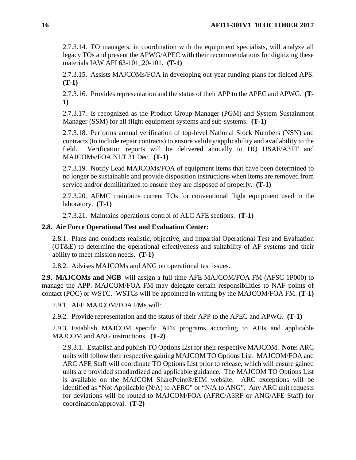2.7.3.14. TO managers, in coordination with the equipment specialists, will analyze all legacy TOs and present the APWG/APEC with their recommendations for digitizing these materials IAW AFI 63-101\_20-101. **(T-1)**

2.7.3.15. Assists MAJCOMs/FOA in developing out-year funding plans for fielded APS. **(T-1)**

2.7.3.16. Provides representation and the status of their APP to the APEC and APWG. **(T-1)**

2.7.3.17. Is recognized as the Product Group Manager (PGM) and System Sustainment Manager (SSM) for all flight equipment systems and sub-systems. **(T-1)**

2.7.3.18. Performs annual verification of top-level National Stock Numbers (NSN) and contracts (to include repair contracts) to ensure validity/applicability and availability to the field. Verification reports will be delivered annually to HQ USAF/A3TF and MAJCOMs/FOA NLT 31 Dec. **(T-1)**

2.7.3.19. Notify Lead MAJCOMs/FOA of equipment items that have been determined to no longer be sustainable and provide disposition instructions when items are removed from service and/or demilitarized to ensure they are disposed of properly. **(T-1)**

2.7.3.20. AFMC maintains current TOs for conventional flight equipment used in the laboratory. **(T-1)**

2.7.3.21. Maintains operations control of ALC AFE sections. **(T-1)**

## <span id="page-16-0"></span>**2.8. Air Force Operational Test and Evaluation Center:**

2.8.1. Plans and conducts realistic, objective, and impartial Operational Test and Evaluation (OT&E) to determine the operational effectiveness and suitability of AF systems and their ability to meet mission needs. **(T-1)**

2.8.2. Advises MAJCOMs and ANG on operational test issues.

<span id="page-16-1"></span>**2.9. MAJCOMs and NGB** will assign a full time AFE MAJCOM/FOA FM (AFSC 1P000) to manage the APP. MAJCOM/FOA FM may delegate certain responsibilities to NAF points of contact (POC) or WSTC. WSTCs will be appointed in writing by the MAJCOM/FOA FM. **(T-1)**

2.9.1. AFE MAJCOM/FOA FMs will:

2.9.2. Provide representation and the status of their APP to the APEC and APWG. **(T-1)**

2.9.3. Establish MAJCOM specific AFE programs according to AFIs and applicable MAJCOM and ANG instructions. **(T-2)**

2.9.3.1. Establish and publish TO Options List for their respective MAJCOM. **Note:** ARC units will follow their respective gaining MAJCOM TO Options List. MAJCOM/FOA and ARC AFE Staff will coordinate TO Options List prior to release, which will ensure gained units are provided standardized and applicable guidance. The MAJCOM TO Options List is available on the MAJCOM SharePoint®/EIM website. ARC exceptions will be identified as "Not Applicable (N/A) to AFRC" or "N/A to ANG". Any ARC unit requests for deviations will be routed to MAJCOM/FOA (AFRC/A3RF or ANG/AFE Staff) for coordination/approval. **(T-2)**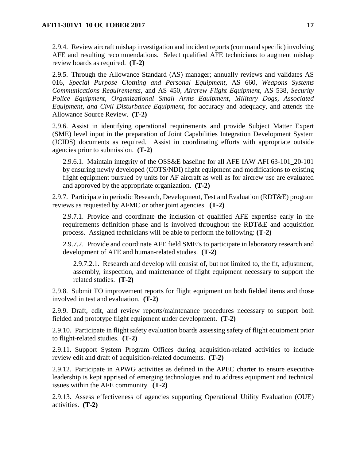2.9.4. Review aircraft mishap investigation and incident reports (command specific) involving AFE and resulting recommendations. Select qualified AFE technicians to augment mishap review boards as required. **(T-2)**

2.9.5. Through the Allowance Standard (AS) manager; annually reviews and validates AS 016, *Special Purpose Clothing and Personal Equipment*, AS 660, *Weapons Systems Communications Requirements*, and AS 450, *Aircrew Flight Equipment*, AS 538, *Security Police Equipment*, *Organizational Small Arms Equipment, Military Dogs, Associated Equipment, and Civil Disturbance Equipment*, for accuracy and adequacy, and attends the Allowance Source Review. **(T-2)**

2.9.6. Assist in identifying operational requirements and provide Subject Matter Expert (SME) level input in the preparation of Joint Capabilities Integration Development System (JCIDS) documents as required. Assist in coordinating efforts with appropriate outside agencies prior to submission. **(T-2)**

2.9.6.1. Maintain integrity of the OSS&E baseline for all AFE IAW AFI 63-101\_20-101 by ensuring newly developed (COTS/NDI) flight equipment and modifications to existing flight equipment pursued by units for AF aircraft as well as for aircrew use are evaluated and approved by the appropriate organization. **(T-2)**

2.9.7. Participate in periodic Research, Development, Test and Evaluation (RDT&E) program reviews as requested by AFMC or other joint agencies. **(T-2)**

2.9.7.1. Provide and coordinate the inclusion of qualified AFE expertise early in the requirements definition phase and is involved throughout the RDT&E and acquisition process. Assigned technicians will be able to perform the following: **(T-2)**

2.9.7.2. Provide and coordinate AFE field SME's to participate in laboratory research and development of AFE and human-related studies. **(T-2)**

2.9.7.2.1. Research and develop will consist of, but not limited to, the fit, adjustment, assembly, inspection, and maintenance of flight equipment necessary to support the related studies. **(T-2)**

2.9.8. Submit TO improvement reports for flight equipment on both fielded items and those involved in test and evaluation. **(T-2)**

2.9.9. Draft, edit, and review reports/maintenance procedures necessary to support both fielded and prototype flight equipment under development. **(T-2)**

2.9.10. Participate in flight safety evaluation boards assessing safety of flight equipment prior to flight-related studies. **(T-2)**

2.9.11. Support System Program Offices during acquisition-related activities to include review edit and draft of acquisition-related documents. **(T-2)**

2.9.12. Participate in APWG activities as defined in the APEC charter to ensure executive leadership is kept apprised of emerging technologies and to address equipment and technical issues within the AFE community. **(T-2)**

2.9.13. Assess effectiveness of agencies supporting Operational Utility Evaluation (OUE) activities. **(T-2)**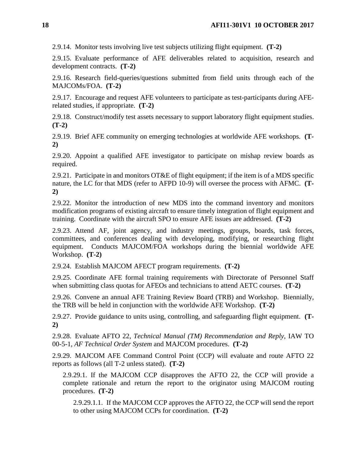2.9.14. Monitor tests involving live test subjects utilizing flight equipment. **(T-2)**

2.9.15. Evaluate performance of AFE deliverables related to acquisition, research and development contracts. **(T-2)**

2.9.16. Research field-queries/questions submitted from field units through each of the MAJCOMs/FOA. **(T-2)**

2.9.17. Encourage and request AFE volunteers to participate as test-participants during AFErelated studies, if appropriate. **(T-2)**

2.9.18. Construct/modify test assets necessary to support laboratory flight equipment studies. **(T-2)**

2.9.19. Brief AFE community on emerging technologies at worldwide AFE workshops. **(T-2)**

2.9.20. Appoint a qualified AFE investigator to participate on mishap review boards as required.

2.9.21. Participate in and monitors OT&E of flight equipment; if the item is of a MDS specific nature, the LC for that MDS (refer to AFPD 10-9) will oversee the process with AFMC. **(T-2)**

2.9.22. Monitor the introduction of new MDS into the command inventory and monitors modification programs of existing aircraft to ensure timely integration of flight equipment and training. Coordinate with the aircraft SPO to ensure AFE issues are addressed. **(T-2)**

2.9.23. Attend AF, joint agency, and industry meetings, groups, boards, task forces, committees, and conferences dealing with developing, modifying, or researching flight equipment. Conducts MAJCOM/FOA workshops during the biennial worldwide AFE Workshop. **(T-2)**

2.9.24. Establish MAJCOM AFECT program requirements. **(T-2)**

2.9.25. Coordinate AFE formal training requirements with Directorate of Personnel Staff when submitting class quotas for AFEOs and technicians to attend AETC courses. **(T-2)**

2.9.26. Convene an annual AFE Training Review Board (TRB) and Workshop. Biennially, the TRB will be held in conjunction with the worldwide AFE Workshop. **(T-2)**

2.9.27. Provide guidance to units using, controlling, and safeguarding flight equipment. **(T-2)**

2.9.28. Evaluate AFTO 22, *Technical Manual (TM) Recommendation and Reply*, IAW TO 00-5-1, *AF Technical Order System* and MAJCOM procedures. **(T-2)**

2.9.29. MAJCOM AFE Command Control Point (CCP) will evaluate and route AFTO 22 reports as follows (all T-2 unless stated). **(T-2)**

2.9.29.1. If the MAJCOM CCP disapproves the AFTO 22, the CCP will provide a complete rationale and return the report to the originator using MAJCOM routing procedures. **(T-2)**

2.9.29.1.1. If the MAJCOM CCP approves the AFTO 22, the CCP will send the report to other using MAJCOM CCPs for coordination. **(T-2)**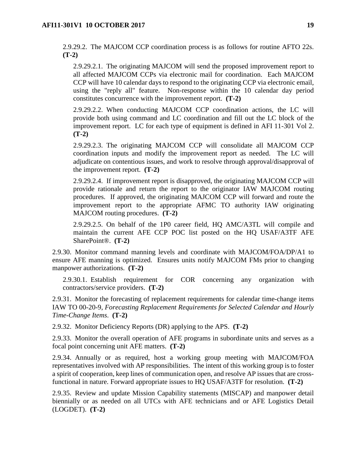2.9.29.2. The MAJCOM CCP coordination process is as follows for routine AFTO 22s. **(T-2)**

2.9.29.2.1. The originating MAJCOM will send the proposed improvement report to all affected MAJCOM CCPs via electronic mail for coordination. Each MAJCOM CCP will have 10 calendar days to respond to the originating CCP via electronic email, using the "reply all" feature. Non-response within the 10 calendar day period constitutes concurrence with the improvement report. **(T-2)**

2.9.29.2.2. When conducting MAJCOM CCP coordination actions, the LC will provide both using command and LC coordination and fill out the LC block of the improvement report. LC for each type of equipment is defined in AFI 11-301 Vol 2. **(T-2)**

2.9.29.2.3. The originating MAJCOM CCP will consolidate all MAJCOM CCP coordination inputs and modify the improvement report as needed. The LC will adjudicate on contentious issues, and work to resolve through approval/disapproval of the improvement report. **(T-2)**

2.9.29.2.4. If improvement report is disapproved, the originating MAJCOM CCP will provide rationale and return the report to the originator IAW MAJCOM routing procedures. If approved, the originating MAJCOM CCP will forward and route the improvement report to the appropriate AFMC TO authority IAW originating MAJCOM routing procedures. **(T-2)**

2.9.29.2.5. On behalf of the 1P0 career field, HQ AMC/A3TL will compile and maintain the current AFE CCP POC list posted on the HQ USAF/A3TF AFE SharePoint®. **(T-2)**

2.9.30. Monitor command manning levels and coordinate with MAJCOM/FOA/DP/A1 to ensure AFE manning is optimized. Ensures units notify MAJCOM FMs prior to changing manpower authorizations. **(T-2)**

2.9.30.1. Establish requirement for COR concerning any organization with contractors/service providers. **(T-2)**

2.9.31. Monitor the forecasting of replacement requirements for calendar time-change items IAW TO 00-20-9, *Forecasting Replacement Requirements for Selected Calendar and Hourly Time-Change Items*. **(T-2)**

2.9.32. Monitor Deficiency Reports (DR) applying to the APS. **(T-2)**

2.9.33. Monitor the overall operation of AFE programs in subordinate units and serves as a focal point concerning unit AFE matters. **(T-2)**

2.9.34. Annually or as required, host a working group meeting with MAJCOM/FOA representatives involved with AP responsibilities. The intent of this working group is to foster a spirit of cooperation, keep lines of communication open, and resolve AP issues that are crossfunctional in nature. Forward appropriate issues to HQ USAF/A3TF for resolution. **(T-2)**

2.9.35. Review and update Mission Capability statements (MISCAP) and manpower detail biennially or as needed on all UTCs with AFE technicians and or AFE Logistics Detail (LOGDET). **(T-2)**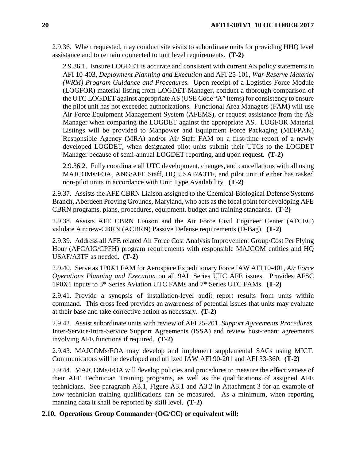2.9.36. When requested, may conduct site visits to subordinate units for providing HHQ level assistance and to remain connected to unit level requirements. **(T-2)**

2.9.36.1. Ensure LOGDET is accurate and consistent with current AS policy statements in AFI 10-403, *Deployment Planning and Execution* and AFI 25-101, *War Reserve Materiel (WRM) Program Guidance and Procedures.* Upon receipt of a Logistics Force Module (LOGFOR) material listing from LOGDET Manager, conduct a thorough comparison of the UTC LOGDET against appropriate AS (USE Code "A" items) for consistency to ensure the pilot unit has not exceeded authorizations. Functional Area Managers (FAM) will use Air Force Equipment Management System (AFEMS), or request assistance from the AS Manager when comparing the LOGDET against the appropriate AS. LOGFOR Material Listings will be provided to Manpower and Equipment Force Packaging (MEFPAK) Responsible Agency (MRA) and/or Air Staff FAM on a first-time report of a newly developed LOGDET, when designated pilot units submit their UTCs to the LOGDET Manager because of semi-annual LOGDET reporting, and upon request. **(T-2)**

2.9.36.2. Fully coordinate all UTC development, changes, and cancellations with all using MAJCOMs/FOA, ANG/AFE Staff, HQ USAF/A3TF, and pilot unit if either has tasked non-pilot units in accordance with Unit Type Availability. **(T-2)**

2.9.37. Assists the AFE CBRN Liaison assigned to the Chemical-Biological Defense Systems Branch, Aberdeen Proving Grounds, Maryland, who acts as the focal point for developing AFE CBRN programs, plans, procedures, equipment, budget and training standards. **(T-2)**

2.9.38. Assists AFE CBRN Liaison and the Air Force Civil Engineer Center (AFCEC) validate Aircrew-CBRN (ACBRN) Passive Defense requirements (D-Bag). **(T-2)**

2.9.39. Address all AFE related Air Force Cost Analysis Improvement Group/Cost Per Flying Hour (AFCAIG/CPFH) program requirements with responsible MAJCOM entities and HQ USAF/A3TF as needed. **(T-2)**

2.9.40. Serve as 1P0X1 FAM for Aerospace Expeditionary Force IAW AFI 10-401, *Air Force Operations Planning and Execution* on all 9AL Series UTC AFE issues. Provides AFSC 1P0X1 inputs to 3\* Series Aviation UTC FAMs and 7\* Series UTC FAMs. **(T-2)**

2.9.41. Provide a synopsis of installation-level audit report results from units within command. This cross feed provides an awareness of potential issues that units may evaluate at their base and take corrective action as necessary. **(T-2)**

2.9.42. Assist subordinate units with review of AFI 25-201, *Support Agreements Procedures,*  Inter-Service/Intra-Service Support Agreements (ISSA) and review host-tenant agreements involving AFE functions if required. **(T-2)**

2.9.43. MAJCOMs/FOA may develop and implement supplemental SACs using MICT. Communicators will be developed and utilized IAW AFI 90-201 and AFI 33-360*.* **(T-2)**

2.9.44. MAJCOMs/FOA will develop policies and procedures to measure the effectiveness of their AFE Technician Training programs, as well as the qualifications of assigned AFE technicians. See paragraph A3.1, Figure A3.1 and A3.2 in Attachment 3 for an example of how technician training qualifications can be measured. As a minimum, when reporting manning data it shall be reported by skill level. **(T-2)**

#### <span id="page-20-0"></span>**2.10. Operations Group Commander (OG/CC) or equivalent will:**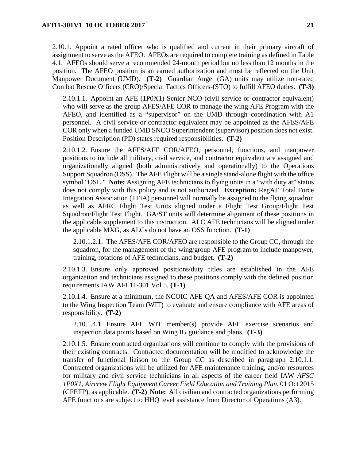2.10.1. Appoint a rated officer who is qualified and current in their primary aircraft of assignment to serve as the AFEO. AFEOs are required to complete training as defined in Table 4.1. AFEOs should serve a recommended 24-month period but no less than 12 months in the position. The AFEO position is an earned authorization and must be reflected on the Unit Manpower Document (UMD). **(T-2)** Guardian Angel (GA) units may utilize non-rated Combat Rescue Officers (CRO)/Special Tactics Officers-(STO) to fulfill AFEO duties. **(T-3)**

2.10.1.1. Appoint an AFE (1P0X1) Senior NCO (civil service or contractor equivalent) who will serve as the group AFES/AFE COR to manage the wing AFE Program with the AFEO, and identified as a "supervisor" on the UMD through coordination with A1 personnel. A civil service or contractor equivalent may be appointed as the AFES/AFE COR only when a funded UMD SNCO Superintendent (supervisor) position does not exist. Position Description (PD) states required responsibilities. **(T-2)**

2.10.1.2. Ensure the AFES/AFE COR/AFEO, personnel, functions, and manpower positions to include all military, civil service, and contractor equivalent are assigned and organizationally aligned (both administratively and operationally) to the Operations Support Squadron (OSS). The AFE Flight will be a single stand-alone flight with the office symbol "OSL." **Note:** Assigning AFE technicians to flying units in a "with duty at" status does not comply with this policy and is not authorized. **Exception:** RegAF Total Force Integration Association (TFIA) personnel will normally be assigned to the flying squadron as well as AFRC Flight Test Units aligned under a Flight Test Group/Flight Test Squadron/Flight Test Flight. GA/ST units will determine alignment of these positions in the applicable supplement to this instruction. ALC AFE technicians will be aligned under the applicable MXG, as ALCs do not have an OSS function. **(T-1)**

2.10.1.2.1. The AFES/AFE COR/AFEO are responsible to the Group CC, through the squadron, for the management of the wing/group AFE program to include manpower, training, rotations of AFE technicians, and budget. **(T-2)**

2.10.1.3. Ensure only approved positions/duty titles are established in the AFE organization and technicians assigned to these positions comply with the defined position requirements IAW AFI 11-301 Vol 5. **(T-1)**

2.10.1.4. Ensure at a minimum, the NCOIC AFE QA and AFES/AFE COR is appointed to the Wing Inspection Team (WIT) to evaluate and ensure compliance with AFE areas of responsibility. **(T-2)**

2.10.1.4.1. Ensure AFE WIT member(s) provide AFE exercise scenarios and inspection data points based on Wing IG guidance and plans. **(T-3)**

2.10.1.5. Ensure contracted organizations will continue to comply with the provisions of their existing contracts. Contracted documentation will be modified to acknowledge the transfer of functional liaison to the Group CC as described in paragraph 2.10.1.1. Contracted organizations will be utilized for AFE maintenance training, and/or resources for military and civil service technicians in all aspects of the career field IAW *AFSC 1P0X1, Aircrew Flight Equipment Career Field Education and Training Plan*, 01 Oct 2015 (CFETP), as applicable. **(T-2) Note:** All civilian and contracted organizations performing AFE functions are subject to HHQ level assistance from Director of Operations (A3).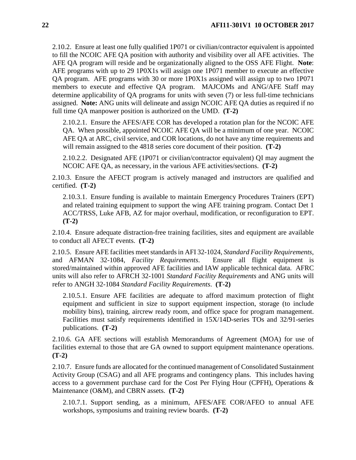2.10.2. Ensure at least one fully qualified 1P071 or civilian/contractor equivalent is appointed to fill the NCOIC AFE QA position with authority and visibility over all AFE activities. The AFE QA program will reside and be organizationally aligned to the OSS AFE Flight. **Note**: AFE programs with up to 29 1P0X1s will assign one 1P071 member to execute an effective QA program. AFE programs with 30 or more 1P0X1s assigned will assign up to two 1P071 members to execute and effective QA program. MAJCOMs and ANG/AFE Staff may determine applicability of QA programs for units with seven (7) or less full-time technicians assigned. **Note:** ANG units will delineate and assign NCOIC AFE QA duties as required if no full time QA manpower position is authorized on the UMD. **(T-2)**

2.10.2.1. Ensure the AFES/AFE COR has developed a rotation plan for the NCOIC AFE QA. When possible, appointed NCOIC AFE QA will be a minimum of one year. NCOIC AFE QA at ARC, civil service, and COR locations, do not have any time requirements and will remain assigned to the 4818 series core document of their position. **(T-2)**

2.10.2.2. Designated AFE (1P071 or civilian/contractor equivalent) QI may augment the NCOIC AFE QA, as necessary, in the various AFE activities/sections. **(T-2)**

2.10.3. Ensure the AFECT program is actively managed and instructors are qualified and certified. **(T-2)**

2.10.3.1. Ensure funding is available to maintain Emergency Procedures Trainers (EPT) and related training equipment to support the wing AFE training program. Contact Det 1 ACC/TRSS, Luke AFB, AZ for major overhaul, modification, or reconfiguration to EPT. **(T-2)**

2.10.4. Ensure adequate distraction-free training facilities, sites and equipment are available to conduct all AFECT events. **(T-2)**

2.10.5. Ensure AFE facilities meet standards in AFI 32-1024, *Standard Facility Requirements*, and AFMAN 32-1084, *Facility Requirements*. Ensure all flight equipment is stored/maintained within approved AFE facilities and IAW applicable technical data. AFRC units will also refer to AFRCH 32-1001 *Standard Facility Requirements* and ANG units will refer to ANGH 32-1084 *Standard Facility Requirements*. **(T-2)**

2.10.5.1. Ensure AFE facilities are adequate to afford maximum protection of flight equipment and sufficient in size to support equipment inspection, storage (to include mobility bins), training, aircrew ready room, and office space for program management. Facilities must satisfy requirements identified in 15X/14D-series TOs and 32/91-series publications. **(T-2)**

2.10.6. GA AFE sections will establish Memorandums of Agreement (MOA) for use of facilities external to those that are GA owned to support equipment maintenance operations. **(T-2)**

2.10.7. Ensure funds are allocated for the continued management of Consolidated Sustainment Activity Group (CSAG) and all AFE programs and contingency plans. This includes having access to a government purchase card for the Cost Per Flying Hour (CPFH), Operations & Maintenance (O&M), and CBRN assets. **(T-2)**

2.10.7.1. Support sending, as a minimum, AFES/AFE COR/AFEO to annual AFE workshops, symposiums and training review boards. **(T-2)**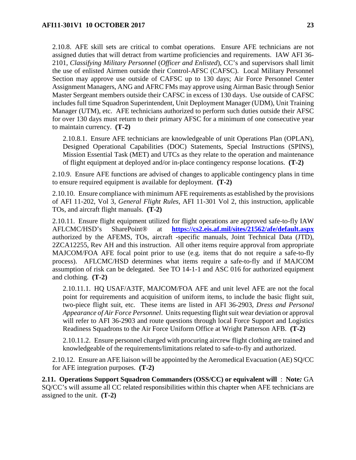2.10.8. AFE skill sets are critical to combat operations. Ensure AFE technicians are not assigned duties that will detract from wartime proficiencies and requirements. IAW AFI 36- 2101, *Classifying Military Personnel* (*Officer and Enlisted*), CC's and supervisors shall limit the use of enlisted Airmen outside their Control-AFSC (CAFSC). Local Military Personnel Section may approve use outside of CAFSC up to 130 days; Air Force Personnel Center Assignment Managers, ANG and AFRC FMs may approve using Airman Basic through Senior Master Sergeant members outside their CAFSC in excess of 130 days. Use outside of CAFSC includes full time Squadron Superintendent, Unit Deployment Manager (UDM), Unit Training Manager (UTM), etc. AFE technicians authorized to perform such duties outside their AFSC for over 130 days must return to their primary AFSC for a minimum of one consecutive year to maintain currency. **(T-2)**

2.10.8.1. Ensure AFE technicians are knowledgeable of unit Operations Plan (OPLAN), Designed Operational Capabilities (DOC) Statements, Special Instructions (SPINS), Mission Essential Task (MET) and UTCs as they relate to the operation and maintenance of flight equipment at deployed and/or in-place contingency response locations. **(T-2)**

2.10.9. Ensure AFE functions are advised of changes to applicable contingency plans in time to ensure required equipment is available for deployment. **(T-2)**

2.10.10. Ensure compliance with minimum AFE requirements as established by the provisions of AFI 11-202, Vol 3, *General Flight Rules*, AFI 11-301 Vol 2, this instruction, applicable TOs, and aircraft flight manuals. **(T-2)**

2.10.11. Ensure flight equipment utilized for flight operations are approved safe-to-fly IAW AFLCMC/HSD's SharePoint® at **<https://cs2.eis.af.mil/sites/21562/afe/default.aspx>** authorized by the AFEMS, TOs, aircraft -specific manuals, Joint Technical Data (JTD), 2ZCA12255, Rev AH and this instruction. All other items require approval from appropriate MAJCOM/FOA AFE focal point prior to use (e.g. items that do not require a safe-to-fly process). AFLCMC/HSD determines what items require a safe-to-fly and if MAJCOM assumption of risk can be delegated. See TO 14-1-1 and ASC 016 for authorized equipment and clothing. **(T-2)**

2.10.11.1. HQ USAF/A3TF, MAJCOM/FOA AFE and unit level AFE are not the focal point for requirements and acquisition of uniform items, to include the basic flight suit, two-piece flight suit, etc. These items are listed in AFI 36-2903, *Dress and Personal Appearance of Air Force Personnel*. Units requesting flight suit wear deviation or approval will refer to AFI 36-2903 and route questions through local Force Support and Logistics Readiness Squadrons to the Air Force Uniform Office at Wright Patterson AFB. **(T-2)**

2.10.11.2. Ensure personnel charged with procuring aircrew flight clothing are trained and knowledgeable of the requirements/limitations related to safe-to-fly and authorized.

2.10.12. Ensure an AFE liaison will be appointed by the Aeromedical Evacuation (AE) SQ/CC for AFE integration purposes. **(T-2)**

<span id="page-23-0"></span>**2.11. Operations Support Squadron Commanders (OSS/CC) or equivalent will** : **Note***:* GA SQ/CC's will assume all CC related responsibilities within this chapter when AFE technicians are assigned to the unit. **(T-2)**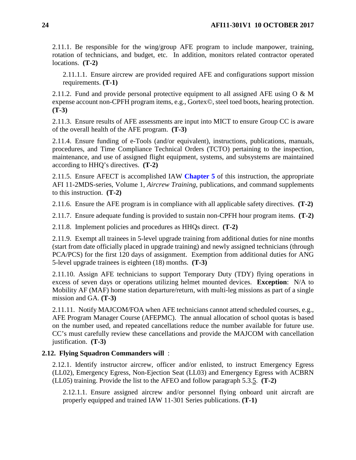2.11.1. Be responsible for the wing/group AFE program to include manpower, training, rotation of technicians, and budget, etc. In addition, monitors related contractor operated locations. **(T-2)**

2.11.1.1. Ensure aircrew are provided required AFE and configurations support mission requirements. **(T-1)**

2.11.2. Fund and provide personal protective equipment to all assigned AFE using  $O \& M$ expense account non-CPFH program items, e.g., Gortex©, steel toed boots, hearing protection. **(T-3)**

2.11.3. Ensure results of AFE assessments are input into MICT to ensure Group CC is aware of the overall health of the AFE program. **(T-3)**

2.11.4. Ensure funding of e-Tools (and/or equivalent), instructions, publications, manuals, procedures, and Time Compliance Technical Orders (TCTO) pertaining to the inspection, maintenance, and use of assigned flight equipment, systems, and subsystems are maintained according to HHQ's directives. **(T-2)**

2.11.5. Ensure AFECT is accomplished IAW **[Chapter](#page-55-0) 5** of this instruction, the appropriate AFI 11-2MDS-series, Volume 1, *Aircrew Training*, publications, and command supplements to this instruction. **(T-2)**

2.11.6. Ensure the AFE program is in compliance with all applicable safety directives. **(T-2)**

2.11.7. Ensure adequate funding is provided to sustain non-CPFH hour program items. **(T-2)**

2.11.8. Implement policies and procedures as HHQs direct. **(T-2)**

2.11.9. Exempt all trainees in 5-level upgrade training from additional duties for nine months (start from date officially placed in upgrade training) and newly assigned technicians (through PCA/PCS) for the first 120 days of assignment. Exemption from additional duties for ANG 5-level upgrade trainees is eighteen (18) months. **(T-3)**

2.11.10. Assign AFE technicians to support Temporary Duty (TDY) flying operations in excess of seven days or operations utilizing helmet mounted devices. **Exception**: N/A to Mobility AF (MAF) home station departure/return, with multi-leg missions as part of a single mission and GA. **(T-3)**

2.11.11. Notify MAJCOM/FOA when AFE technicians cannot attend scheduled courses, e.g., AFE Program Manager Course (AFEPMC). The annual allocation of school quotas is based on the number used, and repeated cancellations reduce the number available for future use. CC's must carefully review these cancellations and provide the MAJCOM with cancellation justification. **(T-3)**

## <span id="page-24-0"></span>**2.12. Flying Squadron Commanders will** :

2.12.1. Identify instructor aircrew, officer and/or enlisted, to instruct Emergency Egress (LL02), Emergency Egress, Non-Ejection Seat (LL03) and Emergency Egress with ACBRN (LL05) training. Provide the list to the AFEO and follow paragraph 5.3.5. **(T-2)**

2.12.1.1. Ensure assigned aircrew and/or personnel flying onboard unit aircraft are properly equipped and trained IAW 11-301 Series publications. **(T-1)**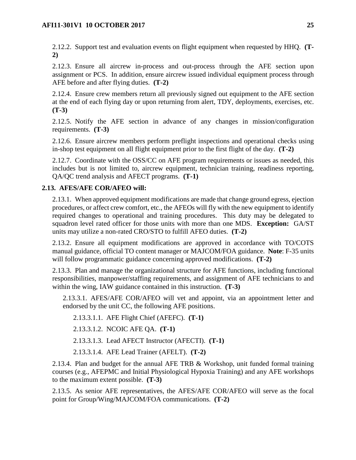2.12.2. Support test and evaluation events on flight equipment when requested by HHQ. **(T-2)**

2.12.3. Ensure all aircrew in-process and out-process through the AFE section upon assignment or PCS. In addition, ensure aircrew issued individual equipment process through AFE before and after flying duties. **(T-2)**

2.12.4. Ensure crew members return all previously signed out equipment to the AFE section at the end of each flying day or upon returning from alert, TDY, deployments, exercises, etc. **(T-3)**

2.12.5. Notify the AFE section in advance of any changes in mission/configuration requirements. **(T-3)**

2.12.6. Ensure aircrew members perform preflight inspections and operational checks using in-shop test equipment on all flight equipment prior to the first flight of the day. **(T-2)**

2.12.7. Coordinate with the OSS/CC on AFE program requirements or issues as needed, this includes but is not limited to, aircrew equipment, technician training, readiness reporting, QA/QC trend analysis and AFECT programs. **(T-1)**

### <span id="page-25-0"></span>**2.13. AFES/AFE COR/AFEO will:**

2.13.1. When approved equipment modifications are made that change ground egress, ejection procedures, or affect crew comfort, etc., the AFEOs will fly with the new equipment to identify required changes to operational and training procedures. This duty may be delegated to squadron level rated officer for those units with more than one MDS. **Exception:** GA/ST units may utilize a non-rated CRO/STO to fulfill AFEO duties. **(T-2)**

2.13.2. Ensure all equipment modifications are approved in accordance with TO/COTS manual guidance, official TO content manager or MAJCOM/FOA guidance. **Note**: F-35 units will follow programmatic guidance concerning approved modifications. **(T-2)**

2.13.3. Plan and manage the organizational structure for AFE functions, including functional responsibilities, manpower/staffing requirements, and assignment of AFE technicians to and within the wing, IAW guidance contained in this instruction. **(T-3)**

2.13.3.1. AFES/AFE COR/AFEO will vet and appoint, via an appointment letter and endorsed by the unit CC, the following AFE positions.

2.13.3.1.1. AFE Flight Chief (AFEFC). **(T-1)**

2.13.3.1.2. NCOIC AFE QA. **(T-1)**

2.13.3.1.3. Lead AFECT Instructor (AFECTI). **(T-1)**

2.13.3.1.4. AFE Lead Trainer (AFELT). **(T-2)**

2.13.4. Plan and budget for the annual AFE TRB & Workshop, unit funded formal training courses (e.g., AFEPMC and Initial Physiological Hypoxia Training) and any AFE workshops to the maximum extent possible. **(T-3)**

2.13.5. As senior AFE representatives, the AFES/AFE COR/AFEO will serve as the focal point for Group/Wing/MAJCOM/FOA communications. **(T-2)**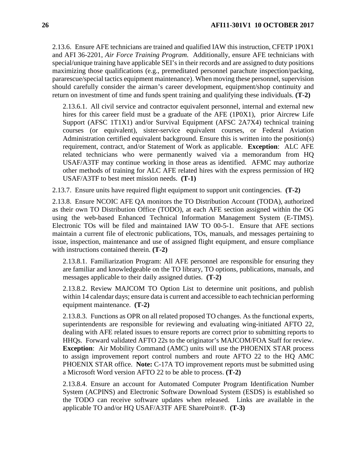2.13.6. Ensure AFE technicians are trained and qualified IAW this instruction, CFETP 1P0X1 and AFI 36-2201, *Air Force Training Program*. Additionally, ensure AFE technicians with special/unique training have applicable SEI's in their records and are assigned to duty positions maximizing those qualifications (e.g., premeditated personnel parachute inspection/packing, pararescue/special tactics equipment maintenance). When moving these personnel, supervision should carefully consider the airman's career development, equipment/shop continuity and return on investment of time and funds spent training and qualifying these individuals. **(T-2)**

2.13.6.1. All civil service and contractor equivalent personnel, internal and external new hires for this career field must be a graduate of the AFE (1P0X1), prior Aircrew Life Support (AFSC 1T1X1) and/or Survival Equipment (AFSC 2A7X4) technical training courses (or equivalent), sister-service equivalent courses, or Federal Aviation Administration certified equivalent background. Ensure this is written into the position(s) requirement, contract, and/or Statement of Work as applicable. **Exception**: ALC AFE related technicians who were permanently waived via a memorandum from HQ USAF/A3TF may continue working in those areas as identified. AFMC may authorize other methods of training for ALC AFE related hires with the express permission of HQ USAF/A3TF to best meet mission needs. **(T-1)**

2.13.7. Ensure units have required flight equipment to support unit contingencies. **(T-2)**

2.13.8. Ensure NCOIC AFE QA monitors the TO Distribution Account (TODA), authorized as their own TO Distribution Office (TODO), at each AFE section assigned within the OG using the web-based Enhanced Technical Information Management System (E-TIMS). Electronic TOs will be filed and maintained IAW TO 00-5-1. Ensure that AFE sections maintain a current file of electronic publications, TOs, manuals, and messages pertaining to issue, inspection, maintenance and use of assigned flight equipment, and ensure compliance with instructions contained therein. **(T-2)**

2.13.8.1. Familiarization Program: All AFE personnel are responsible for ensuring they are familiar and knowledgeable on the TO library, TO options, publications, manuals, and messages applicable to their daily assigned duties. **(T-2)**

2.13.8.2. Review MAJCOM TO Option List to determine unit positions, and publish within 14 calendar days; ensure data is current and accessible to each technician performing equipment maintenance. **(T-2)**

2.13.8.3. Functions as OPR on all related proposed TO changes. As the functional experts, superintendents are responsible for reviewing and evaluating wing-initiated AFTO 22, dealing with AFE related issues to ensure reports are correct prior to submitting reports to HHQs. Forward validated AFTO 22s to the originator's MAJCOM/FOA Staff for review. **Exception**: Air Mobility Command (AMC) units will use the PHOENIX STAR process to assign improvement report control numbers and route AFTO 22 to the HQ AMC PHOENIX STAR office. **Note:** C-17A TO improvement reports must be submitted using a Microsoft Word version AFTO 22 to be able to process. **(T-2)**

2.13.8.4. Ensure an account for Automated Computer Program Identification Number System (ACPINS) and Electronic Software Download System (ESDS) is established so the TODO can receive software updates when released. Links are available in the applicable TO and/or HQ USAF/A3TF AFE SharePoint®. **(T-3)**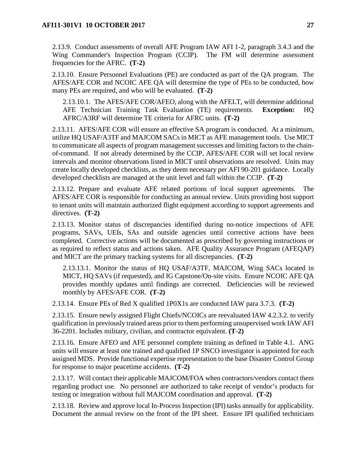2.13.9. Conduct assessments of overall AFE Program IAW AFI 1-2, paragraph 3.4.3 and the Wing Commander's Inspection Program (CCIP). The FM will determine assessment frequencies for the AFRC. **(T-2)**

2.13.10. Ensure Personnel Evaluations (PE) are conducted as part of the QA program. The AFES/AFE COR and NCOIC AFE QA will determine the type of PEs to be conducted, how many PEs are required, and who will be evaluated. **(T-2)**

2.13.10.1. The AFES/AFE COR/AFEO, along with the AFELT, will determine additional AFE Technician Training Task Evaluation (TE) requirements. **Exception:** HQ AFRC/A3RF will determine TE criteria for AFRC units. **(T-2)**

2.13.11. AFES/AFE COR will ensure an effective SA program is conducted. At a minimum, utilize HQ USAF/A3TF and MAJCOM SACs in MICT as AFE management tools. Use MICT to communicate all aspects of program management successes and limiting factors to the chainof-command. If not already determined by the CCIP, AFES/AFE COR will set local review intervals and monitor observations listed in MICT until observations are resolved. Units may create locally developed checklists, as they deem necessary per AFI 90-201 guidance. Locally developed checklists are managed at the unit level and fall within the CCIP. **(T-2)** 

2.13.12. Prepare and evaluate AFE related portions of local support agreements. The AFES/AFE COR is responsible for conducting an annual review. Units providing host support to tenant units will maintain authorized flight equipment according to support agreements and directives. **(T-2)**

2.13.13. Monitor status of discrepancies identified during no-notice inspections of AFE programs, SAVs, UEIs, SAs and outside agencies until corrective actions have been completed. Corrective actions will be documented as prescribed by governing instructions or as required to reflect status and actions taken. AFE Quality Assurance Program (AFEQAP) and MICT are the primary tracking systems for all discrepancies. **(T-2)**

2.13.13.1. Monitor the status of HQ USAF/A3TF, MAJCOM, Wing SACs located in MICT, HQ SAVs (if requested), and IG Capstone/On-site visits. Ensure NCOIC AFE QA provides monthly updates until findings are corrected. Deficiencies will be reviewed monthly by AFES/AFE COR. **(T-2)**

2.13.14. Ensure PEs of Red X qualified 1P0X1s are conducted IAW para 3.7.3. **(T-2)**

2.13.15. Ensure newly assigned Flight Chiefs/NCOICs are reevaluated IAW 4.2.3.2. to verify qualification in previously trained areas prior to them performing unsupervised work IAW AFI 36-2201. Includes military, civilian, and contractor equivalent. **(T-2)**

2.13.16. Ensure AFEO and AFE personnel complete training as defined in Table 4.1. ANG units will ensure at least one trained and qualified 1P SNCO investigator is appointed for each assigned MDS. Provide functional expertise representation to the base Disaster Control Group for response to major peacetime accidents. **(T-2)**

2.13.17. Will contact their applicable MAJCOM/FOA when contractors/vendors contact them regarding product use. No personnel are authorized to take receipt of vendor's products for testing or integration without full MAJCOM coordination and approval. **(T-2)**

2.13.18. Review and approve local In-Process Inspection (IPI) tasks annually for applicability. Document the annual review on the front of the IPI sheet. Ensure IPI qualified technicians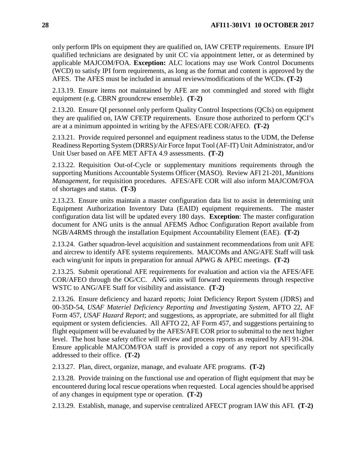only perform IPIs on equipment they are qualified on, IAW CFETP requirements. Ensure IPI qualified technicians are designated by unit CC via appointment letter, or as determined by applicable MAJCOM/FOA. **Exception:** ALC locations may use Work Control Documents (WCD) to satisfy IPI form requirements, as long as the format and content is approved by the AFES. The AFES must be included in annual reviews/modifications of the WCDs. **(T-2)**

2.13.19. Ensure items not maintained by AFE are not commingled and stored with flight equipment (e.g. CBRN groundcrew ensemble). **(T-2)**

2.13.20. Ensure QI personnel only perform Quality Control Inspections (QCIs) on equipment they are qualified on, IAW CFETP requirements. Ensure those authorized to perform QCI's are at a minimum appointed in writing by the AFES/AFE COR/AFEO. **(T-2)**

2.13.21. Provide required personnel and equipment readiness status to the UDM, the Defense Readiness Reporting System (DRRS)/Air Force Input Tool (AF-IT) Unit Administrator, and/or Unit User based on AFE MET AFTA 4.9 assessments. **(T-2)**

2.13.22. Requisition Out-of-Cycle or supplementary munitions requirements through the supporting Munitions Accountable Systems Officer (MASO). Review AFI 21-201, *Munitions Management*, for requisition procedures. AFES/AFE COR will also inform MAJCOM/FOA of shortages and status. **(T-3)**

2.13.23. Ensure units maintain a master configuration data list to assist in determining unit Equipment Authorization Inventory Data (EAID) equipment requirements. The master configuration data list will be updated every 180 days. **Exception**: The master configuration document for ANG units is the annual AFEMS Adhoc Configuration Report available from NGB/A4RMS through the installation Equipment Accountability Element (EAE). **(T-2)**

2.13.24. Gather squadron-level acquisition and sustainment recommendations from unit AFE and aircrew to identify AFE systems requirements. MAJCOMs and ANG/AFE Staff will task each wing/unit for inputs in preparation for annual APWG & APEC meetings. **(T-2)**

2.13.25. Submit operational AFE requirements for evaluation and action via the AFES/AFE COR/AFEO through the OG/CC. ANG units will forward requirements through respective WSTC to ANG/AFE Staff for visibility and assistance. **(T-2)**

2.13.26. Ensure deficiency and hazard reports; Joint Deficiency Report System (JDRS) and 00-35D-54, *USAF Materiel Deficiency Reporting and Investigating System,* AFTO 22, AF Form 457, *USAF Hazard Report*; and suggestions, as appropriate, are submitted for all flight equipment or system deficiencies. All AFTO 22, AF Form 457, and suggestions pertaining to flight equipment will be evaluated by the AFES/AFE COR prior to submittal to the next higher level. The host base safety office will review and process reports as required by AFI 91-204. Ensure applicable MAJCOM/FOA staff is provided a copy of any report not specifically addressed to their office. **(T-2)**

2.13.27. Plan, direct, organize, manage, and evaluate AFE programs. **(T-2)**

2.13.28. Provide training on the functional use and operation of flight equipment that may be encountered during local rescue operations when requested. Local agencies should be apprised of any changes in equipment type or operation. **(T-2)**

2.13.29. Establish, manage, and supervise centralized AFECT program IAW this AFI. **(T-2)**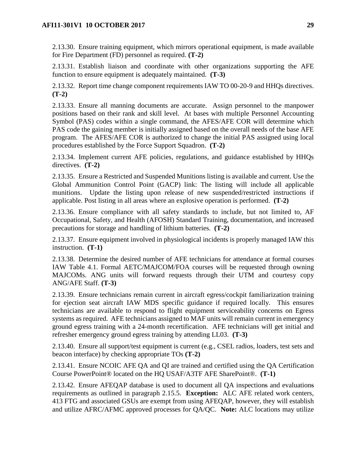2.13.30. Ensure training equipment, which mirrors operational equipment, is made available for Fire Department (FD) personnel as required. **(T-2)**

2.13.31. Establish liaison and coordinate with other organizations supporting the AFE function to ensure equipment is adequately maintained. **(T-3)**

2.13.32. Report time change component requirements IAW TO 00-20-9 and HHQs directives. **(T-2)**

2.13.33. Ensure all manning documents are accurate. Assign personnel to the manpower positions based on their rank and skill level. At bases with multiple Personnel Accounting Symbol (PAS) codes within a single command, the AFES/AFE COR will determine which PAS code the gaining member is initially assigned based on the overall needs of the base AFE program. The AFES/AFE COR is authorized to change the initial PAS assigned using local procedures established by the Force Support Squadron. **(T-2)**

2.13.34. Implement current AFE policies, regulations, and guidance established by HHQs directives. **(T-2)**

2.13.35. Ensure a Restricted and Suspended Munitions listing is available and current. Use the Global Ammunition Control Point (GACP) link: The listing will include all applicable munitions. Update the listing upon release of new suspended/restricted instructions if applicable. Post listing in all areas where an explosive operation is performed. **(T-2)**

2.13.36. Ensure compliance with all safety standards to include, but not limited to, AF Occupational, Safety, and Health (AFOSH) Standard Training, documentation, and increased precautions for storage and handling of lithium batteries. **(T-2)**

2.13.37. Ensure equipment involved in physiological incidents is properly managed IAW this instruction. **(T-1)**

2.13.38. Determine the desired number of AFE technicians for attendance at formal courses IAW Table 4.1. Formal AETC/MAJCOM/FOA courses will be requested through owning MAJCOMs. ANG units will forward requests through their UTM and courtesy copy ANG/AFE Staff. **(T-3)**

2.13.39. Ensure technicians remain current in aircraft egress/cockpit familiarization training for ejection seat aircraft IAW MDS specific guidance if required locally. This ensures technicians are available to respond to flight equipment serviceability concerns on Egress systems as required. AFE technicians assigned to MAF units will remain current in emergency ground egress training with a 24-month recertification. AFE technicians will get initial and refresher emergency ground egress training by attending LL03. **(T-3)**

2.13.40. Ensure all support/test equipment is current (e.g., CSEL radios, loaders, test sets and beacon interface) by checking appropriate TOs **(T-2)**

2.13.41. Ensure NCOIC AFE QA and QI are trained and certified using the QA Certification Course PowerPoint® located on the HQ USAF/A3TF AFE SharePoint®. **(T-1)**

2.13.42. Ensure AFEQAP database is used to document all QA inspections and evaluations requirements as outlined in paragraph 2.15.5. **Exception:** ALC AFE related work centers, 413 FTG and associated GSUs are exempt from using AFEQAP, however, they will establish and utilize AFRC/AFMC approved processes for QA/QC. **Note:** ALC locations may utilize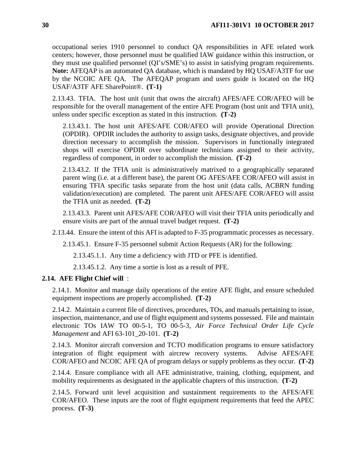occupational series 1910 personnel to conduct QA responsibilities in AFE related work centers; however, those personnel must be qualified IAW guidance within this instruction, or they must use qualified personnel (QI's/SME's) to assist in satisfying program requirements. **Note:** AFEQAP is an automated QA database, which is mandated by HQ USAF/A3TF for use by the NCOIC AFE QA. The AFEQAP program and users guide is located on the HQ USAF/A3TF AFE SharePoint®. **(T-1)**

2.13.43. TFIA. The host unit (unit that owns the aircraft) AFES/AFE COR/AFEO will be responsible for the overall management of the entire AFE Program (host unit and TFIA unit), unless under specific exception as stated in this instruction. **(T-2)**

2.13.43.1. The host unit AFES/AFE COR/AFEO will provide Operational Direction (OPDIR). OPDIR includes the authority to assign tasks, designate objectives, and provide direction necessary to accomplish the mission. Supervisors in functionally integrated shops will exercise OPDIR over subordinate technicians assigned to their activity, regardless of component, in order to accomplish the mission. **(T-2)**

2.13.43.2. If the TFIA unit is administratively matrixed to a geographically separated parent wing (i.e. at a different base), the parent OG AFES/AFE COR/AFEO will assist in ensuring TFIA specific tasks separate from the host unit (data calls, ACBRN funding validation/execution) are completed. The parent unit AFES/AFE COR/AFEO will assist the TFIA unit as needed. **(T-2)**

2.13.43.3. Parent unit AFES/AFE COR/AFEO will visit their TFIA units periodically and ensure visits are part of the annual travel budget request. **(T-2)**

2.13.44. Ensure the intent of this AFI is adapted to F-35 programmatic processes as necessary.

2.13.45.1. Ensure F-35 personnel submit Action Requests (AR) for the following:

2.13.45.1.1. Any time a deficiency with JTD or PFE is identified.

2.13.45.1.2. Any time a sortie is lost as a result of PFE.

#### <span id="page-30-0"></span>**2.14. AFE Flight Chief will** :

2.14.1. Monitor and manage daily operations of the entire AFE flight, and ensure scheduled equipment inspections are properly accomplished. **(T-2)**

2.14.2. Maintain a current file of directives, procedures, TOs, and manuals pertaining to issue, inspection, maintenance, and use of flight equipment and systems possessed. File and maintain electronic TOs IAW TO 00-5-1, TO 00-5-3, *Air Force Technical Order Life Cycle Management* and AFI 63-101\_20-101. **(T-2)**

2.14.3. Monitor aircraft conversion and TCTO modification programs to ensure satisfactory integration of flight equipment with aircrew recovery systems. Advise AFES/AFE COR/AFEO and NCOIC AFE QA of program delays or supply problems as they occur. **(T-2)**

2.14.4. Ensure compliance with all AFE administrative, training, clothing, equipment, and mobility requirements as designated in the applicable chapters of this instruction. **(T-2)**

2.14.5. Forward unit level acquisition and sustainment requirements to the AFES/AFE COR/AFEO. These inputs are the root of flight equipment requirements that feed the APEC process. **(T-3)**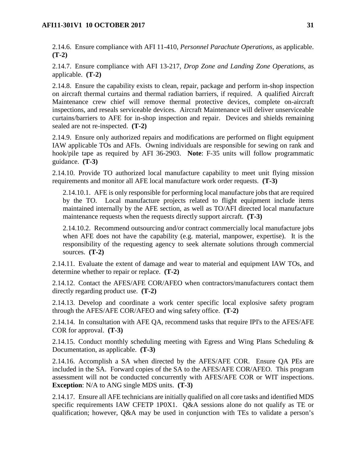2.14.6. Ensure compliance with AFI 11-410, *Personnel Parachute Operations*, as applicable. **(T-2)**

2.14.7. Ensure compliance with AFI 13-217, *Drop Zone and Landing Zone Operations*, as applicable. **(T-2)**

2.14.8. Ensure the capability exists to clean, repair, package and perform in-shop inspection on aircraft thermal curtains and thermal radiation barriers, if required. A qualified Aircraft Maintenance crew chief will remove thermal protective devices, complete on-aircraft inspections, and reseals serviceable devices. Aircraft Maintenance will deliver unserviceable curtains/barriers to AFE for in-shop inspection and repair. Devices and shields remaining sealed are not re-inspected. **(T-2)**

2.14.9. Ensure only authorized repairs and modifications are performed on flight equipment IAW applicable TOs and AFIs. Owning individuals are responsible for sewing on rank and hook/pile tape as required by AFI 36-2903. **Note**: F-35 units will follow programmatic guidance. **(T-3)**

2.14.10. Provide TO authorized local manufacture capability to meet unit flying mission requirements and monitor all AFE local manufacture work order requests. **(T-3)**

2.14.10.1. AFE is only responsible for performing local manufacture jobs that are required by the TO. Local manufacture projects related to flight equipment include items maintained internally by the AFE section, as well as TO/AFI directed local manufacture maintenance requests when the requests directly support aircraft. **(T-3)**

2.14.10.2. Recommend outsourcing and/or contract commercially local manufacture jobs when AFE does not have the capability (e.g. material, manpower, expertise). It is the responsibility of the requesting agency to seek alternate solutions through commercial sources. **(T-2)**

2.14.11. Evaluate the extent of damage and wear to material and equipment IAW TOs, and determine whether to repair or replace. **(T-2)**

2.14.12. Contact the AFES/AFE COR/AFEO when contractors/manufacturers contact them directly regarding product use. **(T-2)**

2.14.13. Develop and coordinate a work center specific local explosive safety program through the AFES/AFE COR/AFEO and wing safety office. **(T-2)**

2.14.14. In consultation with AFE QA, recommend tasks that require IPI's to the AFES/AFE COR for approval. **(T-3)**

2.14.15. Conduct monthly scheduling meeting with Egress and Wing Plans Scheduling  $\&$ Documentation, as applicable. **(T-3)**

2.14.16. Accomplish a SA when directed by the AFES/AFE COR. Ensure QA PEs are included in the SA. Forward copies of the SA to the AFES/AFE COR/AFEO. This program assessment will not be conducted concurrently with AFES/AFE COR or WIT inspections. **Exception**: N/A to ANG single MDS units. **(T-3)**

2.14.17. Ensure all AFE technicians are initially qualified on all core tasks and identified MDS specific requirements IAW CFETP 1P0X1. Q&A sessions alone do not qualify as TE or qualification; however, Q&A may be used in conjunction with TEs to validate a person's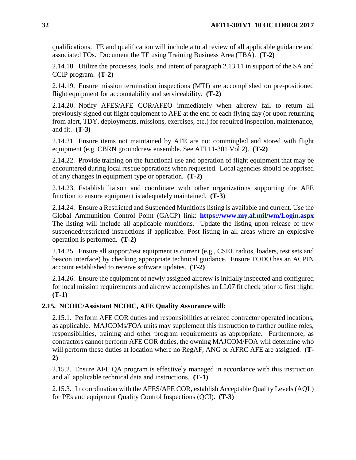qualifications. TE and qualification will include a total review of all applicable guidance and associated TOs. Document the TE using Training Business Area (TBA). **(T-2)**

2.14.18. Utilize the processes, tools, and intent of paragraph 2.13.11 in support of the SA and CCIP program. **(T-2)**

2.14.19. Ensure mission termination inspections (MTI) are accomplished on pre-positioned flight equipment for accountability and serviceability. **(T-2)**

2.14.20. Notify AFES/AFE COR/AFEO immediately when aircrew fail to return all previously signed out flight equipment to AFE at the end of each flying day (or upon returning from alert, TDY, deployments, missions, exercises, etc.) for required inspection, maintenance, and fit. **(T-3)**

2.14.21. Ensure items not maintained by AFE are not commingled and stored with flight equipment (e.g. CBRN groundcrew ensemble. See AFI 11-301 Vol 2). **(T-2)**

2.14.22. Provide training on the functional use and operation of flight equipment that may be encountered during local rescue operations when requested. Local agencies should be apprised of any changes in equipment type or operation. **(T-2)**

2.14.23. Establish liaison and coordinate with other organizations supporting the AFE function to ensure equipment is adequately maintained. **(T-3)**

2.14.24. Ensure a Restricted and Suspended Munitions listing is available and current. Use the Global Ammunition Control Point (GACP) link: **<https://www.my.af.mil/wm/Login.aspx>** The listing will include all applicable munitions. Update the listing upon release of new suspended/restricted instructions if applicable. Post listing in all areas where an explosive operation is performed. **(T-2)**

2.14.25. Ensure all support/test equipment is current (e.g., CSEL radios, loaders, test sets and beacon interface) by checking appropriate technical guidance. Ensure TODO has an ACPIN account established to receive software updates. **(T-2)**

2.14.26. Ensure the equipment of newly assigned aircrew is initially inspected and configured for local mission requirements and aircrew accomplishes an LL07 fit check prior to first flight. **(T-1)**

## <span id="page-32-0"></span>**2.15. NCOIC/Assistant NCOIC, AFE Quality Assurance will:**

2.15.1. Perform AFE COR duties and responsibilities at related contractor operated locations, as applicable. MAJCOMs/FOA units may supplement this instruction to further outline roles, responsibilities, training and other program requirements as appropriate. Furthermore, as contractors cannot perform AFE COR duties, the owning MAJCOM/FOA will determine who will perform these duties at location where no RegAF, ANG or AFRC AFE are assigned. **(T-2)**

2.15.2. Ensure AFE QA program is effectively managed in accordance with this instruction and all applicable technical data and instructions. **(T-1)**

2.15.3. In coordination with the AFES/AFE COR, establish Acceptable Quality Levels (AQL) for PEs and equipment Quality Control Inspections (QCI). **(T-3)**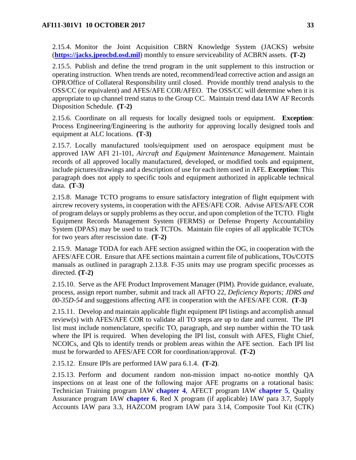2.15.4. Monitor the Joint Acquisition CBRN Knowledge System (JACKS) website (**[https://jacks.jpeocbd.osd.mil](https://jacks.jpeocbd.osd.mil/)**) monthly to ensure serviceability of ACBRN assets. **(T-2)**

2.15.5. Publish and define the trend program in the unit supplement to this instruction or operating instruction. When trends are noted, recommend/lead corrective action and assign an OPR/Office of Collateral Responsibility until closed. Provide monthly trend analysis to the OSS/CC (or equivalent) and AFES/AFE COR/AFEO. The OSS/CC will determine when it is appropriate to up channel trend status to the Group CC. Maintain trend data IAW AF Records Disposition Schedule. **(T-2)**

2.15.6. Coordinate on all requests for locally designed tools or equipment. **Exception**: Process Engineering/Engineering is the authority for approving locally designed tools and equipment at ALC locations. **(T-3)**

2.15.7. Locally manufactured tools/equipment used on aerospace equipment must be approved IAW AFI 21-101, *Aircraft and Equipment Maintenance Management*. Maintain records of all approved locally manufactured, developed, or modified tools and equipment, include pictures/drawings and a description of use for each item used in AFE. **Exception**: This paragraph does not apply to specific tools and equipment authorized in applicable technical data. **(T-3)**

2.15.8. Manage TCTO programs to ensure satisfactory integration of flight equipment with aircrew recovery systems, in cooperation with the AFES/AFE COR. Advise AFES/AFE COR of program delays or supply problems as they occur, and upon completion of the TCTO. Flight Equipment Records Management System (FERMS) or Defense Property Accountability System (DPAS) may be used to track TCTOs. Maintain file copies of all applicable TCTOs for two years after rescission date. **(T-2)**

2.15.9. Manage TODA for each AFE section assigned within the OG, in cooperation with the AFES/AFE COR. Ensure that AFE sections maintain a current file of publications, TOs/COTS manuals as outlined in paragraph 2.13.8. F-35 units may use program specific processes as directed. **(T-2)**

2.15.10. Serve as the AFE Product Improvement Manager (PIM). Provide guidance, evaluate, process, assign report number, submit and track all AFTO 22, *Deficiency Reports; JDRS and 00-35D-54* and suggestions affecting AFE in cooperation with the AFES/AFE COR. **(T-3)**

2.15.11. Develop and maintain applicable flight equipment IPI listings and accomplish annual review(s) with AFES/AFE COR to validate all TO steps are up to date and current. The IPI list must include nomenclature, specific TO, paragraph, and step number within the TO task where the IPI is required. When developing the IPI list, consult with AFES, Flight Chief, NCOICs, and QIs to identify trends or problem areas within the AFE section. Each IPI list must be forwarded to AFES/AFE COR for coordination/approval. **(T-2)**

2.15.12. Ensure IPIs are performed IAW para 6.1.4. **(T-2)**.

2.15.13. Perform and document random non-mission impact no-notice monthly QA inspections on at least one of the following major AFE programs on a rotational basis: Technician Training program IAW **[chapter](#page-50-0) 4**, AFECT program IAW **[chapter](#page-55-0) 5**, Quality Assurance program IAW **[chapter](#page-65-0) 6**, Red X program (if applicable) IAW para 3.7, Supply Accounts IAW para 3.3, HAZCOM program IAW para 3.14, Composite Tool Kit (CTK)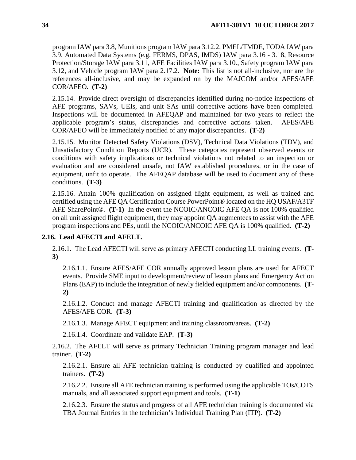program IAW para 3.8, Munitions program IAW para 3.12.2, PMEL/TMDE, TODA IAW para 3.9, Automated Data Systems (e.g. FERMS, DPAS, IMDS) IAW para 3.16 - 3.18, Resource Protection/Storage IAW para 3.11, AFE Facilities IAW para 3.10., Safety program IAW para 3.12, and Vehicle program IAW para 2.17.2. **Note:** This list is not all-inclusive, nor are the references all-inclusive, and may be expanded on by the MAJCOM and/or AFES/AFE COR/AFEO. **(T-2)**

2.15.14. Provide direct oversight of discrepancies identified during no-notice inspections of AFE programs, SAVs, UEIs, and unit SAs until corrective actions have been completed. Inspections will be documented in AFEQAP and maintained for two years to reflect the applicable program's status, discrepancies and corrective actions taken. AFES/AFE COR/AFEO will be immediately notified of any major discrepancies. **(T-2)**

2.15.15. Monitor Detected Safety Violations (DSV), Technical Data Violations (TDV), and Unsatisfactory Condition Reports (UCR). These categories represent observed events or conditions with safety implications or technical violations not related to an inspection or evaluation and are considered unsafe, not IAW established procedures, or in the case of equipment, unfit to operate. The AFEQAP database will be used to document any of these conditions. **(T-3)**

2.15.16. Attain 100% qualification on assigned flight equipment, as well as trained and certified using the AFE QA Certification Course PowerPoint® located on the HQ USAF/A3TF AFE SharePoint®. **(T-1)** In the event the NCOIC/ANCOIC AFE QA is not 100% qualified on all unit assigned flight equipment, they may appoint QA augmentees to assist with the AFE program inspections and PEs, until the NCOIC/ANCOIC AFE QA is 100% qualified. **(T-2)**

#### <span id="page-34-0"></span>**2.16. Lead AFECTI and AFELT.**

2.16.1. The Lead AFECTI will serve as primary AFECTI conducting LL training events. **(T-3)**

2.16.1.1. Ensure AFES/AFE COR annually approved lesson plans are used for AFECT events. Provide SME input to development/review of lesson plans and Emergency Action Plans (EAP) to include the integration of newly fielded equipment and/or components. **(T-2)**

2.16.1.2. Conduct and manage AFECTI training and qualification as directed by the AFES/AFE COR. **(T-3)**

2.16.1.3. Manage AFECT equipment and training classroom/areas. **(T-2)**

2.16.1.4. Coordinate and validate EAP. **(T-3)**

2.16.2. The AFELT will serve as primary Technician Training program manager and lead trainer. **(T-2)**

2.16.2.1. Ensure all AFE technician training is conducted by qualified and appointed trainers. **(T-2)**

2.16.2.2. Ensure all AFE technician training is performed using the applicable TOs/COTS manuals, and all associated support equipment and tools. **(T-1)**

2.16.2.3. Ensure the status and progress of all AFE technician training is documented via TBA Journal Entries in the technician's Individual Training Plan (ITP). **(T-2)**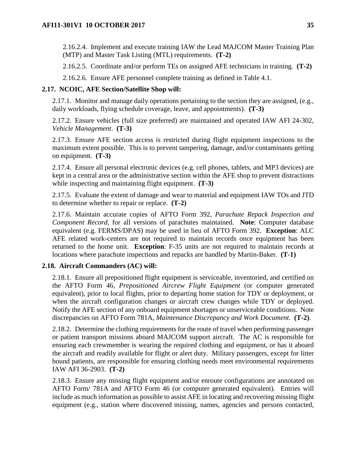2.16.2.4. Implement and execute training IAW the Lead MAJCOM Master Training Plan (MTP) and Master Task Listing (MTL) requirements. **(T-2)**

2.16.2.5. Coordinate and/or perform TEs on assigned AFE technicians in training. **(T-2)**

2.16.2.6. Ensure AFE personnel complete training as defined in Table 4.1.

#### <span id="page-35-0"></span>**2.17. NCOIC, AFE Section/Satellite Shop will:**

2.17.1. Monitor and manage daily operations pertaining to the section they are assigned, (e.g., daily workloads, flying schedule coverage, leave, and appointments). **(T-3)**

2.17.2. Ensure vehicles (full size preferred) are maintained and operated IAW AFI 24-302, *Vehicle Management*. **(T-3)**

2.17.3. Ensure AFE section access is restricted during flight equipment inspections to the maximum extent possible. This is to prevent tampering, damage, and/or contaminants getting on equipment. **(T-3)**

2.17.4. Ensure all personal electronic devices (e.g. cell phones, tablets, and MP3 devices) are kept in a central area or the administrative section within the AFE shop to prevent distractions while inspecting and maintaining flight equipment. **(T-3)**

2.17.5. Evaluate the extent of damage and wear to material and equipment IAW TOs and JTD to determine whether to repair or replace. **(T-2)**

2.17.6. Maintain accurate copies of AFTO Form 392, *Parachute Repack Inspection and Component Record*, for all versions of parachutes maintained. **Note**: Computer database equivalent (e.g. FERMS/DPAS) may be used in lieu of AFTO Form 392. **Exception**: ALC AFE related work-centers are not required to maintain records once equipment has been returned to the home unit. **Exception**: F-35 units are not required to maintain records at locations where parachute inspections and repacks are handled by Martin-Baker. **(T-1)**

### <span id="page-35-1"></span>**2.18. Aircraft Commanders (AC) will:**

2.18.1. Ensure all prepositioned flight equipment is serviceable, inventoried, and certified on the AFTO Form 46, *Prepositioned Aircrew Flight Equipment* (or computer generated equivalent), prior to local flights, prior to departing home station for TDY or deployment, or when the aircraft configuration changes or aircraft crew changes while TDY or deployed. Notify the AFE section of any onboard equipment shortages or unserviceable conditions. Note discrepancies on AFTO Form 781A, *Maintenance Discrepancy and Work Document*. **(T-2)**.

2.18.2. Determine the clothing requirements for the route of travel when performing passenger or patient transport missions aboard MAJCOM support aircraft. The AC is responsible for ensuring each crewmember is wearing the required clothing and equipment, or has it aboard the aircraft and readily available for flight or alert duty. Military passengers, except for litter bound patients, are responsible for ensuring clothing needs meet environmental requirements IAW AFI 36-2903. **(T-2)**

2.18.3. Ensure any missing flight equipment and/or enroute configurations are annotated on AFTO Form/ 781A and AFTO Form 46 (or computer generated equivalent). Entries will include as much information as possible to assist AFE in locating and recovering missing flight equipment (e.g., station where discovered missing, names, agencies and persons contacted,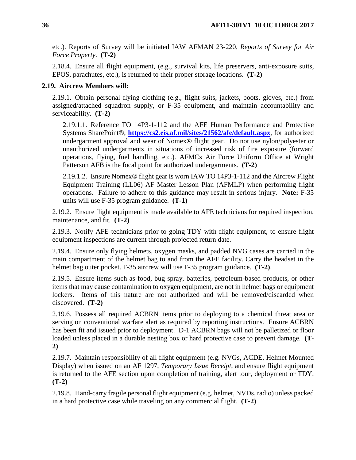etc.). Reports of Survey will be initiated IAW AFMAN 23-220, *Reports of Survey for Air Force Property*. **(T-2)**

2.18.4. Ensure all flight equipment, (e.g., survival kits, life preservers, anti-exposure suits, EPOS, parachutes, etc.), is returned to their proper storage locations. **(T-2)**

## **2.19. Aircrew Members will:**

2.19.1. Obtain personal flying clothing (e.g., flight suits, jackets, boots, gloves, etc.) from assigned/attached squadron supply, or F-35 equipment, and maintain accountability and serviceability. **(T-2)**

2.19.1.1. Reference TO 14P3-1-112 and the AFE Human Performance and Protective Systems SharePoint®, **<https://cs2.eis.af.mil/sites/21562/afe/default.aspx>**, for authorized undergarment approval and wear of Nomex® flight gear. Do not use nylon/polyester or unauthorized undergarments in situations of increased risk of fire exposure (forward operations, flying, fuel handling, etc.). AFMCs Air Force Uniform Office at Wright Patterson AFB is the focal point for authorized undergarments. **(T-2)**

2.19.1.2. Ensure Nomex® flight gear is worn IAW TO 14P3-1-112 and the Aircrew Flight Equipment Training (LL06) AF Master Lesson Plan (AFMLP) when performing flight operations. Failure to adhere to this guidance may result in serious injury. **Note:** F-35 units will use F-35 program guidance. **(T-1)**

2.19.2. Ensure flight equipment is made available to AFE technicians for required inspection, maintenance, and fit. **(T-2)**

2.19.3. Notify AFE technicians prior to going TDY with flight equipment, to ensure flight equipment inspections are current through projected return date.

2.19.4. Ensure only flying helmets, oxygen masks, and padded NVG cases are carried in the main compartment of the helmet bag to and from the AFE facility. Carry the headset in the helmet bag outer pocket. F-35 aircrew will use F-35 program guidance. **(T-2)**.

2.19.5. Ensure items such as food, bug spray, batteries, petroleum-based products, or other items that may cause contamination to oxygen equipment, are not in helmet bags or equipment lockers. Items of this nature are not authorized and will be removed/discarded when discovered. **(T-2)**

2.19.6. Possess all required ACBRN items prior to deploying to a chemical threat area or serving on conventional warfare alert as required by reporting instructions. Ensure ACBRN has been fit and issued prior to deployment. D-1 ACBRN bags will not be palletized or floor loaded unless placed in a durable nesting box or hard protective case to prevent damage. **(T-2)**

2.19.7. Maintain responsibility of all flight equipment (e.g. NVGs, ACDE, Helmet Mounted Display) when issued on an AF 1297, *Temporary Issue Receipt*, and ensure flight equipment is returned to the AFE section upon completion of training, alert tour, deployment or TDY. **(T-2)**

2.19.8. Hand-carry fragile personal flight equipment (e.g. helmet, NVDs, radio) unless packed in a hard protective case while traveling on any commercial flight. **(T-2)**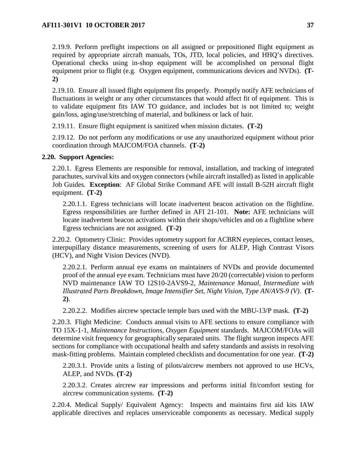2.19.9. Perform preflight inspections on all assigned or prepositioned flight equipment as required by appropriate aircraft manuals, TOs, JTD, local policies, and HHQ's directives. Operational checks using in-shop equipment will be accomplished on personal flight equipment prior to flight (e.g. Oxygen equipment, communications devices and NVDs). **(T-2)**

2.19.10. Ensure all issued flight equipment fits properly. Promptly notify AFE technicians of fluctuations in weight or any other circumstances that would affect fit of equipment. This is to validate equipment fits IAW TO guidance, and includes but is not limited to; weight gain/loss, aging/use/stretching of material, and bulkiness or lack of hair.

2.19.11. Ensure flight equipment is sanitized when mission dictates. **(T-2)**

2.19.12. Do not perform any modifications or use any unauthorized equipment without prior coordination through MAJCOM/FOA channels. **(T-2)**

### **2.20. Support Agencies:**

2.20.1. Egress Elements are responsible for removal, installation, and tracking of integrated parachutes, survival kits and oxygen connectors (while aircraft installed) as listed in applicable Job Guides. **Exception**: AF Global Strike Command AFE will install B-52H aircraft flight equipment. **(T-2)**

2.20.1.1. Egress technicians will locate inadvertent beacon activation on the flightline. Egress responsibilities are further defined in AFI 21-101. **Note:** AFE technicians will locate inadvertent beacon activations within their shops/vehicles and on a flightline where Egress technicians are not assigned. **(T-2)**

2.20.2. Optometry Clinic: Provides optometry support for ACBRN eyepieces, contact lenses, interpupillary distance measurements, screening of users for ALEP, High Contrast Visors (HCV), and Night Vision Devices (NVD).

2.20.2.1. Perform annual eye exams on maintainers of NVDs and provide documented proof of the annual eye exam. Technicians must have 20/20 (correctable) vision to perform NVD maintenance IAW TO 12S10-2AVS9-2, *Maintenance Manual, Intermediate with Illustrated Parts Breakdown, Image Intensifier Set, Night Vision, Type AN/AVS-9 (V)*. **(T-2)**.

2.20.2.2. Modifies aircrew spectacle temple bars used with the MBU-13/P mask. **(T-2)**

2.20.3. Flight Medicine: Conducts annual visits to AFE sections to ensure compliance with TO 15X-1-1, *Maintenance Instructions, Oxygen Equipment* standards. MAJCOM/FOAs will determine visit frequency for geographically separated units. The flight surgeon inspects AFE sections for compliance with occupational health and safety standards and assists in resolving mask-fitting problems. Maintain completed checklists and documentation for one year. **(T-2)**

2.20.3.1. Provide units a listing of pilots/aircrew members not approved to use HCVs, ALEP, and NVDs. **(T-2)**

2.20.3.2. Creates aircrew ear impressions and performs initial fit/comfort testing for aircrew communication systems. **(T-2)**

2.20.4. Medical Supply/ Equivalent Agency: Inspects and maintains first aid kits IAW applicable directives and replaces unserviceable components as necessary. Medical supply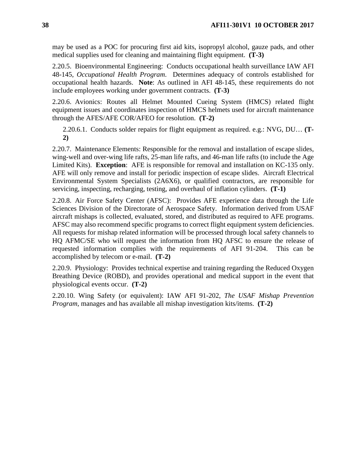may be used as a POC for procuring first aid kits, isopropyl alcohol, gauze pads, and other medical supplies used for cleaning and maintaining flight equipment. **(T-3)**

2.20.5. Bioenvironmental Engineering: Conducts occupational health surveillance IAW AFI 48-145, *Occupational Health Program*. Determines adequacy of controls established for occupational health hazards. **Note**: As outlined in AFI 48-145, these requirements do not include employees working under government contracts. **(T-3)**

2.20.6. Avionics: Routes all Helmet Mounted Cueing System (HMCS) related flight equipment issues and coordinates inspection of HMCS helmets used for aircraft maintenance through the AFES/AFE COR/AFEO for resolution. **(T-2)**

2.20.6.1. Conducts solder repairs for flight equipment as required. e.g.: NVG, DU… **(T-2)**

2.20.7. Maintenance Elements: Responsible for the removal and installation of escape slides, wing-well and over-wing life rafts, 25-man life rafts, and 46-man life rafts (to include the Age Limited Kits). **Exception**: AFE is responsible for removal and installation on KC-135 only. AFE will only remove and install for periodic inspection of escape slides. Aircraft Electrical Environmental System Specialists (2A6X6), or qualified contractors, are responsible for servicing, inspecting, recharging, testing, and overhaul of inflation cylinders. **(T-1)**

2.20.8. Air Force Safety Center (AFSC): Provides AFE experience data through the Life Sciences Division of the Directorate of Aerospace Safety. Information derived from USAF aircraft mishaps is collected, evaluated, stored, and distributed as required to AFE programs. AFSC may also recommend specific programs to correct flight equipment system deficiencies. All requests for mishap related information will be processed through local safety channels to HQ AFMC/SE who will request the information from HQ AFSC to ensure the release of requested information complies with the requirements of AFI 91-204. This can be accomplished by telecom or e-mail. **(T-2)**

2.20.9. Physiology: Provides technical expertise and training regarding the Reduced Oxygen Breathing Device (ROBD), and provides operational and medical support in the event that physiological events occur. **(T-2)**

2.20.10. Wing Safety (or equivalent): IAW AFI 91-202, *The USAF Mishap Prevention Program,* manages and has available all mishap investigation kits/items. **(T-2)**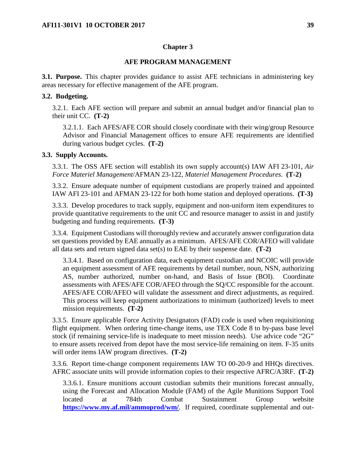### **Chapter 3**

### **AFE PROGRAM MANAGEMENT**

<span id="page-39-0"></span>**3.1. Purpose.** This chapter provides guidance to assist AFE technicians in administering key areas necessary for effective management of the AFE program.

#### **3.2. Budgeting.**

3.2.1. Each AFE section will prepare and submit an annual budget and/or financial plan to their unit CC. **(T-2)**

3.2.1.1. Each AFES/AFE COR should closely coordinate with their wing/group Resource Advisor and Financial Management offices to ensure AFE requirements are identified during various budget cycles. **(T-2)**

#### **3.3. Supply Accounts.**

3.3.1. The OSS AFE section will establish its own supply account(s) IAW AFI 23-101, *Air Force Materiel Management*/AFMAN 23-122, *Materiel Management Procedures*. **(T-2)**

3.3.2. Ensure adequate number of equipment custodians are properly trained and appointed IAW AFI 23-101 and AFMAN 23-122 for both home station and deployed operations. **(T-3)**

3.3.3. Develop procedures to track supply, equipment and non-uniform item expenditures to provide quantitative requirements to the unit CC and resource manager to assist in and justify budgeting and funding requirements. **(T-3)**

3.3.4. Equipment Custodians will thoroughly review and accurately answer configuration data set questions provided by EAE annually as a minimum. AFES/AFE COR/AFEO will validate all data sets and return signed data set(s) to EAE by their suspense date. **(T-2)**

3.3.4.1. Based on configuration data, each equipment custodian and NCOIC will provide an equipment assessment of AFE requirements by detail number, noun, NSN, authorizing AS, number authorized, number on-hand, and Basis of Issue (BOI). Coordinate assessments with AFES/AFE COR/AFEO through the SQ/CC responsible for the account. AFES/AFE COR/AFEO will validate the assessment and direct adjustments, as required. This process will keep equipment authorizations to minimum (authorized) levels to meet mission requirements. **(T-2)**

3.3.5. Ensure applicable Force Activity Designators (FAD) code is used when requisitioning flight equipment. When ordering time-change items, use TEX Code 8 to by-pass base level stock (if remaining service-life is inadequate to meet mission needs). Use advice code "2G" to ensure assets received from depot have the most service-life remaining on item. F-35 units will order items IAW program directives. **(T-2)**

3.3.6. Report time-change component requirements IAW TO 00-20-9 and HHQs directives. AFRC associate units will provide information copies to their respective AFRC/A3RF. **(T-2)**

3.3.6.1. Ensure munitions account custodian submits their munitions forecast annually, using the Forecast and Allocation Module (FAM) of the Agile Munitions Support Tool located at 784th Combat Sustainment Group website **<https://www.my.af.mil/ammoprod/wm/>**. If required, coordinate supplemental and out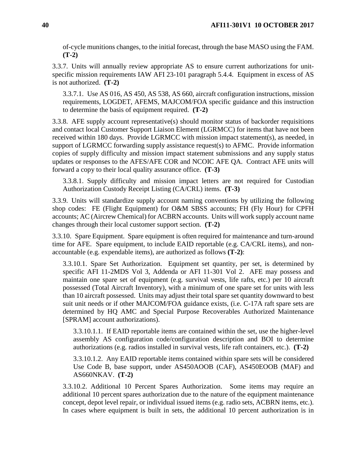of-cycle munitions changes, to the initial forecast, through the base MASO using the FAM. **(T-2)**

3.3.7. Units will annually review appropriate AS to ensure current authorizations for unitspecific mission requirements IAW AFI 23-101 paragraph 5.4.4. Equipment in excess of AS is not authorized. **(T-2)**

3.3.7.1. Use AS 016, AS 450, AS 538, AS 660, aircraft configuration instructions, mission requirements, LOGDET, AFEMS, MAJCOM/FOA specific guidance and this instruction to determine the basis of equipment required. **(T-2)**

3.3.8. AFE supply account representative(s) should monitor status of backorder requisitions and contact local Customer Support Liaison Element (LGRMCC) for items that have not been received within 180 days. Provide LGRMCC with mission impact statement(s), as needed, in support of LGRMCC forwarding supply assistance request(s) to AFMC. Provide information copies of supply difficulty and mission impact statement submissions and any supply status updates or responses to the AFES/AFE COR and NCOIC AFE QA. Contract AFE units will forward a copy to their local quality assurance office. **(T-3)**

3.3.8.1. Supply difficulty and mission impact letters are not required for Custodian Authorization Custody Receipt Listing (CA/CRL) items. **(T-3)**

3.3.9. Units will standardize supply account naming conventions by utilizing the following shop codes: FE (Flight Equipment) for O&M SBSS accounts; FH (Fly Hour) for CPFH accounts; AC (Aircrew Chemical) for ACBRN accounts. Units will work supply account name changes through their local customer support section. **(T-2)**

3.3.10. Spare Equipment. Spare equipment is often required for maintenance and turn-around time for AFE. Spare equipment, to include EAID reportable (e.g. CA/CRL items), and nonaccountable (e.g. expendable items), are authorized as follows **(T-2)**:

3.3.10.1. Spare Set Authorization. Equipment set quantity, per set, is determined by specific AFI 11-2MDS Vol 3, Addenda or AFI 11-301 Vol 2. AFE may possess and maintain one spare set of equipment (e.g. survival vests, life rafts, etc.) per 10 aircraft possessed (Total Aircraft Inventory), with a minimum of one spare set for units with less than 10 aircraft possessed. Units may adjust their total spare set quantity downward to best suit unit needs or if other MAJCOM/FOA guidance exists, (i.e. C-17A raft spare sets are determined by HQ AMC and Special Purpose Recoverables Authorized Maintenance [SPRAM] account authorizations).

3.3.10.1.1. If EAID reportable items are contained within the set, use the higher-level assembly AS configuration code/configuration description and BOI to determine authorizations (e.g. radios installed in survival vests, life raft containers, etc.). **(T-2)**

3.3.10.1.2. Any EAID reportable items contained within spare sets will be considered Use Code B, base support, under AS450AOOB (CAF), AS450EOOB (MAF) and AS660NKAV. **(T-2)**

3.3.10.2. Additional 10 Percent Spares Authorization. Some items may require an additional 10 percent spares authorization due to the nature of the equipment maintenance concept, depot level repair, or individual issued items (e.g. radio sets, ACBRN items, etc.). In cases where equipment is built in sets, the additional 10 percent authorization is in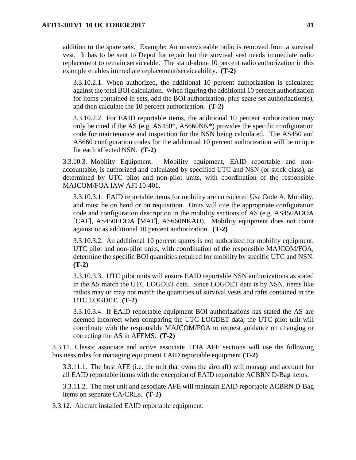addition to the spare sets. Example: An unserviceable radio is removed from a survival vest. It has to be sent to Depot for repair but the survival vest needs immediate radio replacement to remain serviceable. The stand-alone 10 percent radio authorization in this example enables immediate replacement/serviceability. **(T-2)**

3.3.10.2.1. When authorized, the additional 10 percent authorization is calculated against the total BOI calculation. When figuring the additional 10 percent authorization for items contained in sets, add the BOI authorization, plus spare set authorization(s), and then calculate the 10 percent authorization. **(T-2)**

3.3.10.2.2. For EAID reportable items, the additional 10 percent authorization may only be cited if the AS (e.g. AS450\*, AS660NK\*) provides the specific configuration code for maintenance and inspection for the NSN being calculated. The AS450 and AS660 configuration codes for the additional 10 percent authorization will be unique for each affected NSN. **(T-2)**

3.3.10.3. Mobility Equipment. Mobility equipment, EAID reportable and nonaccountable, is authorized and calculated by specified UTC and NSN (or stock class), as determined by UTC pilot and non-pilot units, with coordination of the responsible MAJCOM/FOA IAW AFI 10-401.

3.3.10.3.1. EAID reportable items for mobility are considered Use Code A, Mobility, and must be on hand or on requisition. Units will cite the appropriate configuration code and configuration description in the mobility sections of AS (e.g. AS450AOOA [CAF], AS450EOOA [MAF], AS660NKAU). Mobility equipment does not count against or as additional 10 percent authorization. **(T-2)**

3.3.10.3.2. An additional 10 percent spares is not authorized for mobility equipment. UTC pilot and non-pilot units, with coordination of the responsible MAJCOM/FOA, determine the specific BOI quantities required for mobility by specific UTC and NSN. **(T-2)**

3.3.10.3.3. UTC pilot units will ensure EAID reportable NSN authorizations as stated in the AS match the UTC LOGDET data. Since LOGDET data is by NSN, items like radios may or may not match the quantities of survival vests and rafts contained in the UTC LOGDET. **(T-2)**

3.3.10.3.4. If EAID reportable equipment BOI authorizations has stated the AS are deemed incorrect when comparing the UTC LOGDET data, the UTC pilot unit will coordinate with the responsible MAJCOM/FOA to request guidance on changing or correcting the AS in AFEMS. **(T-2)**

3.3.11. Classic associate and active associate TFIA AFE sections will use the following business rules for managing equipment EAID reportable equipment **(T-2)**

3.3.11.1. The host AFE (i.e. the unit that owns the aircraft) will manage and account for all EAID reportable items with the exception of EAID reportable ACBRN D-Bag items.

3.3.11.2. The host unit and associate AFE will maintain EAID reportable ACBRN D-Bag items on separate CA/CRLs. **(T-2)**

3.3.12. Aircraft installed EAID reportable equipment.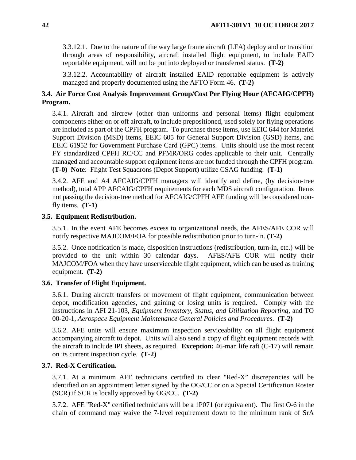3.3.12.1. Due to the nature of the way large frame aircraft (LFA) deploy and or transition through areas of responsibility, aircraft installed flight equipment, to include EAID reportable equipment, will not be put into deployed or transferred status. **(T-2)**

3.3.12.2. Accountability of aircraft installed EAID reportable equipment is actively managed and properly documented using the AFTO Form 46. **(T-2)**

# **3.4. Air Force Cost Analysis Improvement Group/Cost Per Flying Hour (AFCAIG/CPFH) Program.**

3.4.1. Aircraft and aircrew (other than uniforms and personal items) flight equipment components either on or off aircraft, to include prepositioned, used solely for flying operations are included as part of the CPFH program. To purchase these items, use EEIC 644 for Materiel Support Division (MSD) items, EEIC 605 for General Support Division (GSD) items, and EEIC 61952 for Government Purchase Card (GPC) items. Units should use the most recent FY standardized CPFH RC/CC and PFMR/ORG codes applicable to their unit. Centrally managed and accountable support equipment items are not funded through the CPFH program. **(T-0) Note**: Flight Test Squadrons (Depot Support) utilize CSAG funding. **(T-1)**

3.4.2. AFE and A4 AFCAIG/CPFH managers will identify and define, (by decision-tree method), total APP AFCAIG/CPFH requirements for each MDS aircraft configuration. Items not passing the decision-tree method for AFCAIG/CPFH AFE funding will be considered nonfly items. **(T-1)**

## **3.5. Equipment Redistribution.**

3.5.1. In the event AFE becomes excess to organizational needs, the AFES/AFE COR will notify respective MAJCOM/FOA for possible redistribution prior to turn-in. **(T-2)**

3.5.2. Once notification is made, disposition instructions (redistribution, turn-in, etc.) will be provided to the unit within 30 calendar days. AFES/AFE COR will notify their MAJCOM/FOA when they have unserviceable flight equipment, which can be used as training equipment. **(T-2)**

## **3.6. Transfer of Flight Equipment.**

3.6.1. During aircraft transfers or movement of flight equipment, communication between depot, modification agencies, and gaining or losing units is required. Comply with the instructions in AFI 21-103, *Equipment Inventory, Status, and Utilization Reporting*, and TO 00-20-1, *Aerospace Equipment Maintenance General Policies and Procedures*. **(T-2)**

3.6.2. AFE units will ensure maximum inspection serviceability on all flight equipment accompanying aircraft to depot. Units will also send a copy of flight equipment records with the aircraft to include IPI sheets, as required. **Exception:** 46-man life raft (C-17) will remain on its current inspection cycle. **(T-2)**

## **3.7. Red-X Certification.**

3.7.1. At a minimum AFE technicians certified to clear "Red-X" discrepancies will be identified on an appointment letter signed by the OG/CC or on a Special Certification Roster (SCR) if SCR is locally approved by OG/CC. **(T-2)**

3.7.2. AFE "Red-X" certified technicians will be a 1P071 (or equivalent). The first O-6 in the chain of command may waive the 7-level requirement down to the minimum rank of SrA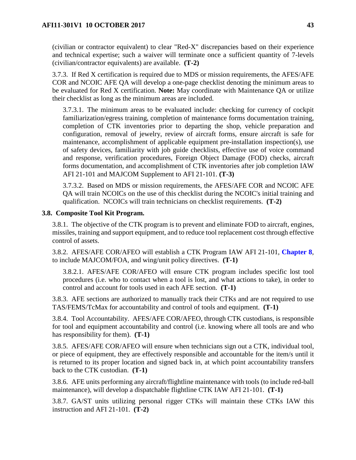(civilian or contractor equivalent) to clear "Red-X" discrepancies based on their experience and technical expertise; such a waiver will terminate once a sufficient quantity of 7-levels (civilian/contractor equivalents) are available. **(T-2)**

3.7.3. If Red X certification is required due to MDS or mission requirements, the AFES/AFE COR and NCOIC AFE QA will develop a one-page checklist denoting the minimum areas to be evaluated for Red X certification. **Note:** May coordinate with Maintenance QA or utilize their checklist as long as the minimum areas are included.

3.7.3.1. The minimum areas to be evaluated include: checking for currency of cockpit familiarization/egress training, completion of maintenance forms documentation training, completion of CTK inventories prior to departing the shop, vehicle preparation and configuration, removal of jewelry, review of aircraft forms, ensure aircraft is safe for maintenance, accomplishment of applicable equipment pre-installation inspection(s), use of safety devices, familiarity with job guide checklists, effective use of voice command and response, verification procedures, Foreign Object Damage (FOD) checks, aircraft forms documentation, and accomplishment of CTK inventories after job completion IAW AFI 21-101 and MAJCOM Supplement to AFI 21-101. **(T-3)**

3.7.3.2. Based on MDS or mission requirements, the AFES/AFE COR and NCOIC AFE QA will train NCOICs on the use of this checklist during the NCOIC's initial training and qualification. NCOICs will train technicians on checklist requirements. **(T-2)**

### **3.8. Composite Tool Kit Program.**

3.8.1. The objective of the CTK program is to prevent and eliminate FOD to aircraft, engines, missiles, training and support equipment, and to reduce tool replacement cost through effective control of assets.

3.8.2. AFES/AFE COR/AFEO will establish a CTK Program IAW AFI 21-101, **Chapter 8**, to include MAJCOM/FOA, and wing/unit policy directives. **(T-1)**

3.8.2.1. AFES/AFE COR/AFEO will ensure CTK program includes specific lost tool procedures (i.e. who to contact when a tool is lost, and what actions to take), in order to control and account for tools used in each AFE section. **(T-1)**

3.8.3. AFE sections are authorized to manually track their CTKs and are not required to use TAS/FEMS/TcMax for accountability and control of tools and equipment. **(T-1)**

3.8.4. Tool Accountability. AFES/AFE COR/AFEO, through CTK custodians, is responsible for tool and equipment accountability and control (i.e. knowing where all tools are and who has responsibility for them). **(T-1)**

3.8.5. AFES/AFE COR/AFEO will ensure when technicians sign out a CTK, individual tool, or piece of equipment, they are effectively responsible and accountable for the item/s until it is returned to its proper location and signed back in, at which point accountability transfers back to the CTK custodian. **(T-1)**

3.8.6. AFE units performing any aircraft/flightline maintenance with tools (to include red-ball maintenance), will develop a dispatchable flightline CTK IAW AFI 21-101. **(T-1)**

3.8.7. GA/ST units utilizing personal rigger CTKs will maintain these CTKs IAW this instruction and AFI 21-101. **(T-2)**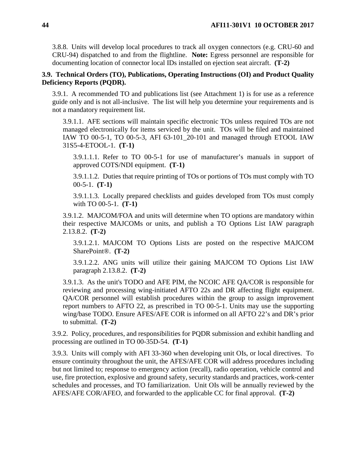3.8.8. Units will develop local procedures to track all oxygen connectors (e.g. CRU-60 and CRU-94) dispatched to and from the flightline. **Note:** Egress personnel are responsible for documenting location of connector local IDs installed on ejection seat aircraft. **(T-2)**

## **3.9. Technical Orders (TO), Publications, Operating Instructions (OI) and Product Quality Deficiency Reports (PQDR).**

3.9.1. A recommended TO and publications list (see Attachment 1) is for use as a reference guide only and is not all-inclusive. The list will help you determine your requirements and is not a mandatory requirement list.

3.9.1.1. AFE sections will maintain specific electronic TOs unless required TOs are not managed electronically for items serviced by the unit. TOs will be filed and maintained IAW TO 00-5-1, TO 00-5-3, AFI 63-101\_20-101 and managed through ETOOL IAW 31S5-4-ETOOL-1. **(T-1)**

3.9.1.1.1. Refer to TO 00-5-1 for use of manufacturer's manuals in support of approved COTS/NDI equipment. **(T-1)**

3.9.1.1.2. Duties that require printing of TOs or portions of TOs must comply with TO 00-5-1. **(T-1)**

3.9.1.1.3. Locally prepared checklists and guides developed from TOs must comply with TO 00-5-1. **(T-1)**

3.9.1.2. MAJCOM/FOA and units will determine when TO options are mandatory within their respective MAJCOMs or units, and publish a TO Options List IAW paragraph 2.13.8.2. **(T-2)**

3.9.1.2.1. MAJCOM TO Options Lists are posted on the respective MAJCOM SharePoint®. **(T-2)**

3.9.1.2.2. ANG units will utilize their gaining MAJCOM TO Options List IAW paragraph 2.13.8.2. **(T-2)**

3.9.1.3. As the unit's TODO and AFE PIM, the NCOIC AFE QA/COR is responsible for reviewing and processing wing-initiated AFTO 22s and DR affecting flight equipment. QA/COR personnel will establish procedures within the group to assign improvement report numbers to AFTO 22, as prescribed in TO 00-5-1. Units may use the supporting wing/base TODO. Ensure AFES/AFE COR is informed on all AFTO 22's and DR's prior to submittal. **(T-2)**

3.9.2. Policy, procedures, and responsibilities for PQDR submission and exhibit handling and processing are outlined in TO 00-35D-54. **(T-1)**

3.9.3. Units will comply with AFI 33-360 when developing unit OIs, or local directives. To ensure continuity throughout the unit, the AFES/AFE COR will address procedures including but not limited to; response to emergency action (recall), radio operation, vehicle control and use, fire protection, explosive and ground safety, security standards and practices, work-center schedules and processes, and TO familiarization. Unit OIs will be annually reviewed by the AFES/AFE COR/AFEO, and forwarded to the applicable CC for final approval. **(T-2)**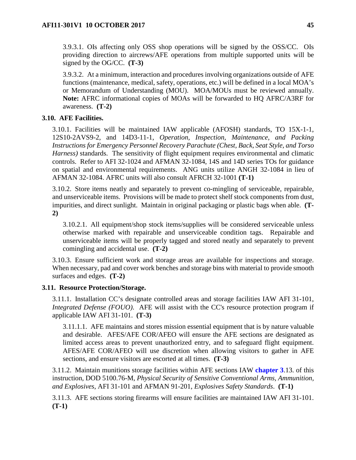3.9.3.1. OIs affecting only OSS shop operations will be signed by the OSS/CC. OIs providing direction to aircrews/AFE operations from multiple supported units will be signed by the OG/CC. **(T-3)**

3.9.3.2. At a minimum, interaction and procedures involving organizations outside of AFE functions (maintenance, medical, safety, operations, etc.) will be defined in a local MOA's or Memorandum of Understanding (MOU). MOA/MOUs must be reviewed annually. **Note:** AFRC informational copies of MOAs will be forwarded to HQ AFRC/A3RF for awareness. **(T-2)**

## **3.10. AFE Facilities.**

3.10.1. Facilities will be maintained IAW applicable (AFOSH) standards, TO 15X-1-1, 12S10-2AVS9-2, and 14D3-11-1, *Operation, Inspection, Maintenance, and Packing Instructions for Emergency Personnel Recovery Parachute (Chest, Back, Seat Style, and Torso Harness)* standards. The sensitivity of flight equipment requires environmental and climatic controls. Refer to AFI 32-1024 and AFMAN 32-1084, 14S and 14D series TOs for guidance on spatial and environmental requirements. ANG units utilize ANGH 32-1084 in lieu of AFMAN 32-1084. AFRC units will also consult AFRCH 32-1001 **(T-1)**

3.10.2. Store items neatly and separately to prevent co-mingling of serviceable, repairable, and unserviceable items. Provisions will be made to protect shelf stock components from dust, impurities, and direct sunlight. Maintain in original packaging or plastic bags when able. **(T-2)**

3.10.2.1. All equipment/shop stock items/supplies will be considered serviceable unless otherwise marked with repairable and unserviceable condition tags. Repairable and unserviceable items will be properly tagged and stored neatly and separately to prevent comingling and accidental use. **(T-2)**

3.10.3. Ensure sufficient work and storage areas are available for inspections and storage. When necessary, pad and cover work benches and storage bins with material to provide smooth surfaces and edges. **(T-2)**

## **3.11. Resource Protection/Storage.**

3.11.1. Installation CC's designate controlled areas and storage facilities IAW AFI 31-101, *Integrated Defense (FOUO)*. AFE will assist with the CC's resource protection program if applicable IAW AFI 31-101. **(T-3)**

3.11.1.1. AFE maintains and stores mission essential equipment that is by nature valuable and desirable. AFES/AFE COR/AFEO will ensure the AFE sections are designated as limited access areas to prevent unauthorized entry, and to safeguard flight equipment. AFES/AFE COR/AFEO will use discretion when allowing visitors to gather in AFE sections, and ensure visitors are escorted at all times. **(T-3)**

3.11.2. Maintain munitions storage facilities within AFE sections IAW **[chapter](#page-39-0) 3**.13. of this instruction, DOD 5100.76-M, *Physical Security of Sensitive Conventional Arms, Ammunition, and Explosives*, AFI 31-101 and AFMAN 91-201, *Explosives Safety Standards*. **(T-1)**

3.11.3. AFE sections storing firearms will ensure facilities are maintained IAW AFI 31-101. **(T-1)**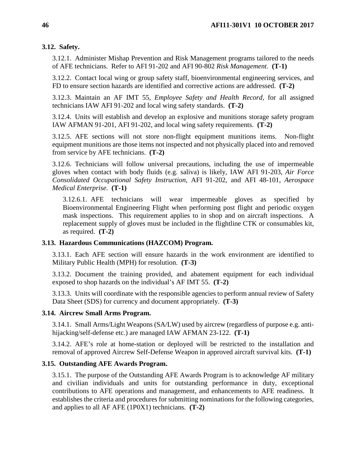# **3.12. Safety.**

3.12.1. Administer Mishap Prevention and Risk Management programs tailored to the needs of AFE technicians. Refer to AFI 91-202 and AFI 90-802 *Risk Management*. **(T-1)**

3.12.2. Contact local wing or group safety staff, bioenvironmental engineering services, and FD to ensure section hazards are identified and corrective actions are addressed. **(T-2)**

3.12.3. Maintain an AF IMT 55, *Employee Safety and Health Record,* for all assigned technicians IAW AFI 91-202 and local wing safety standards. **(T-2)**

3.12.4. Units will establish and develop an explosive and munitions storage safety program IAW AFMAN 91-201, AFI 91-202, and local wing safety requirements. **(T-2)**

3.12.5. AFE sections will not store non-flight equipment munitions items. Non-flight equipment munitions are those items not inspected and not physically placed into and removed from service by AFE technicians. **(T-2)**

3.12.6. Technicians will follow universal precautions, including the use of impermeable gloves when contact with body fluids (e.g. saliva) is likely, IAW AFI 91-203, *Air Force Consolidated Occupational Safety Instruction*, AFI 91-202, and AFI 48-101, *Aerospace Medical Enterprise*. **(T-1)**

3.12.6.1. AFE technicians will wear impermeable gloves as specified by Bioenvironmental Engineering Flight when performing post flight and periodic oxygen mask inspections. This requirement applies to in shop and on aircraft inspections. A replacement supply of gloves must be included in the flightline CTK or consumables kit, as required. **(T-2)**

## **3.13. Hazardous Communications (HAZCOM) Program.**

3.13.1. Each AFE section will ensure hazards in the work environment are identified to Military Public Health (MPH) for resolution. **(T-3)**

3.13.2. Document the training provided, and abatement equipment for each individual exposed to shop hazards on the individual's AF IMT 55. **(T-2)**

3.13.3. Units will coordinate with the responsible agencies to perform annual review of Safety Data Sheet (SDS) for currency and document appropriately. **(T-3)**

# **3.14. Aircrew Small Arms Program.**

3.14.1. Small Arms/Light Weapons (SA/LW) used by aircrew (regardless of purpose e.g. antihijacking/self-defense etc.) are managed IAW AFMAN 23-122. **(T-1)**

3.14.2. AFE's role at home-station or deployed will be restricted to the installation and removal of approved Aircrew Self-Defense Weapon in approved aircraft survival kits. **(T-1)**

# **3.15. Outstanding AFE Awards Program.**

3.15.1. The purpose of the Outstanding AFE Awards Program is to acknowledge AF military and civilian individuals and units for outstanding performance in duty, exceptional contributions to AFE operations and management, and enhancements to AFE readiness. It establishes the criteria and procedures for submitting nominations for the following categories, and applies to all AF AFE (1P0X1) technicians. **(T-2)**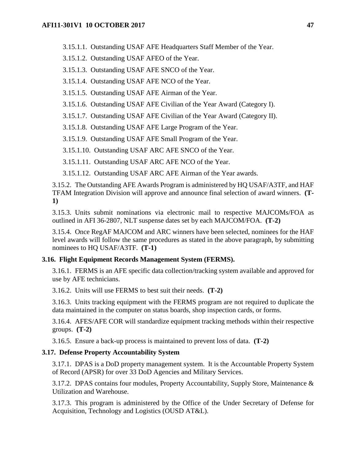3.15.1.1. Outstanding USAF AFE Headquarters Staff Member of the Year.

3.15.1.2. Outstanding USAF AFEO of the Year.

3.15.1.3. Outstanding USAF AFE SNCO of the Year.

3.15.1.4. Outstanding USAF AFE NCO of the Year.

3.15.1.5. Outstanding USAF AFE Airman of the Year.

3.15.1.6. Outstanding USAF AFE Civilian of the Year Award (Category I).

3.15.1.7. Outstanding USAF AFE Civilian of the Year Award (Category II).

3.15.1.8. Outstanding USAF AFE Large Program of the Year.

3.15.1.9. Outstanding USAF AFE Small Program of the Year.

3.15.1.10. Outstanding USAF ARC AFE SNCO of the Year.

3.15.1.11. Outstanding USAF ARC AFE NCO of the Year.

3.15.1.12. Outstanding USAF ARC AFE Airman of the Year awards.

3.15.2. The Outstanding AFE Awards Program is administered by HQ USAF/A3TF, and HAF TFAM Integration Division will approve and announce final selection of award winners. **(T-1)**

3.15.3. Units submit nominations via electronic mail to respective MAJCOMs/FOA as outlined in AFI 36-2807, NLT suspense dates set by each MAJCOM/FOA. **(T-2)**

3.15.4. Once RegAF MAJCOM and ARC winners have been selected, nominees for the HAF level awards will follow the same procedures as stated in the above paragraph, by submitting nominees to HQ USAF/A3TF. **(T-1)**

#### **3.16. Flight Equipment Records Management System (FERMS).**

3.16.1. FERMS is an AFE specific data collection/tracking system available and approved for use by AFE technicians.

3.16.2. Units will use FERMS to best suit their needs. **(T-2)**

3.16.3. Units tracking equipment with the FERMS program are not required to duplicate the data maintained in the computer on status boards, shop inspection cards, or forms.

3.16.4. AFES/AFE COR will standardize equipment tracking methods within their respective groups. **(T-2)**

3.16.5. Ensure a back-up process is maintained to prevent loss of data. **(T-2)**

#### **3.17. Defense Property Accountability System**

3.17.1. DPAS is a DoD property management system. It is the Accountable Property System of Record (APSR) for over 33 DoD Agencies and Military Services.

3.17.2. DPAS contains four modules, Property Accountability, Supply Store, Maintenance & Utilization and Warehouse.

3.17.3. This program is administered by the Office of the Under Secretary of Defense for Acquisition, Technology and Logistics (OUSD AT&L).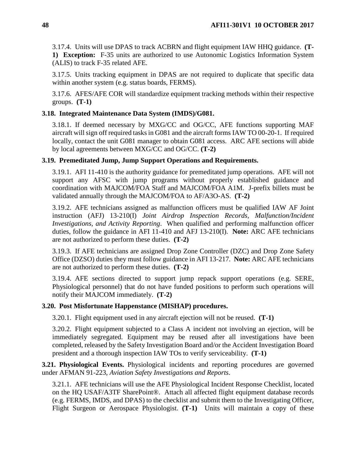3.17.4. Units will use DPAS to track ACBRN and flight equipment IAW HHQ guidance. **(T-1) Exception:** F-35 units are authorized to use Autonomic Logistics Information System (ALIS) to track F-35 related AFE.

3.17.5. Units tracking equipment in DPAS are not required to duplicate that specific data within another system (e.g. status boards, FERMS).

3.17.6. AFES/AFE COR will standardize equipment tracking methods within their respective groups. **(T-1)**

## **3.18. Integrated Maintenance Data System (IMDS)/G081.**

3.18.1. If deemed necessary by MXG/CC and OG/CC, AFE functions supporting MAF aircraft will sign off required tasks in G081 and the aircraft forms IAW TO 00-20-1. If required locally, contact the unit G081 manager to obtain G081 access. ARC AFE sections will abide by local agreements between MXG/CC and OG/CC. **(T-2)**

## **3.19. Premeditated Jump, Jump Support Operations and Requirements.**

3.19.1. AFI 11-410 is the authority guidance for premeditated jump operations. AFE will not support any AFSC with jump programs without properly established guidance and coordination with MAJCOM/FOA Staff and MAJCOM/FOA A1M. J-prefix billets must be validated annually through the MAJCOM/FOA to AF/A3O-AS. **(T-2)**

3.19.2. AFE technicians assigned as malfunction officers must be qualified IAW AF Joint instruction (AFJ) 13-210(I) *Joint Airdrop Inspection Records, Malfunction/Incident Investigations, and Activity Reporting*. When qualified and performing malfunction officer duties, follow the guidance in AFI 11-410 and AFJ 13-210(I). **Note:** ARC AFE technicians are not authorized to perform these duties. **(T-2)**

3.19.3. If AFE technicians are assigned Drop Zone Controller (DZC) and Drop Zone Safety Office (DZSO) duties they must follow guidance in AFI 13-217*.* **Note:** ARC AFE technicians are not authorized to perform these duties. **(T-2)**

3.19.4. AFE sections directed to support jump repack support operations (e.g. SERE, Physiological personnel) that do not have funded positions to perform such operations will notify their MAJCOM immediately. **(T-2)**

## **3.20. Post Misfortunate Happenstance (MISHAP) procedures.**

3.20.1. Flight equipment used in any aircraft ejection will not be reused. **(T-1)**

3.20.2. Flight equipment subjected to a Class A incident not involving an ejection, will be immediately segregated. Equipment may be reused after all investigations have been completed, released by the Safety Investigation Board and/or the Accident Investigation Board president and a thorough inspection IAW TOs to verify serviceability. **(T-1)**

**3.21. Physiological Events.** Physiological incidents and reporting procedures are governed under AFMAN 91-223, *Aviation Safety Investigations and Reports*.

3.21.1. AFE technicians will use the AFE Physiological Incident Response Checklist, located on the HQ USAF/A3TF SharePoint®. Attach all affected flight equipment database records (e.g. FERMS, IMDS, and DPAS) to the checklist and submit them to the Investigating Officer, Flight Surgeon or Aerospace Physiologist. **(T-1)** Units will maintain a copy of these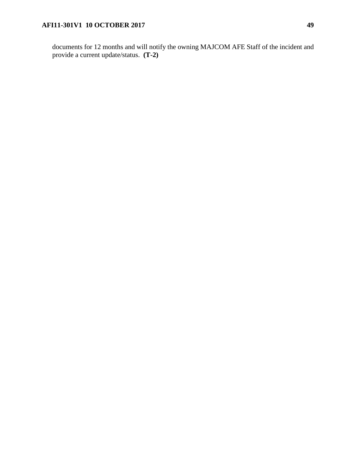documents for 12 months and will notify the owning MAJCOM AFE Staff of the incident and provide a current update/status. **(T-2)**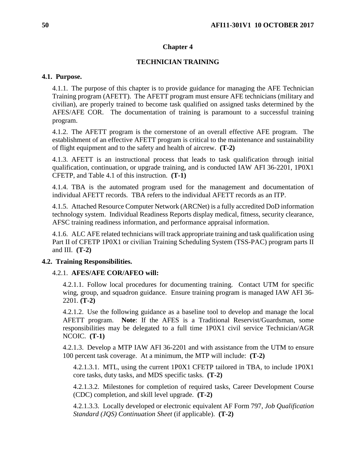# **Chapter 4**

# **TECHNICIAN TRAINING**

## **4.1. Purpose.**

4.1.1. The purpose of this chapter is to provide guidance for managing the AFE Technician Training program (AFETT). The AFETT program must ensure AFE technicians (military and civilian), are properly trained to become task qualified on assigned tasks determined by the AFES/AFE COR. The documentation of training is paramount to a successful training program.

4.1.2. The AFETT program is the cornerstone of an overall effective AFE program. The establishment of an effective AFETT program is critical to the maintenance and sustainability of flight equipment and to the safety and health of aircrew. **(T-2)**

4.1.3. AFETT is an instructional process that leads to task qualification through initial qualification, continuation, or upgrade training, and is conducted IAW AFI 36-2201, 1P0X1 CFETP, and Table 4.1 of this instruction. **(T-1)**

4.1.4. TBA is the automated program used for the management and documentation of individual AFETT records*.* TBA refers to the individual AFETT records as an ITP.

4.1.5. Attached Resource Computer Network (ARCNet) is a fully accredited DoD information technology system. Individual Readiness Reports display medical, fitness, security clearance, AFSC training readiness information, and performance appraisal information.

4.1.6. ALC AFE related technicians will track appropriate training and task qualification using Part II of CFETP 1P0X1 or civilian Training Scheduling System (TSS-PAC) program parts II and III. **(T-2)**

# **4.2. Training Responsibilities.**

# 4.2.1. **AFES/AFE COR/AFEO will:**

4.2.1.1. Follow local procedures for documenting training. Contact UTM for specific wing, group, and squadron guidance. Ensure training program is managed IAW AFI 36- 2201. **(T-2)**

4.2.1.2. Use the following guidance as a baseline tool to develop and manage the local AFETT program. **Note**: If the AFES is a Traditional Reservist/Guardsman, some responsibilities may be delegated to a full time 1P0X1 civil service Technician/AGR NCOIC. **(T-1)**

4.2.1.3. Develop a MTP IAW AFI 36-2201 and with assistance from the UTM to ensure 100 percent task coverage. At a minimum, the MTP will include: **(T-2)**

4.2.1.3.1. MTL, using the current 1P0X1 CFETP tailored in TBA, to include 1P0X1 core tasks, duty tasks, and MDS specific tasks. **(T-2)**

4.2.1.3.2. Milestones for completion of required tasks, Career Development Course (CDC) completion, and skill level upgrade. **(T-2)**

4.2.1.3.3. Locally developed or electronic equivalent AF Form 797*, Job Qualification Standard (JQS) Continuation Sheet* (if applicable). **(T-2)**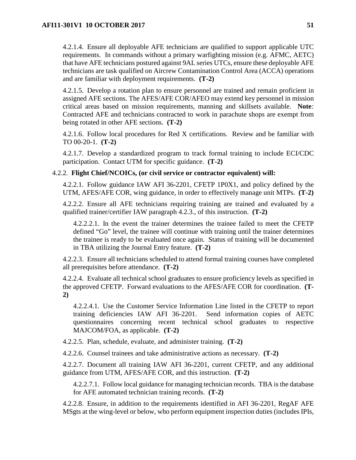4.2.1.4. Ensure all deployable AFE technicians are qualified to support applicable UTC requirements. In commands without a primary warfighting mission (e.g. AFMC, AETC) that have AFE technicians postured against 9AL series UTCs, ensure these deployable AFE technicians are task qualified on Aircrew Contamination Control Area (ACCA) operations and are familiar with deployment requirements. **(T-2)**

4.2.1.5. Develop a rotation plan to ensure personnel are trained and remain proficient in assigned AFE sections. The AFES/AFE COR/AFEO may extend key personnel in mission critical areas based on mission requirements, manning and skillsets available. **Note***:* Contracted AFE and technicians contracted to work in parachute shops are exempt from being rotated in other AFE sections. **(T-2)**

4.2.1.6. Follow local procedures for Red X certifications. Review and be familiar with TO 00-20-1. **(T-2)**

4.2.1.7. Develop a standardized program to track formal training to include ECI/CDC participation. Contact UTM for specific guidance. **(T-2)**

## 4.2.2. **Flight Chief/NCOICs, (or civil service or contractor equivalent) will:**

4.2.2.1. Follow guidance IAW AFI 36-2201, CFETP 1P0X1, and policy defined by the UTM, AFES/AFE COR, wing guidance, in order to effectively manage unit MTPs. **(T-2)**

4.2.2.2. Ensure all AFE technicians requiring training are trained and evaluated by a qualified trainer/certifier IAW paragraph 4.2.3., of this instruction. **(T-2)**

4.2.2.2.1. In the event the trainer determines the trainee failed to meet the CFETP defined "Go" level, the trainee will continue with training until the trainer determines the trainee is ready to be evaluated once again. Status of training will be documented in TBA utilizing the Journal Entry feature. **(T-2)**

4.2.2.3. Ensure all technicians scheduled to attend formal training courses have completed all prerequisites before attendance. **(T-2)**

4.2.2.4. Evaluate all technical school graduates to ensure proficiency levels as specified in the approved CFETP. Forward evaluations to the AFES/AFE COR for coordination. **(T-2)**

4.2.2.4.1. Use the Customer Service Information Line listed in the CFETP to report training deficiencies IAW AFI 36-2201. Send information copies of AETC questionnaires concerning recent technical school graduates to respective MAJCOM/FOA, as applicable. **(T-2)**

4.2.2.5. Plan, schedule, evaluate, and administer training. **(T-2)**

4.2.2.6. Counsel trainees and take administrative actions as necessary. **(T-2)**

4.2.2.7. Document all training IAW AFI 36-2201, current CFETP, and any additional guidance from UTM, AFES/AFE COR, and this instruction. **(T-2)**

4.2.2.7.1. Follow local guidance for managing technician records. TBA is the database for AFE automated technician training records. **(T-2)**

4.2.2.8. Ensure, in addition to the requirements identified in AFI 36-2201, RegAF AFE MSgts at the wing-level or below, who perform equipment inspection duties (includes IPIs,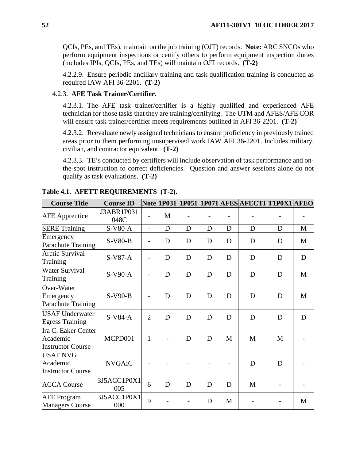QCIs, PEs, and TEs), maintain on the job training (OJT) records. **Note:** ARC SNCOs who perform equipment inspections or certify others to perform equipment inspection duties (includes IPIs, QCIs, PEs, and TEs) will maintain OJT records. **(T-2)**

4.2.2.9. Ensure periodic ancillary training and task qualification training is conducted as required IAW AFI 36-2201. **(T-2)**

## 4.2.3. **AFE Task Trainer/Certifier.**

4.2.3.1. The AFE task trainer/certifier is a highly qualified and experienced AFE technician for those tasks that they are training/certifying. The UTM and AFES/AFE COR will ensure task trainer/certifier meets requirements outlined in AFI 36-2201. **(T-2)**

4.2.3.2. Reevaluate newly assigned technicians to ensure proficiency in previously trained areas prior to them performing unsupervised work IAW AFI 36-2201. Includes military, civilian, and contractor equivalent. **(T-2)**

4.2.3.3. TE's conducted by certifiers will include observation of task performance and onthe-spot instruction to correct deficiencies. Question and answer sessions alone do not qualify as task evaluations. **(T-2)**

| <b>Course Title</b>                                         | <b>Course ID</b>   |                          |   |   |   |   | Note  1P031  1P051  1P071  AFES  AFECTI  T1P0X1  AFEO |   |             |
|-------------------------------------------------------------|--------------------|--------------------------|---|---|---|---|-------------------------------------------------------|---|-------------|
| <b>AFE</b> Apprentice                                       | J3ABR1P031<br>048C |                          | M |   |   |   |                                                       |   |             |
| <b>SERE Training</b>                                        | S-V80-A            | $\overline{a}$           | D | D | D | D | D                                                     | D | M           |
| Emergency<br>Parachute Training                             | S-V80-B            |                          | D | D | D | D | D                                                     | D | M           |
| <b>Arctic Survival</b><br>Training                          | $S-V87-A$          | $\overline{\phantom{0}}$ | D | D | D | D | D                                                     | D | $\mathbf D$ |
| <b>Water Survival</b><br>Training                           | $S-V90-A$          |                          | D | D | D | D | D                                                     | D | M           |
| Over-Water<br>Emergency<br>Parachute Training               | $S-V90-B$          |                          | D | D | D | D | D                                                     | D | M           |
| <b>USAF Underwater</b><br><b>Egress Training</b>            | $S-V84-A$          | $\overline{2}$           | D | D | D | D | D                                                     | D | D           |
| Ira C. Eaker Center<br>Academic<br><b>Instructor Course</b> | MCPD001            | $\mathbf{1}$             |   | D | D | M | M                                                     | M |             |
| USAF NVG<br>Academic<br><b>Instructor Course</b>            | <b>NVGAIC</b>      |                          |   |   |   |   | D                                                     | D |             |
| <b>ACCA Course</b>                                          | 3J5ACC1P0X1<br>005 | 6                        | D | D | D | D | M                                                     |   |             |
| <b>AFE</b> Program<br><b>Managers Course</b>                | 3J5ACC1P0X1<br>000 | 9                        |   |   | D | M |                                                       |   | M           |

**Table 4.1. AFETT REQUIREMENTS (T-2).**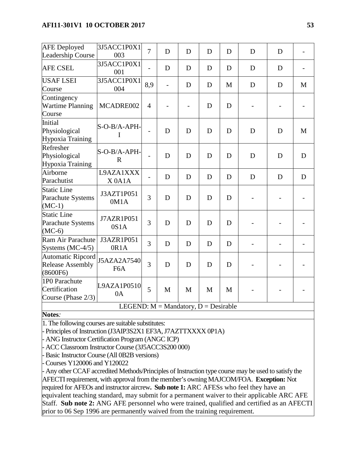## **AFI11-301V1 10 OCTOBER 2017 53**

| <b>AFE</b> Deployed<br>Leadership Course                 | 3J5ACC1P0X1<br>003                       | $\overline{7}$ | D                        | D | D | D | D | D |   |
|----------------------------------------------------------|------------------------------------------|----------------|--------------------------|---|---|---|---|---|---|
| <b>AFE CSEL</b>                                          | 3J5ACC1P0X1<br>001                       |                | D                        | D | D | D | D | D |   |
| <b>USAF LSEI</b><br>Course                               | 3J5ACC1P0X1<br>004                       | 8,9            | $\overline{\phantom{0}}$ | D | D | M | D | D | M |
| Contingency<br><b>Wartime Planning</b><br>Course         | MCADRE002                                | $\overline{4}$ |                          |   | D | D |   |   |   |
| Initial<br>Physiological<br>Hypoxia Training             | S-O-B/A-APH-<br>I                        |                | D                        | D | D | D | D | D | M |
| Refresher<br>Physiological<br>Hypoxia Training           | S-O-B/A-APH-<br>R                        |                | D                        | D | D | D | D | D | D |
| Airborne<br>Parachutist                                  | L9AZA1XXX<br>$X$ 0A1A                    |                | D                        | D | D | D | D | D | D |
| <b>Static Line</b><br>Parachute Systems<br>$(MC-1)$      | J3AZT1P051<br>0M1A                       | 3              | D                        | D | D | D |   |   |   |
| <b>Static Line</b><br>Parachute Systems<br>$(MC-6)$      | J7AZR1P051<br>0S1A                       | 3              | D                        | D | D | D |   |   |   |
| Ram Air Parachute<br>Systems $(MC-4/5)$                  | J3AZR1P051<br>0R1A                       | 3              | D                        | D | D | D |   |   |   |
| Automatic Ripcord<br><b>Release Assembly</b><br>(8600F6) | J5AZA2A7540<br>F <sub>6</sub> A          | 3              | D                        | D | D | D |   |   |   |
| 1P0 Parachute<br>Certification<br>Course (Phase 2/3)     | L9AZA1P0510<br>0A                        | 5              | M                        | M | M | M |   |   |   |
|                                                          | LEGEND: $M =$ Mandatory, $D =$ Desirable |                |                          |   |   |   |   |   |   |

### **Notes***:*

1. The following courses are suitable substitutes:

- Principles of Instruction (J3AIP3S2X1 EF3A, J7AZTTXXXX 0P1A)

- ANG Instructor Certification Program (ANGC ICP)

- ACC Classroom Instructor Course (3J5ACC3S200 000)

- Basic Instructor Course (All 0B2B versions)

Courses Y120006 and Y120022

- Any other CCAF accredited Methods/Principles of Instruction type course may be used to satisfy the AFECTI requirement, with approval from the member's owning MAJCOM/FOA. **Exception:** Not required for AFEOs and instructor aircrew**. Sub note 1:** ARC AFESs who feel they have an equivalent teaching standard, may submit for a permanent waiver to their applicable ARC AFE Staff. **Sub note 2:** ANG AFE personnel who were trained, qualified and certified as an AFECTI prior to 06 Sep 1996 are permanently waived from the training requirement.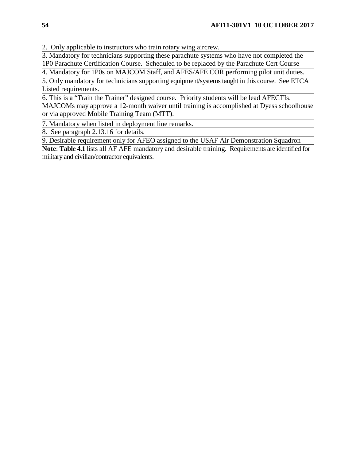2. Only applicable to instructors who train rotary wing aircrew.

3. Mandatory for technicians supporting these parachute systems who have not completed the 1P0 Parachute Certification Course. Scheduled to be replaced by the Parachute Cert Course

4. Mandatory for 1P0s on MAJCOM Staff, and AFES/AFE COR performing pilot unit duties.

5. Only mandatory for technicians supporting equipment/systems taught in this course. See ETCA Listed requirements.

6. This is a "Train the Trainer" designed course. Priority students will be lead AFECTIs. MAJCOMs may approve a 12-month waiver until training is accomplished at Dyess schoolhouse or via approved Mobile Training Team (MTT).

7. Mandatory when listed in deployment line remarks.

8. See paragraph 2.13.16 for details.

9. Desirable requirement only for AFEO assigned to the USAF Air Demonstration Squadron

**Note**: **Table 4.1** lists all AF AFE mandatory and desirable training. Requirements are identified for military and civilian/contractor equivalents.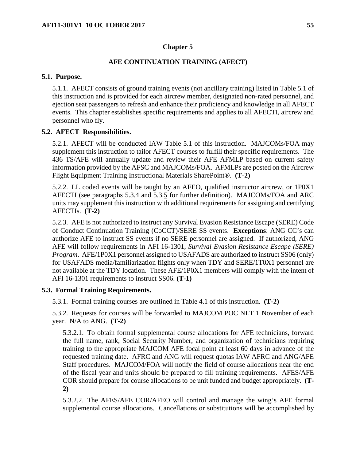### **Chapter 5**

### **AFE CONTINUATION TRAINING (AFECT)**

#### **5.1. Purpose.**

5.1.1. AFECT consists of ground training events (not ancillary training) listed in Table 5.1 of this instruction and is provided for each aircrew member, designated non-rated personnel, and ejection seat passengers to refresh and enhance their proficiency and knowledge in all AFECT events. This chapter establishes specific requirements and applies to all AFECTI, aircrew and personnel who fly.

## **5.2. AFECT Responsibilities.**

5.2.1. AFECT will be conducted IAW Table 5.1 of this instruction. MAJCOMs/FOA may supplement this instruction to tailor AFECT courses to fulfill their specific requirements. The 436 TS/AFE will annually update and review their AFE AFMLP based on current safety information provided by the AFSC and MAJCOMs/FOA. AFMLPs are posted on the Aircrew Flight Equipment Training Instructional Materials SharePoint®. **(T-2)**

5.2.2. LL coded events will be taught by an AFEO, qualified instructor aircrew, or 1P0X1 AFECTI (see paragraphs 5.3.4 and 5.3.5 for further definition). MAJCOMs/FOA and ARC units may supplement this instruction with additional requirements for assigning and certifying AFECTIs. **(T-2)**

5.2.3. AFE is not authorized to instruct any Survival Evasion Resistance Escape (SERE) Code of Conduct Continuation Training (CoCCT)/SERE SS events. **Exceptions**: ANG CC's can authorize AFE to instruct SS events if no SERE personnel are assigned. If authorized, ANG AFE will follow requirements in AFI 16-1301, *Survival Evasion Resistance Escape (SERE) Program*. AFE/1P0X1 personnel assigned to USAFADS are authorized to instruct SS06 (only) for USAFADS media/familiarization flights only when TDY and SERE/1T0X1 personnel are not available at the TDY location. These AFE/1P0X1 members will comply with the intent of AFI 16-1301 requirements to instruct SS06. **(T-1)**

#### **5.3. Formal Training Requirements.**

5.3.1. Formal training courses are outlined in Table 4.1 of this instruction. **(T-2)**

5.3.2. Requests for courses will be forwarded to MAJCOM POC NLT 1 November of each year. N/A to ANG. **(T-2)**

5.3.2.1. To obtain formal supplemental course allocations for AFE technicians, forward the full name, rank, Social Security Number, and organization of technicians requiring training to the appropriate MAJCOM AFE focal point at least 60 days in advance of the requested training date. AFRC and ANG will request quotas IAW AFRC and ANG/AFE Staff procedures. MAJCOM/FOA will notify the field of course allocations near the end of the fiscal year and units should be prepared to fill training requirements. AFES/AFE COR should prepare for course allocations to be unit funded and budget appropriately. **(T-2)**

5.3.2.2. The AFES/AFE COR/AFEO will control and manage the wing's AFE formal supplemental course allocations. Cancellations or substitutions will be accomplished by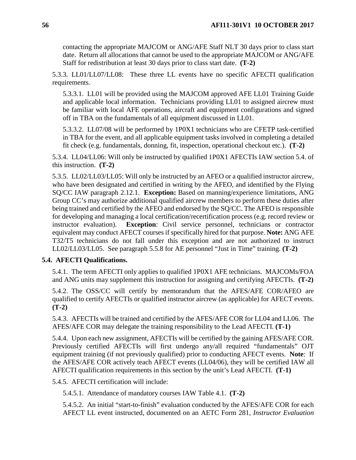contacting the appropriate MAJCOM or ANG/AFE Staff NLT 30 days prior to class start date. Return all allocations that cannot be used to the appropriate MAJCOM or ANG/AFE Staff for redistribution at least 30 days prior to class start date. **(T-2)**

<span id="page-56-0"></span>5.3.3. LL01/LL07/LL08: These three LL events have no specific AFECTI qualification requirements.

5.3.3.1. LL01 will be provided using the MAJCOM approved AFE LL01 Training Guide and applicable local information. Technicians providing LL01 to assigned aircrew must be familiar with local AFE operations, aircraft and equipment configurations and signed off in TBA on the fundamentals of all equipment discussed in LL01.

5.3.3.2. LL07/08 will be performed by 1P0X1 technicians who are CFETP task-certified in TBA for the event, and all applicable equipment tasks involved in completing a detailed fit check (e.g. fundamentals, donning, fit, inspection, operational checkout etc.). **(T-2)**

5.3.4. LL04/LL06: Will only be instructed by qualified 1P0X1 AFECTIs IAW section 5.4. of this instruction. **(T-2)**

5.3.5. LL02/LL03/LL05: Will only be instructed by an AFEO or a qualified instructor aircrew, who have been designated and certified in writing by the AFEO, and identified by the Flying SQ/CC IAW paragraph 2.12.1. **Exception:** Based on manning/experience limitations, ANG Group CC's may authorize additional qualified aircrew members to perform these duties after being trained and certified by the AFEO and endorsed by the SQ/CC. The AFEO is responsible for developing and managing a local certification/recertification process (e.g. record review or instructor evaluation). **Exception**: Civil service personnel, technicians or contractor equivalent may conduct AFECT courses if specifically hired for that purpose. **Note:** ANG AFE T32/T5 technicians do not fall under this exception and are not authorized to instruct LL02/LL03/LL05. See paragraph 5.5.8 for AE personnel "Just in Time" training. **(T-2)**

# **5.4. AFECTI Qualifications.**

5.4.1. The term AFECTI only applies to qualified 1P0X1 AFE technicians. MAJCOMs/FOA and ANG units may supplement this instruction for assigning and certifying AFECTIs. **(T-2)**

5.4.2. The OSS/CC will certify by memorandum that the AFES/AFE COR/AFEO are qualified to certify AFECTIs or qualified instructor aircrew (as applicable) for AFECT events. **(T-2)**

5.4.3. AFECTIs will be trained and certified by the AFES/AFE COR for LL04 and LL06. The AFES/AFE COR may delegate the training responsibility to the Lead AFECTI. **(T-1)**

5.4.4. Upon each new assignment, AFECTIs will be certified by the gaining AFES/AFE COR. Previously certified AFECTIs will first undergo any/all required "fundamentals" OJT equipment training (if not previously qualified) prior to conducting AFECT events. **Note**: If the AFES/AFE COR actively teach AFECT events (LL04/06), they will be certified IAW all AFECTI qualification requirements in this section by the unit's Lead AFECTI. **(T-1)**

5.4.5. AFECTI certification will include:

5.4.5.1. Attendance of mandatory courses IAW Table 4.1. **(T-2)**

5.4.5.2. An initial "start-to-finish" evaluation conducted by the AFES/AFE COR for each AFECT LL event instructed, documented on an AETC Form 281, *Instructor Evaluation*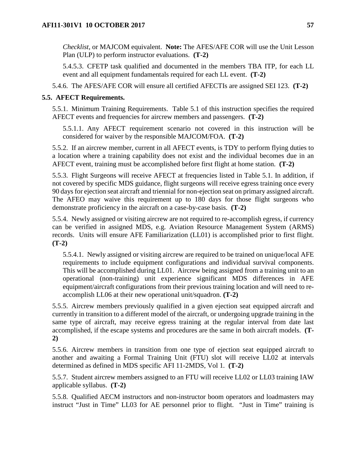*Checklist*, or MAJCOM equivalent. **Note:** The AFES/AFE COR will use the Unit Lesson Plan (ULP) to perform instructor evaluations. **(T-2)**

5.4.5.3. CFETP task qualified and documented in the members TBA ITP, for each LL event and all equipment fundamentals required for each LL event. **(T-2)**

5.4.6. The AFES/AFE COR will ensure all certified AFECTIs are assigned SEI 123. **(T-2)**

### **5.5. AFECT Requirements.**

5.5.1. Minimum Training Requirements. Table 5.1 of this instruction specifies the required AFECT events and frequencies for aircrew members and passengers. **(T-2)**

5.5.1.1. Any AFECT requirement scenario not covered in this instruction will be considered for waiver by the responsible MAJCOM/FOA. **(T-2)**

5.5.2. If an aircrew member, current in all AFECT events, is TDY to perform flying duties to a location where a training capability does not exist and the individual becomes due in an AFECT event, training must be accomplished before first flight at home station. **(T-2)**

5.5.3. Flight Surgeons will receive AFECT at frequencies listed in Table 5.1. In addition, if not covered by specific MDS guidance, flight surgeons will receive egress training once every 90 days for ejection seat aircraft and triennial for non-ejection seat on primary assigned aircraft. The AFEO may waive this requirement up to 180 days for those flight surgeons who demonstrate proficiency in the aircraft on a case-by-case basis. **(T-2)**

5.5.4. Newly assigned or visiting aircrew are not required to re-accomplish egress, if currency can be verified in assigned MDS, e.g. Aviation Resource Management System (ARMS) records. Units will ensure AFE Familiarization (LL01) is accomplished prior to first flight. **(T-2)**

5.5.4.1. Newly assigned or visiting aircrew are required to be trained on unique/local AFE requirements to include equipment configurations and individual survival components. This will be accomplished during LL01. Aircrew being assigned from a training unit to an operational (non-training) unit experience significant MDS differences in AFE equipment/aircraft configurations from their previous training location and will need to reaccomplish LL06 at their new operational unit/squadron. **(T-2)**

5.5.5. Aircrew members previously qualified in a given ejection seat equipped aircraft and currently in transition to a different model of the aircraft, or undergoing upgrade training in the same type of aircraft, may receive egress training at the regular interval from date last accomplished, if the escape systems and procedures are the same in both aircraft models. **(T-2)**

5.5.6. Aircrew members in transition from one type of ejection seat equipped aircraft to another and awaiting a Formal Training Unit (FTU) slot will receive LL02 at intervals determined as defined in MDS specific AFI 11-2MDS, Vol 1*.* **(T-2)**

5.5.7. Student aircrew members assigned to an FTU will receive LL02 or LL03 training IAW applicable syllabus. **(T-2)**

5.5.8. Qualified AECM instructors and non-instructor boom operators and loadmasters may instruct "Just in Time" LL03 for AE personnel prior to flight. "Just in Time" training is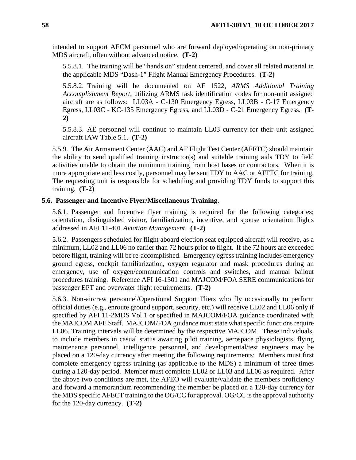intended to support AECM personnel who are forward deployed/operating on non-primary MDS aircraft, often without advanced notice. **(T-2)**

5.5.8.1. The training will be "hands on" student centered, and cover all related material in the applicable MDS "Dash-1" Flight Manual Emergency Procedures. **(T-2)**

5.5.8.2. Training will be documented on AF 1522, *ARMS Additional Training Accomplishment Report*, utilizing ARMS task identification codes for non-unit assigned aircraft are as follows: LL03A - C-130 Emergency Egress, LL03B - C-17 Emergency Egress, LL03C - KC-135 Emergency Egress, and LL03D - C-21 Emergency Egress. **(T-2)**

5.5.8.3. AE personnel will continue to maintain LL03 currency for their unit assigned aircraft IAW Table 5.1. **(T-2)**

5.5.9. The Air Armament Center (AAC) and AF Flight Test Center (AFFTC) should maintain the ability to send qualified training instructor(s) and suitable training aids TDY to field activities unable to obtain the minimum training from host bases or contractors. When it is more appropriate and less costly, personnel may be sent TDY to AAC or AFFTC for training. The requesting unit is responsible for scheduling and providing TDY funds to support this training. **(T-2)**

### **5.6. Passenger and Incentive Flyer/Miscellaneous Training.**

5.6.1. Passenger and Incentive flyer training is required for the following categories; orientation, distinguished visitor, familiarization, incentive, and spouse orientation flights addressed in AFI 11-401 *Aviation Management*. **(T-2)**

5.6.2. Passengers scheduled for flight aboard ejection seat equipped aircraft will receive, as a minimum, LL02 and LL06 no earlier than 72 hours prior to flight. If the 72 hours are exceeded before flight, training will be re-accomplished. Emergency egress training includes emergency ground egress, cockpit familiarization, oxygen regulator and mask procedures during an emergency, use of oxygen/communication controls and switches, and manual bailout procedures training. Reference AFI 16-1301 and MAJCOM/FOA SERE communications for passenger EPT and overwater flight requirements. **(T-2)**

5.6.3. Non-aircrew personnel/Operational Support Fliers who fly occasionally to perform official duties (e.g., enroute ground support, security, etc.) will receive LL02 and LL06 only if specified by AFI 11-2MDS Vol 1 or specified in MAJCOM/FOA guidance coordinated with the MAJCOM AFE Staff. MAJCOM/FOA guidance must state what specific functions require LL06. Training intervals will be determined by the respective MAJCOM. These individuals, to include members in casual status awaiting pilot training, aerospace physiologists, flying maintenance personnel, intelligence personnel, and developmental/test engineers may be placed on a 120-day currency after meeting the following requirements: Members must first complete emergency egress training (as applicable to the MDS) a minimum of three times during a 120-day period. Member must complete LL02 or LL03 and LL06 as required. After the above two conditions are met, the AFEO will evaluate/validate the members proficiency and forward a memorandum recommending the member be placed on a 120-day currency for the MDS specific AFECT training to the OG/CC for approval. OG/CC is the approval authority for the 120-day currency. **(T-2)**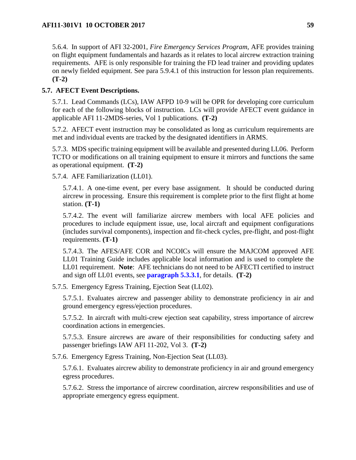5.6.4. In support of AFI 32-2001, *Fire Emergency Services Program*, AFE provides training on flight equipment fundamentals and hazards as it relates to local aircrew extraction training requirements. AFE is only responsible for training the FD lead trainer and providing updates on newly fielded equipment. See para 5.9.4.1 of this instruction for lesson plan requirements. **(T-2)**

## **5.7. AFECT Event Descriptions.**

5.7.1. Lead Commands (LCs), IAW AFPD 10-9 will be OPR for developing core curriculum for each of the following blocks of instruction. LCs will provide AFECT event guidance in applicable AFI 11-2MDS-series, Vol 1 publications. **(T-2)**

5.7.2. AFECT event instruction may be consolidated as long as curriculum requirements are met and individual events are tracked by the designated identifiers in ARMS.

5.7.3. MDS specific training equipment will be available and presented during LL06. Perform TCTO or modifications on all training equipment to ensure it mirrors and functions the same as operational equipment. **(T-2)**

5.7.4. AFE Familiarization (LL01).

5.7.4.1. A one-time event, per every base assignment. It should be conducted during aircrew in processing. Ensure this requirement is complete prior to the first flight at home station. **(T-1)**

5.7.4.2. The event will familiarize aircrew members with local AFE policies and procedures to include equipment issue, use, local aircraft and equipment configurations (includes survival components), inspection and fit-check cycles, pre-flight, and post-flight requirements. **(T-1)**

5.7.4.3. The AFES/AFE COR and NCOICs will ensure the MAJCOM approved AFE LL01 Training Guide includes applicable local information and is used to complete the LL01 requirement. **Note**: AFE technicians do not need to be AFECTI certified to instruct and sign off LL01 events, see **[paragraph](#page-56-0) 5.3.3.1**, for details. **(T-2)**

5.7.5. Emergency Egress Training, Ejection Seat (LL02).

5.7.5.1. Evaluates aircrew and passenger ability to demonstrate proficiency in air and ground emergency egress/ejection procedures.

5.7.5.2. In aircraft with multi-crew ejection seat capability, stress importance of aircrew coordination actions in emergencies.

5.7.5.3. Ensure aircrews are aware of their responsibilities for conducting safety and passenger briefings IAW AFI 11-202, Vol 3. **(T-2)**

5.7.6. Emergency Egress Training, Non-Ejection Seat (LL03).

5.7.6.1. Evaluates aircrew ability to demonstrate proficiency in air and ground emergency egress procedures.

5.7.6.2. Stress the importance of aircrew coordination, aircrew responsibilities and use of appropriate emergency egress equipment.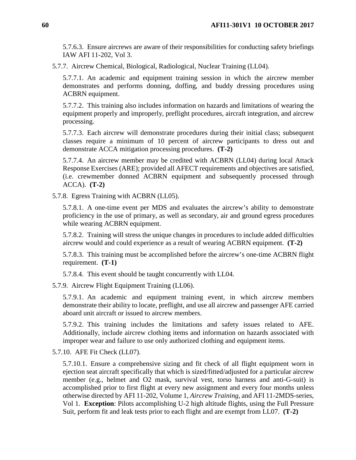5.7.6.3. Ensure aircrews are aware of their responsibilities for conducting safety briefings IAW AFI 11-202, Vol 3.

5.7.7. Aircrew Chemical, Biological, Radiological, Nuclear Training (LL04).

5.7.7.1. An academic and equipment training session in which the aircrew member demonstrates and performs donning, doffing, and buddy dressing procedures using ACBRN equipment.

5.7.7.2. This training also includes information on hazards and limitations of wearing the equipment properly and improperly, preflight procedures, aircraft integration, and aircrew processing.

5.7.7.3. Each aircrew will demonstrate procedures during their initial class; subsequent classes require a minimum of 10 percent of aircrew participants to dress out and demonstrate ACCA mitigation processing procedures. **(T-2)**

5.7.7.4. An aircrew member may be credited with ACBRN (LL04) during local Attack Response Exercises (ARE); provided all AFECT requirements and objectives are satisfied, (i.e. crewmember donned ACBRN equipment and subsequently processed through ACCA). **(T-2)**

5.7.8. Egress Training with ACBRN (LL05).

5.7.8.1. A one-time event per MDS and evaluates the aircrew's ability to demonstrate proficiency in the use of primary, as well as secondary, air and ground egress procedures while wearing ACBRN equipment.

5.7.8.2. Training will stress the unique changes in procedures to include added difficulties aircrew would and could experience as a result of wearing ACBRN equipment. **(T-2)**

5.7.8.3. This training must be accomplished before the aircrew's one-time ACBRN flight requirement. **(T-1)**

5.7.8.4. This event should be taught concurrently with LL04.

5.7.9. Aircrew Flight Equipment Training (LL06).

5.7.9.1. An academic and equipment training event, in which aircrew members demonstrate their ability to locate, preflight, and use all aircrew and passenger AFE carried aboard unit aircraft or issued to aircrew members.

5.7.9.2. This training includes the limitations and safety issues related to AFE. Additionally, include aircrew clothing items and information on hazards associated with improper wear and failure to use only authorized clothing and equipment items.

5.7.10. AFE Fit Check (LL07).

5.7.10.1. Ensure a comprehensive sizing and fit check of all flight equipment worn in ejection seat aircraft specifically that which is sized/fitted/adjusted for a particular aircrew member (e.g., helmet and O2 mask, survival vest, torso harness and anti-G-suit) is accomplished prior to first flight at every new assignment and every four months unless otherwise directed by AFI 11-202, Volume 1, *Aircrew Training*, and AFI 11-2MDS-series, Vol 1. **Exception**: Pilots accomplishing U-2 high altitude flights, using the Full Pressure Suit, perform fit and leak tests prior to each flight and are exempt from LL07. **(T-2)**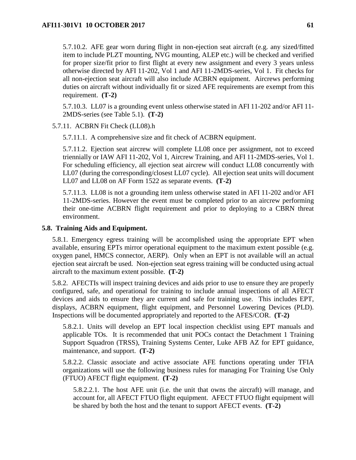5.7.10.2. AFE gear worn during flight in non-ejection seat aircraft (e.g. any sized/fitted item to include PLZT mounting, NVG mounting, ALEP etc.) will be checked and verified for proper size/fit prior to first flight at every new assignment and every 3 years unless otherwise directed by AFI 11-202, Vol 1 and AFI 11-2MDS-series, Vol 1. Fit checks for all non-ejection seat aircraft will also include ACBRN equipment. Aircrews performing duties on aircraft without individually fit or sized AFE requirements are exempt from this requirement. **(T-2)**

5.7.10.3. LL07 is a grounding event unless otherwise stated in AFI 11-202 and/or AFI 11- 2MDS-series (see Table 5.1). **(T-2)**

5.7.11. ACBRN Fit Check (LL08).h

5.7.11.1. A comprehensive size and fit check of ACBRN equipment.

5.7.11.2. Ejection seat aircrew will complete LL08 once per assignment, not to exceed triennially or IAW AFI 11-202, Vol 1, Aircrew Training, and AFI 11-2MDS-series, Vol 1. For scheduling efficiency, all ejection seat aircrew will conduct LL08 concurrently with LL07 (during the corresponding/closest LL07 cycle). All ejection seat units will document LL07 and LL08 on AF Form 1522 as separate events. **(T-2)**

5.7.11.3. LL08 is not a grounding item unless otherwise stated in AFI 11-202 and/or AFI 11-2MDS-series. However the event must be completed prior to an aircrew performing their one-time ACBRN flight requirement and prior to deploying to a CBRN threat environment.

### **5.8. Training Aids and Equipment.**

5.8.1. Emergency egress training will be accomplished using the appropriate EPT when available, ensuring EPTs mirror operational equipment to the maximum extent possible (e.g. oxygen panel, HMCS connector, AERP). Only when an EPT is not available will an actual ejection seat aircraft be used. Non-ejection seat egress training will be conducted using actual aircraft to the maximum extent possible. **(T-2)**

5.8.2. AFECTIs will inspect training devices and aids prior to use to ensure they are properly configured, safe, and operational for training to include annual inspections of all AFECT devices and aids to ensure they are current and safe for training use. This includes EPT, displays, ACBRN equipment, flight equipment, and Personnel Lowering Devices (PLD). Inspections will be documented appropriately and reported to the AFES/COR. **(T-2)**

5.8.2.1. Units will develop an EPT local inspection checklist using EPT manuals and applicable TOs. It is recommended that unit POCs contact the Detachment 1 Training Support Squadron (TRSS), Training Systems Center, Luke AFB AZ for EPT guidance, maintenance, and support. **(T-2)**

5.8.2.2. Classic associate and active associate AFE functions operating under TFIA organizations will use the following business rules for managing For Training Use Only (FTUO) AFECT flight equipment. **(T-2)**

5.8.2.2.1. The host AFE unit (i.e. the unit that owns the aircraft) will manage, and account for, all AFECT FTUO flight equipment. AFECT FTUO flight equipment will be shared by both the host and the tenant to support AFECT events. **(T-2)**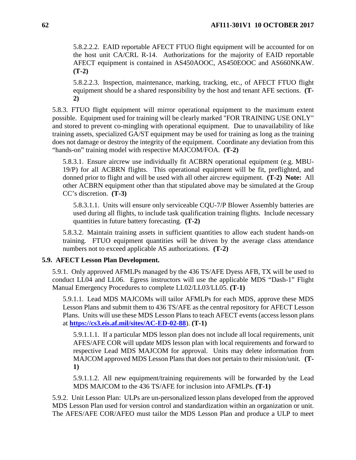5.8.2.2.2. EAID reportable AFECT FTUO flight equipment will be accounted for on the host unit CA/CRL R-14. Authorizations for the majority of EAID reportable AFECT equipment is contained in AS450AOOC, AS450EOOC and AS660NKAW. **(T-2)**

5.8.2.2.3. Inspection, maintenance, marking, tracking, etc., of AFECT FTUO flight equipment should be a shared responsibility by the host and tenant AFE sections. **(T-2)**

5.8.3. FTUO flight equipment will mirror operational equipment to the maximum extent possible. Equipment used for training will be clearly marked "FOR TRAINING USE ONLY" and stored to prevent co-mingling with operational equipment. Due to unavailability of like training assets, specialized GA/ST equipment may be used for training as long as the training does not damage or destroy the integrity of the equipment. Coordinate any deviation from this "hands-on" training model with respective MAJCOM/FOA. **(T-2)**

5.8.3.1. Ensure aircrew use individually fit ACBRN operational equipment (e.g. MBU-19/P) for all ACBRN flights. This operational equipment will be fit, preflighted, and donned prior to flight and will be used with all other aircrew equipment. **(T-2) Note:** All other ACBRN equipment other than that stipulated above may be simulated at the Group CC's discretion. **(T-3)**

5.8.3.1.1. Units will ensure only serviceable CQU-7/P Blower Assembly batteries are used during all flights, to include task qualification training flights. Include necessary quantities in future battery forecasting. **(T-2)**

5.8.3.2. Maintain training assets in sufficient quantities to allow each student hands-on training. FTUO equipment quantities will be driven by the average class attendance numbers not to exceed applicable AS authorizations. **(T-2)**

# **5.9. AFECT Lesson Plan Development.**

5.9.1. Only approved AFMLPs managed by the 436 TS/AFE Dyess AFB, TX will be used to conduct LL04 and LL06. Egress instructors will use the applicable MDS "Dash-1" Flight Manual Emergency Procedures to complete LL02/LL03/LL05. **(T-1)**

5.9.1.1. Lead MDS MAJCOMs will tailor AFMLPs for each MDS, approve these MDS Lesson Plans and submit them to 436 TS/AFE as the central repository for AFECT Lesson Plans. Units will use these MDS Lesson Plans to teach AFECT events (access lesson plans at **<https://cs3.eis.af.mil/sites/AC-ED-02-88>**). **(T-1)**

5.9.1.1.1. If a particular MDS lesson plan does not include all local requirements, unit AFES/AFE COR will update MDS lesson plan with local requirements and forward to respective Lead MDS MAJCOM for approval. Units may delete information from MAJCOM approved MDS Lesson Plans that does not pertain to their mission/unit. **(T-1)**

5.9.1.1.2. All new equipment/training requirements will be forwarded by the Lead MDS MAJCOM to the 436 TS/AFE for inclusion into AFMLPs. **(T-1)**

5.9.2. Unit Lesson Plan: ULPs are un-personalized lesson plans developed from the approved MDS Lesson Plan used for version control and standardization within an organization or unit. The AFES/AFE COR/AFEO must tailor the MDS Lesson Plan and produce a ULP to meet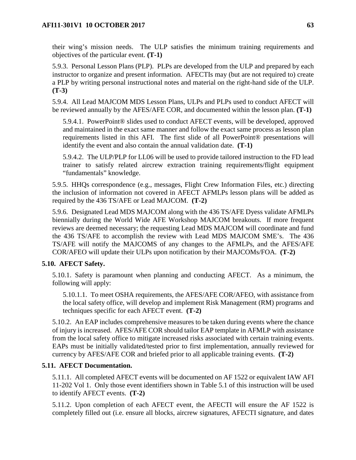their wing's mission needs. The ULP satisfies the minimum training requirements and objectives of the particular event. **(T-1)**

5.9.3. Personal Lesson Plans (PLP). PLPs are developed from the ULP and prepared by each instructor to organize and present information. AFECTIs may (but are not required to) create a PLP by writing personal instructional notes and material on the right-hand side of the ULP. **(T-3)**

5.9.4. All Lead MAJCOM MDS Lesson Plans, ULPs and PLPs used to conduct AFECT will be reviewed annually by the AFES/AFE COR, and documented within the lesson plan. **(T-1)**

5.9.4.1. PowerPoint® slides used to conduct AFECT events, will be developed, approved and maintained in the exact same manner and follow the exact same process as lesson plan requirements listed in this AFI. The first slide of all PowerPoint® presentations will identify the event and also contain the annual validation date. **(T-1)**

5.9.4.2. The ULP/PLP for LL06 will be used to provide tailored instruction to the FD lead trainer to satisfy related aircrew extraction training requirements/flight equipment "fundamentals" knowledge.

5.9.5. HHQs correspondence (e.g., messages, Flight Crew Information Files, etc.) directing the inclusion of information not covered in AFECT AFMLPs lesson plans will be added as required by the 436 TS/AFE or Lead MAJCOM. **(T-2)**

5.9.6. Designated Lead MDS MAJCOM along with the 436 TS/AFE Dyess validate AFMLPs biennially during the World Wide AFE Workshop MAJCOM breakouts. If more frequent reviews are deemed necessary; the requesting Lead MDS MAJCOM will coordinate and fund the 436 TS/AFE to accomplish the review with Lead MDS MAJCOM SME's. The 436 TS/AFE will notify the MAJCOMS of any changes to the AFMLPs, and the AFES/AFE COR/AFEO will update their ULPs upon notification by their MAJCOMs/FOA. **(T-2)**

# **5.10. AFECT Safety.**

5.10.1. Safety is paramount when planning and conducting AFECT. As a minimum, the following will apply:

5.10.1.1. To meet OSHA requirements, the AFES/AFE COR/AFEO, with assistance from the local safety office, will develop and implement Risk Management (RM) programs and techniques specific for each AFECT event. **(T-2)**

5.10.2. An EAP includes comprehensive measures to be taken during events where the chance of injury is increased. AFES/AFE COR should tailor EAP template in AFMLP with assistance from the local safety office to mitigate increased risks associated with certain training events. EAPs must be initially validated/tested prior to first implementation, annually reviewed for currency by AFES/AFE COR and briefed prior to all applicable training events. **(T-2)**

# **5.11. AFECT Documentation.**

5.11.1. All completed AFECT events will be documented on AF 1522 or equivalent IAW AFI 11-202 Vol 1. Only those event identifiers shown in Table 5.1 of this instruction will be used to identify AFECT events. **(T-2)**

5.11.2. Upon completion of each AFECT event, the AFECTI will ensure the AF 1522 is completely filled out (i.e. ensure all blocks, aircrew signatures, AFECTI signature, and dates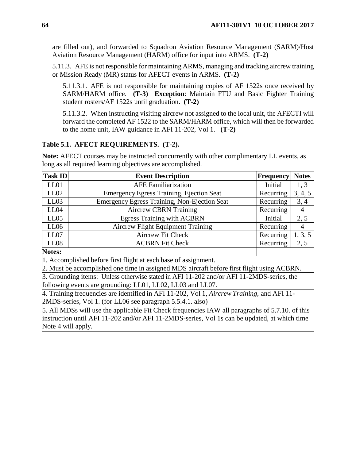are filled out), and forwarded to Squadron Aviation Resource Management (SARM)/Host Aviation Resource Management (HARM) office for input into ARMS. **(T-2)**

5.11.3. AFE is not responsible for maintaining ARMS, managing and tracking aircrew training or Mission Ready (MR) status for AFECT events in ARMS. **(T-2)**

5.11.3.1. AFE is not responsible for maintaining copies of AF 1522s once received by SARM/HARM office. **(T-3) Exception**: Maintain FTU and Basic Fighter Training student rosters/AF 1522s until graduation. **(T-2)**

5.11.3.2. When instructing visiting aircrew not assigned to the local unit, the AFECTI will forward the completed AF 1522 to the SARM/HARM office, which will then be forwarded to the home unit, IAW guidance in AFI 11-202, Vol 1. **(T-2)**

## **Table 5.1. AFECT REQUIREMENTS. (T-2).**

**Note:** AFECT courses may be instructed concurrently with other complimentary LL events, as long as all required learning objectives are accomplished.

| <b>Task ID</b>                                                                                  | <b>Event Description</b>                            | Frequency | <b>Notes</b>   |  |  |  |  |
|-------------------------------------------------------------------------------------------------|-----------------------------------------------------|-----------|----------------|--|--|--|--|
| LL01                                                                                            | <b>AFE Familiarization</b>                          | Initial   | 1, 3           |  |  |  |  |
| LL02                                                                                            | <b>Emergency Egress Training, Ejection Seat</b>     | Recurring | 3, 4, 5        |  |  |  |  |
| LL03                                                                                            | <b>Emergency Egress Training, Non-Ejection Seat</b> | Recurring | 3, 4           |  |  |  |  |
| LL04                                                                                            | <b>Aircrew CBRN Training</b>                        | Recurring | $\overline{4}$ |  |  |  |  |
| LL05                                                                                            | <b>Egress Training with ACBRN</b>                   | Initial   | 2, 5           |  |  |  |  |
| LL06                                                                                            | <b>Aircrew Flight Equipment Training</b>            | Recurring | $\overline{4}$ |  |  |  |  |
| LL07                                                                                            | <b>Aircrew Fit Check</b>                            | Recurring | 1, 3, 5        |  |  |  |  |
| LL08                                                                                            | <b>ACBRN Fit Check</b>                              | Recurring | 2, 5           |  |  |  |  |
| Notes:                                                                                          |                                                     |           |                |  |  |  |  |
| 1. Accomplished before first flight at each base of assignment.                                 |                                                     |           |                |  |  |  |  |
| 2. Must be accomplished one time in assigned MDS aircraft before first flight using ACBRN.      |                                                     |           |                |  |  |  |  |
| 3. Grounding items: Unless otherwise stated in AFI 11-202 and/or AFI 11-2MDS-series, the        |                                                     |           |                |  |  |  |  |
| following events are grounding: LL01, LL02, LL03 and LL07.                                      |                                                     |           |                |  |  |  |  |
| 4. Training frequencies are identified in AFI 11-202, Vol 1, Aircrew Training, and AFI 11-      |                                                     |           |                |  |  |  |  |
| 2MDS-series, Vol 1. (for LL06 see paragraph 5.5.4.1. also)                                      |                                                     |           |                |  |  |  |  |
| 5. All MDSs will use the applicable Fit Check frequencies IAW all paragraphs of 5.7.10. of this |                                                     |           |                |  |  |  |  |
| instruction until AFI 11-202 and/or AFI 11-2MDS-series, Vol 1s can be updated, at which time    |                                                     |           |                |  |  |  |  |

Note 4 will apply.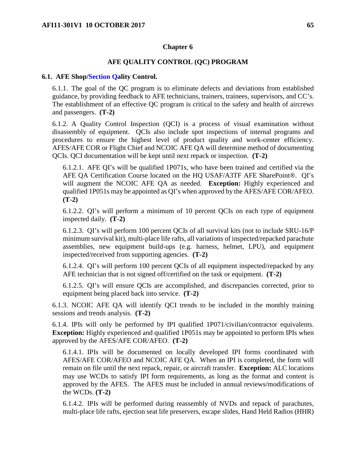### **Chapter 6**

## **AFE QUALITY CONTROL (QC) PROGRAM**

#### **6.1. AFE Shop/Section Qality Control.**

6.1.1. The goal of the QC program is to eliminate defects and deviations from established guidance, by providing feedback to AFE technicians, trainers, trainees, supervisors, and CC's. The establishment of an effective QC program is critical to the safety and health of aircrews and passengers. **(T-2)**

6.1.2. A Quality Control Inspection (QCI) is a process of visual examination without disassembly of equipment. QCIs also include spot inspections of internal programs and procedures to ensure the highest level of product quality and work-center efficiency. AFES/AFE COR or Flight Chief and NCOIC AFE QA will determine method of documenting QCIs. QCI documentation will be kept until next repack or inspection. **(T-2)**

6.1.2.1. AFE QI's will be qualified 1P071s, who have been trained and certified via the AFE QA Certification Course located on the HQ USAF/A3TF AFE SharePoint®. QI's will augment the NCOIC AFE QA as needed. **Exception:** Highly experienced and qualified 1P051s may be appointed as QI's when approved by the AFES/AFE COR/AFEO. **(T-2)**

6.1.2.2. QI's will perform a minimum of 10 percent QCIs on each type of equipment inspected daily. **(T-2)**

6.1.2.3. QI's will perform 100 percent QCIs of all survival kits (not to include SRU-16/P minimum survival kit), multi-place life rafts, all variations of inspected/repacked parachute assemblies, new equipment build-ups (e.g. harness, helmet, LPU), and equipment inspected/received from supporting agencies. **(T-2)**

6.1.2.4. QI's will perform 100 percent QCIs of all equipment inspected/repacked by any AFE technician that is not signed off/certified on the task or equipment. **(T-2)**

6.1.2.5. QI's will ensure QCIs are accomplished, and discrepancies corrected, prior to equipment being placed back into service. **(T-2)**

6.1.3. NCOIC AFE QA will identify QCI trends to be included in the monthly training sessions and trends analysis. **(T-2)**

6.1.4. IPIs will only be performed by IPI qualified 1P071/civilian/contractor equivalents. **Exception:** Highly experienced and qualified 1P051s may be appointed to perform IPIs when approved by the AFES/AFE COR/AFEO. **(T-2)**

6.1.4.1. IPIs will be documented on locally developed IPI forms coordinated with AFES/AFE COR/AFEO and NCOIC AFE QA. When an IPI is completed, the form will remain on file until the next repack, repair, or aircraft transfer. **Exception:** ALC locations may use WCDs to satisfy IPI form requirements, as long as the format and content is approved by the AFES. The AFES must be included in annual reviews/modifications of the WCDs. **(T-2)**

6.1.4.2. IPIs will be performed during reassembly of NVDs and repack of parachutes, multi-place life rafts, ejection seat life preservers, escape slides, Hand Held Radios (HHR)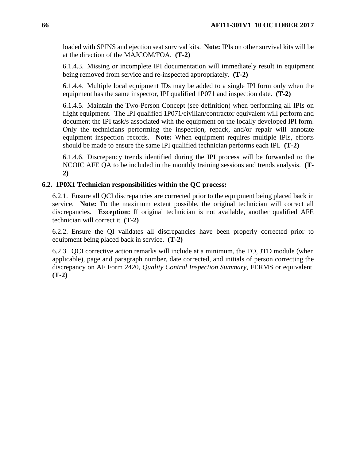loaded with SPINS and ejection seat survival kits. **Note:** IPIs on other survival kits will be at the direction of the MAJCOM/FOA. **(T-2)**

6.1.4.3. Missing or incomplete IPI documentation will immediately result in equipment being removed from service and re-inspected appropriately. **(T-2)**

6.1.4.4. Multiple local equipment IDs may be added to a single IPI form only when the equipment has the same inspector, IPI qualified 1P071 and inspection date. **(T-2)**

6.1.4.5. Maintain the Two-Person Concept (see definition) when performing all IPIs on flight equipment. The IPI qualified 1P071/civilian/contractor equivalent will perform and document the IPI task/s associated with the equipment on the locally developed IPI form. Only the technicians performing the inspection, repack, and/or repair will annotate equipment inspection records. **Note:** When equipment requires multiple IPIs, efforts should be made to ensure the same IPI qualified technician performs each IPI. **(T-2)**

6.1.4.6. Discrepancy trends identified during the IPI process will be forwarded to the NCOIC AFE QA to be included in the monthly training sessions and trends analysis. **(T-2)**

## **6.2. 1P0X1 Technician responsibilities within the QC process:**

6.2.1. Ensure all QCI discrepancies are corrected prior to the equipment being placed back in service. **Note:** To the maximum extent possible, the original technician will correct all discrepancies. **Exception:** If original technician is not available, another qualified AFE technician will correct it. **(T-2)**

6.2.2. Ensure the QI validates all discrepancies have been properly corrected prior to equipment being placed back in service. **(T-2)**

6.2.3. QCI corrective action remarks will include at a minimum, the TO, JTD module (when applicable), page and paragraph number, date corrected, and initials of person correcting the discrepancy on AF Form 2420, *Quality Control Inspection Summary*, FERMS or equivalent. **(T-2)**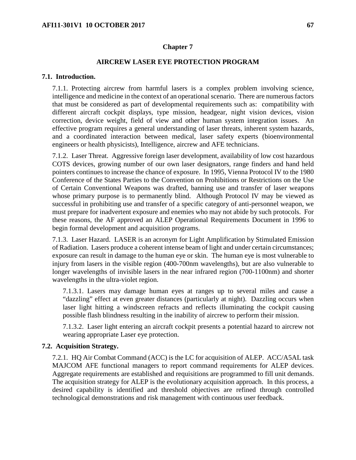### **Chapter 7**

## **AIRCREW LASER EYE PROTECTION PROGRAM**

#### **7.1. Introduction.**

7.1.1. Protecting aircrew from harmful lasers is a complex problem involving science, intelligence and medicine in the context of an operational scenario. There are numerous factors that must be considered as part of developmental requirements such as: compatibility with different aircraft cockpit displays, type mission, headgear, night vision devices, vision correction, device weight, field of view and other human system integration issues. An effective program requires a general understanding of laser threats, inherent system hazards, and a coordinated interaction between medical, laser safety experts (bioenvironmental engineers or health physicists), Intelligence, aircrew and AFE technicians.

7.1.2. Laser Threat. Aggressive foreign laser development, availability of low cost hazardous COTS devices, growing number of our own laser designators, range finders and hand held pointers continues to increase the chance of exposure. In 1995, Vienna Protocol IV to the 1980 Conference of the States Parties to the Convention on Prohibitions or Restrictions on the Use of Certain Conventional Weapons was drafted, banning use and transfer of laser weapons whose primary purpose is to permanently blind. Although Protocol IV may be viewed as successful in prohibiting use and transfer of a specific category of anti-personnel weapon, we must prepare for inadvertent exposure and enemies who may not abide by such protocols. For these reasons, the AF approved an ALEP Operational Requirements Document in 1996 to begin formal development and acquisition programs.

7.1.3. Laser Hazard. LASER is an acronym for Light Amplification by Stimulated Emission of Radiation. Lasers produce a coherent intense beam of light and under certain circumstances; exposure can result in damage to the human eye or skin. The human eye is most vulnerable to injury from lasers in the visible region (400-700nm wavelengths), but are also vulnerable to longer wavelengths of invisible lasers in the near infrared region (700-1100nm) and shorter wavelengths in the ultra-violet region.

7.1.3.1. Lasers may damage human eyes at ranges up to several miles and cause a "dazzling" effect at even greater distances (particularly at night). Dazzling occurs when laser light hitting a windscreen refracts and reflects illuminating the cockpit causing possible flash blindness resulting in the inability of aircrew to perform their mission.

7.1.3.2. Laser light entering an aircraft cockpit presents a potential hazard to aircrew not wearing appropriate Laser eye protection.

### **7.2. Acquisition Strategy.**

7.2.1. HQ Air Combat Command (ACC) is the LC for acquisition of ALEP. ACC/A5AL task MAJCOM AFE functional managers to report command requirements for ALEP devices. Aggregate requirements are established and requisitions are programmed to fill unit demands. The acquisition strategy for ALEP is the evolutionary acquisition approach. In this process, a desired capability is identified and threshold objectives are refined through controlled technological demonstrations and risk management with continuous user feedback.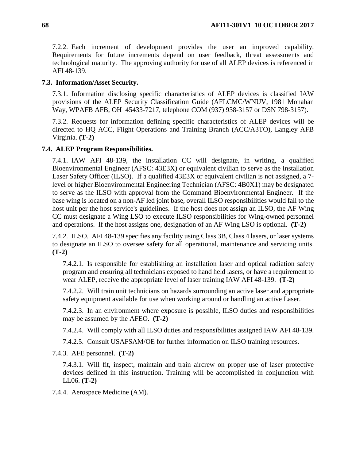7.2.2. Each increment of development provides the user an improved capability. Requirements for future increments depend on user feedback, threat assessments and technological maturity. The approving authority for use of all ALEP devices is referenced in AFI 48-139.

### **7.3. Information/Asset Security.**

7.3.1. Information disclosing specific characteristics of ALEP devices is classified IAW provisions of the ALEP Security Classification Guide (AFLCMC/WNUV, 1981 Monahan Way, WPAFB AFB, OH 45433-7217, telephone COM (937) 938-3157 or DSN 798-3157).

7.3.2. Requests for information defining specific characteristics of ALEP devices will be directed to HQ ACC, Flight Operations and Training Branch (ACC/A3TO), Langley AFB Virginia. **(T-2)**

#### **7.4. ALEP Program Responsibilities.**

7.4.1. IAW AFI 48-139, the installation CC will designate, in writing, a qualified Bioenvironmental Engineer (AFSC: 43E3X) or equivalent civilian to serve as the Installation Laser Safety Officer (ILSO). If a qualified 43E3X or equivalent civilian is not assigned, a 7 level or higher Bioenvironmental Engineering Technician (AFSC: 4B0X1) may be designated to serve as the ILSO with approval from the Command Bioenvironmental Engineer. If the base wing is located on a non-AF led joint base, overall ILSO responsibilities would fall to the host unit per the host service's guidelines. If the host does not assign an ILSO, the AF Wing CC must designate a Wing LSO to execute ILSO responsibilities for Wing-owned personnel and operations. If the host assigns one, designation of an AF Wing LSO is optional. **(T-2)**

7.4.2. ILSO. AFI 48-139 specifies any facility using Class 3B, Class 4 lasers, or laser systems to designate an ILSO to oversee safety for all operational, maintenance and servicing units. **(T-2)**

7.4.2.1. Is responsible for establishing an installation laser and optical radiation safety program and ensuring all technicians exposed to hand held lasers, or have a requirement to wear ALEP, receive the appropriate level of laser training IAW AFI 48-139. **(T-2)**

7.4.2.2. Will train unit technicians on hazards surrounding an active laser and appropriate safety equipment available for use when working around or handling an active Laser.

7.4.2.3. In an environment where exposure is possible, ILSO duties and responsibilities may be assumed by the AFEO. **(T-2)**

7.4.2.4. Will comply with all ILSO duties and responsibilities assigned IAW AFI 48-139.

7.4.2.5. Consult USAFSAM/OE for further information on ILSO training resources.

7.4.3. AFE personnel. **(T-2)**

7.4.3.1. Will fit, inspect, maintain and train aircrew on proper use of laser protective devices defined in this instruction. Training will be accomplished in conjunction with LL06. **(T-2)**

7.4.4. Aerospace Medicine (AM).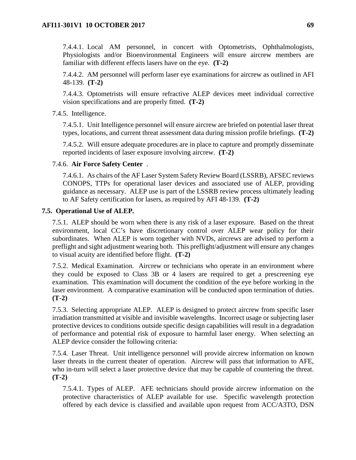7.4.4.1. Local AM personnel, in concert with Optometrists, Ophthalmologists, Physiologists and/or Bioenvironmental Engineers will ensure aircrew members are familiar with different effects lasers have on the eye. **(T-2)**

7.4.4.2. AM personnel will perform laser eye examinations for aircrew as outlined in AFI 48-139. **(T-2)**

7.4.4.3. Optometrists will ensure refractive ALEP devices meet individual corrective vision specifications and are properly fitted. **(T-2)**

7.4.5. Intelligence.

7.4.5.1. Unit Intelligence personnel will ensure aircrew are briefed on potential laser threat types, locations, and current threat assessment data during mission profile briefings. **(T-2)**

7.4.5.2. Will ensure adequate procedures are in place to capture and promptly disseminate reported incidents of laser exposure involving aircrew. **(T-2)**

## 7.4.6. **Air Force Safety Center** .

7.4.6.1. As chairs of the AF Laser System Safety Review Board (LSSRB), AFSEC reviews CONOPS, TTPs for operational laser devices and associated use of ALEP, providing guidance as necessary. ALEP use is part of the LSSRB review process ultimately leading to AF Safety certification for lasers, as required by AFI 48-139. **(T-2)**

## **7.5. Operational Use of ALEP.**

7.5.1. ALEP should be worn when there is any risk of a laser exposure. Based on the threat environment, local CC's have discretionary control over ALEP wear policy for their subordinates. When ALEP is worn together with NVDs, aircrews are advised to perform a preflight and sight adjustment wearing both. This preflight/adjustment will ensure any changes to visual acuity are identified before flight. **(T-2)**

7.5.2. Medical Examination. Aircrew or technicians who operate in an environment where they could be exposed to Class 3B or 4 lasers are required to get a prescreening eye examination. This examination will document the condition of the eye before working in the laser environment. A comparative examination will be conducted upon termination of duties. **(T-2)**

7.5.3. Selecting appropriate ALEP. ALEP is designed to protect aircrew from specific laser irradiation transmitted at visible and invisible wavelengths. Incorrect usage or subjecting laser protective devices to conditions outside specific design capabilities will result in a degradation of performance and potential risk of exposure to harmful laser energy. When selecting an ALEP device consider the following criteria:

7.5.4. Laser Threat. Unit intelligence personnel will provide aircrew information on known laser threats in the current theater of operation. Aircrew will pass that information to AFE, who in-turn will select a laser protective device that may be capable of countering the threat. **(T-2)**

7.5.4.1. Types of ALEP. AFE technicians should provide aircrew information on the protective characteristics of ALEP available for use. Specific wavelength protection offered by each device is classified and available upon request from ACC/A3TO, DSN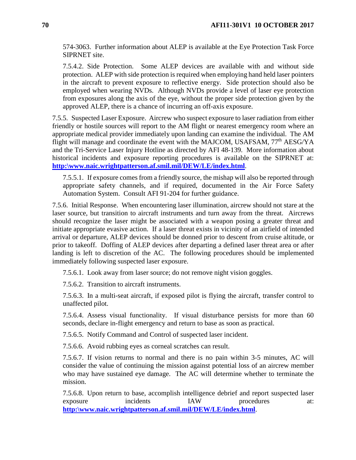574-3063. Further information about ALEP is available at the Eye Protection Task Force SIPRNET site.

7.5.4.2. Side Protection. Some ALEP devices are available with and without side protection. ALEP with side protection is required when employing hand held laser pointers in the aircraft to prevent exposure to reflective energy. Side protection should also be employed when wearing NVDs. Although NVDs provide a level of laser eye protection from exposures along the axis of the eye, without the proper side protection given by the approved ALEP, there is a chance of incurring an off-axis exposure.

7.5.5. Suspected Laser Exposure. Aircrew who suspect exposure to laser radiation from either friendly or hostile sources will report to the AM flight or nearest emergency room where an appropriate medical provider immediately upon landing can examine the individual. The AM flight will manage and coordinate the event with the MAJCOM, USAFSAM, 77<sup>th</sup> AESG/YA and the Tri-Service Laser Injury Hotline as directed by AFI 48-139. More information about historical incidents and exposure reporting procedures is available on the SIPRNET at: **http:\www.naic.wrightpatterson.af.smil.mil/DEW/LE/index.html**.

7.5.5.1. If exposure comes from a friendly source, the mishap will also be reported through appropriate safety channels, and if required, documented in the Air Force Safety Automation System. Consult AFI 91-204 for further guidance.

7.5.6. Initial Response. When encountering laser illumination, aircrew should not stare at the laser source, but transition to aircraft instruments and turn away from the threat. Aircrews should recognize the laser might be associated with a weapon posing a greater threat and initiate appropriate evasive action. If a laser threat exists in vicinity of an airfield of intended arrival or departure, ALEP devices should be donned prior to descent from cruise altitude, or prior to takeoff. Doffing of ALEP devices after departing a defined laser threat area or after landing is left to discretion of the AC. The following procedures should be implemented immediately following suspected laser exposure.

7.5.6.1. Look away from laser source; do not remove night vision goggles.

7.5.6.2. Transition to aircraft instruments.

7.5.6.3. In a multi-seat aircraft, if exposed pilot is flying the aircraft, transfer control to unaffected pilot.

7.5.6.4. Assess visual functionality. If visual disturbance persists for more than 60 seconds, declare in-flight emergency and return to base as soon as practical.

7.5.6.5. Notify Command and Control of suspected laser incident.

7.5.6.6. Avoid rubbing eyes as corneal scratches can result.

7.5.6.7. If vision returns to normal and there is no pain within 3-5 minutes, AC will consider the value of continuing the mission against potential loss of an aircrew member who may have sustained eye damage. The AC will determine whether to terminate the mission.

7.5.6.8. Upon return to base, accomplish intelligence debrief and report suspected laser exposure incidents IAW procedures at: **http:\www.naic.wrightpatterson.af.smil.mil/DEW/LE/index.html**.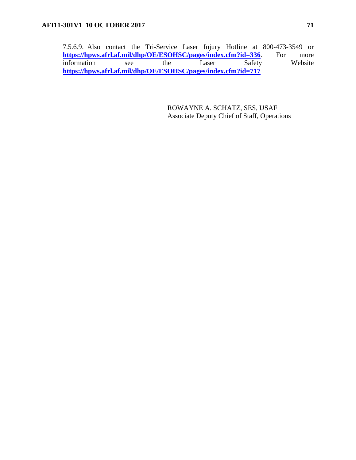7.5.6.9. Also contact the Tri-Service Laser Injury Hotline at 800-473-3549 or<br>https://hpws.afrl.af.mil/dhp/OE/ESOHSC/pages/index.cfm?id=336. For more **https://hpws.afrl.af.mil/dhp/OE/ESOHSC/pages/index.cfm?id=336**. For more information see the Laser Safety Website **https://hpws.afrl.af.mil/dhp/OE/ESOHSC/pages/index.cfm?id=717**

> ROWAYNE A. SCHATZ, SES, USAF Associate Deputy Chief of Staff, Operations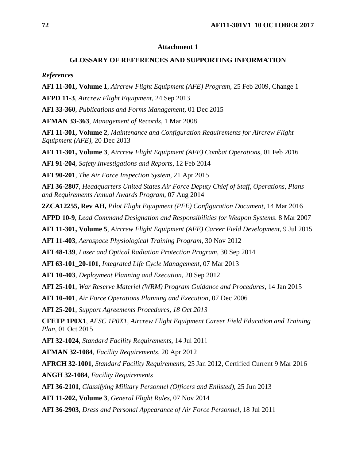### **Attachment 1**

#### **GLOSSARY OF REFERENCES AND SUPPORTING INFORMATION**

*References*

**AFI 11-301, Volume 1**, *Aircrew Flight Equipment (AFE) Program*, 25 Feb 2009, Change 1

**AFPD 11-3**, *Aircrew Flight Equipment*, 24 Sep 2013

**AFI 33-360**, *Publications and Forms Management*, 01 Dec 2015

**AFMAN 33-363**, *Management of Records*, 1 Mar 2008

**AFI 11-301, Volume 2**, *Maintenance and Configuration Requirements for Aircrew Flight Equipment (AFE),* 20 Dec 2013

**AFI 11-301, Volume 3**, *Aircrew Flight Equipment (AFE) Combat Operations,* 01 Feb 2016

**AFI 91-204**, *Safety Investigations and Reports*, 12 Feb 2014

**AFI 90-201**, *The Air Force Inspection System,* 21 Apr 2015

**AFI 36-2807**, *Headquarters United States Air Force Deputy Chief of Staff, Operations, Plans and Requirements Annual Awards Program*, 07 Aug 2014

**2ZCA12255, Rev AH,** *Pilot Flight Equipment (PFE) Configuration Document,* 14 Mar 2016

**AFPD 10-9**, *Lead Command Designation and Responsibilities for Weapon Systems*. 8 Mar 2007

**AFI 11-301, Volume 5**, *Aircrew Flight Equipment (AFE) Career Field Development*, 9 Jul 2015

**AFI 11-403**, *Aerospace Physiological Training Program*, 30 Nov 2012

**AFI 48-139**, *Laser and Optical Radiation Protection Program,* 30 Sep 2014

**AFI 63-101\_20-101**, *Integrated Life Cycle Management,* 07 Mar 2013

**AFI 10-403**, *Deployment Planning and Execution*, 20 Sep 2012

**AFI 25-101**, *War Reserve Materiel (WRM) Program Guidance and Procedures*, 14 Jan 2015

**AFI 10-401**, *Air Force Operations Planning and Execution*, 07 Dec 2006

**AFI 25-201**, *Support Agreements Procedures, 18 Oct 2013*

**CFETP 1P0X1**, *AFSC 1P0X1, Aircrew Flight Equipment Career Field Education and Training Plan*, 01 Oct 2015

**AFI 32-1024**, *Standard Facility Requirements*, 14 Jul 2011

**AFMAN 32-1084**, *Facility Requirements*, 20 Apr 2012

**AFRCH 32-1001,** *Standard Facility Requirements,* 25 Jan 2012, Certified Current 9 Mar 2016

**ANGH 32-1084**, *Facility Requirements*

**AFI 36-2101**, *Classifying Military Personnel (Officers and Enlisted)*, 25 Jun 2013

**AFI 11-202, Volume 3**, *General Flight Rules*, 07 Nov 2014

**AFI 36-2903**, *Dress and Personal Appearance of Air Force Personnel*, 18 Jul 2011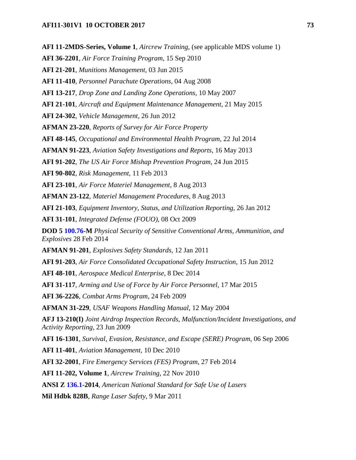**AFI 11-2MDS-Series, Volume 1**, *Aircrew Training*, (see applicable MDS volume 1) **AFI 36-2201**, *Air Force Training Program*, 15 Sep 2010 **AFI 21-201**, *Munitions Management*, 03 Jun 2015 **AFI 11-410**, *Personnel Parachute Operations*, 04 Aug 2008 **AFI 13-217**, *Drop Zone and Landing Zone Operations,* 10 May 2007 **AFI 21-101**, *Aircraft and Equipment Maintenance Management*, 21 May 2015 **AFI 24-302**, *Vehicle Management*, 26 Jun 2012 **AFMAN 23-220**, *Reports of Survey for Air Force Property* **AFI 48-145**, *Occupational and Environmental Health Program*, 22 Jul 2014 **AFMAN 91-223**, *Aviation Safety Investigations and Reports*, 16 May 2013 **AFI 91-202**, *The US Air Force Mishap Prevention Program*, 24 Jun 2015 **AFI 90-802***, Risk Management*, 11 Feb 2013 **AFI 23-101**, *Air Force Materiel Management*, 8 Aug 2013 **AFMAN 23-122**, *Materiel Management Procedures*, 8 Aug 2013 **AFI 21-103**, *Equipment Inventory, Status, and Utilization Reporting*, 26 Jan 2012 **AFI 31-101**, *Integrated Defense (FOUO),* 08 Oct 2009 **DOD 5 100.76-M** *Physical Security of Sensitive Conventional Arms, Ammunition, and Explosives* 28 Feb 2014 **AFMAN 91-201**, *Explosives Safety Standards*, 12 Jan 2011 **AFI 91-203**, *Air Force Consolidated Occupational Safety Instruction,* 15 Jun 2012 **AFI 48-101**, *Aerospace Medical Enterprise*, 8 Dec 2014 **AFI 31-117**, *Arming and Use of Force by Air Force Personnel,* 17 Mar 2015 **AFI 36-2226**, *Combat Arms Program*, 24 Feb 2009 **AFMAN 31-229**, *USAF Weapons Handling Manual*, 12 May 2004 **AFJ 13-210(I)** *Joint Airdrop Inspection Records, Malfunction/Incident Investigations, and Activity Reporting*, 23 Jun 2009 **AFI 16-1301**, *Survival, Evasion, Resistance, and Escape (SERE) Program*, 06 Sep 2006 **AFI 11-401**, *Aviation Management*, 10 Dec 2010 **AFI 32-2001**, *Fire Emergency Services (FES) Program,* 27 Feb 2014 **AFI 11-202, Volume 1**, *Aircrew Training*, 22 Nov 2010 **ANSI Z 136.1-2014**, *American National Standard for Safe Use of Lasers* **Mil Hdbk 828B**, *Range Laser Safety*, 9 Mar 2011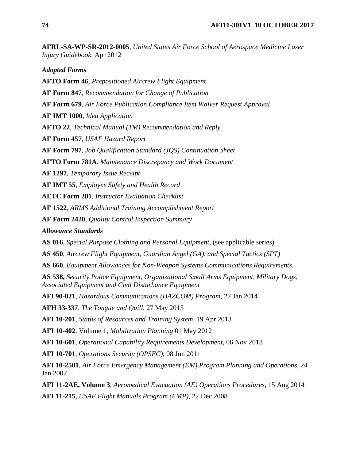**AFRL-SA-WP-SR-2012-0005**, *United States Air Force School of Aerospace Medicine Laser Injury Guidebook*, Apr 2012

*Adopted Forms*

**AFTO Form 46**, *Prepositioned Aircrew Flight Equipment*

**AF Form 847**, *Recommendation for Change of Publication*

**AF Form 679**, *Air Force Publication Compliance Item Waiver Request Approval*

**AF IMT 1000**, *Idea Application*

**AFTO 22**, *Technical Manual (TM) Recommendation and Reply*

**AF Form 457**, *USAF Hazard Report*

**AF Form 797***, Job Qualification Standard (JQS) Continuation Sheet*

**AFTO Form 781A**, *Maintenance Discrepancy and Work Document*

**AF 1297**, *Temporary Issue Receipt*

**AF IMT 55**, *Employee Safety and Health Record*

**AETC Form 281**, *Instructor Evaluation Checklist*

**AF 1522**, *ARMS Additional Training Accomplishment Report*

**AF Form 2420**, *Quality Control Inspection Summary*

*Allowance Standards* 

**AS 016**, *Special Purpose Clothing and Personal Equipment*, (see applicable series)

**AS 450**, *Aircrew Flight Equipment, Guardian Angel (GA), and Special Tactics (SPT)*

**AS 660**, *Equipment Allowances for Non-Weapon Systems Communications Requirements*

**AS 538,** *Security Police Equipment, Organizational Small Arms Equipment, Military Dogs, Associated Equipment and Civil Disturbance Equipment* 

**AFI 90-821**, *Hazardous Communications (HAZCOM) Program*, 27 Jan 2014

**AFH 33-337**, *The Tongue and Quill*, 27 May 2015

**AFI 10-201**, *Status of Resources and Training System*, 19 Apr 2013

**AFI 10-402**, Volume 1, *Mobilization Planning* 01 May 2012

**AFI 10-601**, *Operational Capability Requirements Development*, 06 Nov 2013

**AFI 10-701**, *Operations Security (OPSEC)*, 08 Jun 2011

**AFI 10-2501**, *Air Force Emergency Management (EM) Program Planning and Operations*, 24 Jan 2007

**AFI 11-2AE, Volume 3**, *Aeromedical Evacuation (AE) Operations Procedures*, 15 Aug 2014 **AFI 11-215**, *USAF Flight Manuals Program (FMP)*, 22 Dec 2008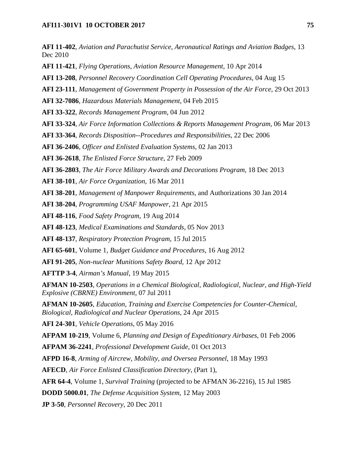**AFI 11-402**, *Aviation and Parachutist Service, Aeronautical Ratings and Aviation Badges*, 13 Dec 2010

**AFI 11-421**, *Flying Operations, Aviation Resource Management,* 10 Apr 2014

**AFI 13-208**, *Personnel Recovery Coordination Cell Operating Procedures*, 04 Aug 15

**AFI 23-111**, *Management of Government Property in Possession of the Air Force*, 29 Oct 2013

**AFI 32-7086**, *Hazardous Materials Management*, 04 Feb 2015

**AFI 33-322**, *Records Management Program*, 04 Jun 2012

**AFI 33-324**, *Air Force Information Collections & Reports Management Program,* 06 Mar 2013

**AFI 33-364**, *Records Disposition--Procedures and Responsibilities*, 22 Dec 2006

**AFI 36-2406**, *Officer and Enlisted Evaluation Systems*, 02 Jan 2013

**AFI 36-2618**, *The Enlisted Force Structure*, 27 Feb 2009

**AFI 36-2803**, *The Air Force Military Awards and Decorations Program*, 18 Dec 2013

**AFI 38-101**, *Air Force Organization*, 16 Mar 2011

**AFI 38-201**, *Management of Manpower Requirements*, and Authorizations 30 Jan 2014

**AFI 38-204**, *Programming USAF Manpower*, 21 Apr 2015

**AFI 48-116**, *Food Safety Program*, 19 Aug 2014

**AFI 48-123**, *Medical Examinations and Standards*, 05 Nov 2013

**AFI 48-137**, *Respiratory Protection Program*, 15 Jul 2015

**AFI 65-601**, Volume 1, *Budget Guidance and Procedures*, 16 Aug 2012

**AFI 91-205**, *Non-nuclear Munitions Safety Board*, 12 Apr 2012

**AFTTP 3-4**, *Airman's Manual*, 19 May 2015

**AFMAN 10-2503**, *Operations in a Chemical Biological, Radiological, Nuclear, and High-Yield Explosive (CBRNE) Environment,* 07 Jul 2011

**AFMAN 10-2605**, *Education, Training and Exercise Competencies for Counter-Chemical, Biological, Radiological and Nuclear Operations*, 24 Apr 2015

**AFI 24-301**, *Vehicle Operations*, 05 May 2016

**AFPAM 10-219**, Volume 6, *Planning and Design of Expeditionary Airbases*, 01 Feb 2006

**AFPAM 36-2241**, *Professional Development Guide*, 01 Oct 2013

**AFPD 16-8**, *Arming of Aircrew, Mobility, and Oversea Personnel*, 18 May 1993

**AFECD**, *Air Force Enlisted Classification Directory*, (Part 1),

**AFR 64-4**, Volume 1, *Survival Training* (projected to be AFMAN 36-2216), 15 Jul 1985

**DODD 5000.01**, *The Defense Acquisition System*, 12 May 2003

**JP 3-50**, *Personnel Recovery*, 20 Dec 2011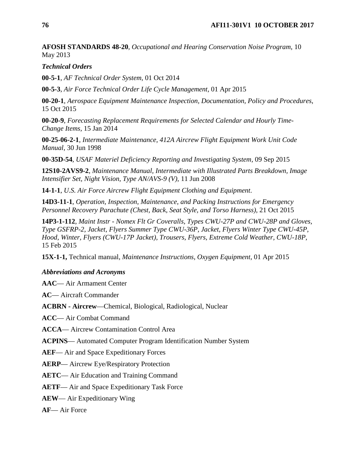**AFOSH STANDARDS 48-20**, *Occupational and Hearing Conservation Noise Program*, 10 May 2013

### *Technical Orders*

**00-5-1**, *AF Technical Order System,* 01 Oct 2014

**00-5-3**, *Air Force Technical Order Life Cycle Management,* 01 Apr 2015

**00-20-1**, *Aerospace Equipment Maintenance Inspection, Documentation, Policy and Procedures*, 15 Oct 2015

**00-20-9**, *Forecasting Replacement Requirements for Selected Calendar and Hourly Time-Change Items,* 15 Jan 2014

**00-25-06-2-1**, *Intermediate Maintenance, 412A Aircrew Flight Equipment Work Unit Code Manual*, 30 Jun 1998

**00-35D-54**, *USAF Materiel Deficiency Reporting and Investigating System,* 09 Sep 2015

**12S10-2AVS9-2**, *Maintenance Manual, Intermediate with Illustrated Parts Breakdown, Image Intensifier Set, Night Vision, Type AN/AVS-9 (V),* 11 Jun 2008

**14-1-1**, *U.S. Air Force Aircrew Flight Equipment Clothing and Equipment*.

**14D3-11-1**, *Operation, Inspection, Maintenance, and Packing Instructions for Emergency Personnel Recovery Parachute (Chest, Back, Seat Style, and Torso Harness),* 21 Oct 2015

**14P3-1-112**, *Maint Instr - Nomex Flt Gr Coveralls, Types CWU-27P and CWU-28P and Gloves, Type GSFRP-2, Jacket, Flyers Summer Type CWU-36P, Jacket, Flyers Winter Type CWU-45P, Hood, Winter, Flyers (CWU-17P Jacket), Trousers, Flyers, Extreme Cold Weather, CWU-18P*, 15 Feb 2015

**15X-1-1,** Technical manual, *Maintenance Instructions, Oxygen Equipment*, 01 Apr 2015

#### *Abbreviations and Acronyms*

**AAC**— Air Armament Center

**AC**— Aircraft Commander

**ACBRN - Aircrew**—Chemical, Biological, Radiological, Nuclear

**ACC**— Air Combat Command

**ACCA**— Aircrew Contamination Control Area

**ACPINS**— Automated Computer Program Identification Number System

**AEF**— Air and Space Expeditionary Forces

**AERP**— Aircrew Eye/Respiratory Protection

**AETC**— Air Education and Training Command

**AETF**— Air and Space Expeditionary Task Force

**AEW**— Air Expeditionary Wing

**AF**— Air Force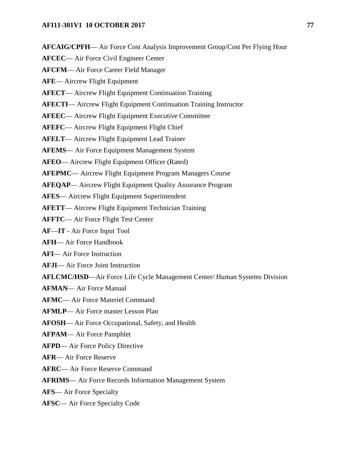**AFCAIG/CPFH**— Air Force Cost Analysis Improvement Group/Cost Per Flying Hour

**AFCEC**— Air Force Civil Engineer Center

**AFCFM**— Air Force Career Field Manager

**AFE**— Aircrew Flight Equipment

**AFECT**— Aircrew Flight Equipment Continuation Training

**AFECTI**— Aircrew Flight Equipment Continuation Training Instructor

**AFEEC**— Aircrew Flight Equipment Executive Committee

**AFEFC**— Aircrew Flight Equipment Flight Chief

**AFELT**— Aircrew Flight Equipment Lead Trainer

**AFEMS**— Air Force Equipment Management System

**AFEO**— Aircrew Flight Equipment Officer (Rated)

**AFEPMC**— Aircrew Flight Equipment Program Managers Course

**AFEQAP**— Aircrew Flight Equipment Quality Assurance Program

**AFES**— Aircrew Flight Equipment Superintendent

**AFETT**— Aircrew Flight Equipment Technician Training

**AFFTC**— Air Force Flight Test Center

**AF**—**IT** - Air Force Input Tool

**AFH**— Air Force Handbook

**AFI**— Air Force Instruction

**AFJI**— Air Force Joint Instruction

**AFLCMC/HSD**—Air Force Life Cycle Management Center/ Human Systems Division

**AFMAN**— Air Force Manual

**AFMC**— Air Force Materiel Command

**AFMLP**— Air Force master Lesson Plan

**AFOSH**— Air Force Occupational, Safety, and Health

**AFPAM**— Air Force Pamphlet

**AFPD**— Air Force Policy Directive

**AFR**— Air Force Reserve

**AFRC**— Air Force Reserve Command

**AFRIMS**— Air Force Records Information Management System

**AFS**— Air Force Specialty

**AFSC**— Air Force Specialty Code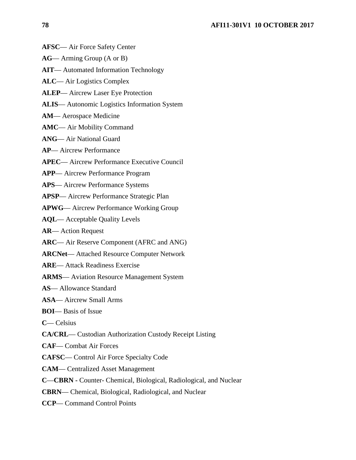- **AFSC** Air Force Safety Center
- **AG** Arming Group (A or B)
- **AIT** Automated Information Technology
- **ALC** Air Logistics Complex
- **ALEP** Aircrew Laser Eye Protection
- **ALIS** Autonomic Logistics Information System
- **AM** Aerospace Medicine
- **AMC** Air Mobility Command
- **ANG** Air National Guard
- **AP** Aircrew Performance
- **APEC** Aircrew Performance Executive Council
- **APP** Aircrew Performance Program
- **APS** Aircrew Performance Systems
- **APSP** Aircrew Performance Strategic Plan
- **APWG** Aircrew Performance Working Group
- **AQL** Acceptable Quality Levels
- **AR** Action Request
- **ARC** Air Reserve Component (AFRC and ANG)
- **ARCNet** Attached Resource Computer Network
- **ARE** Attack Readiness Exercise
- **ARMS** Aviation Resource Management System
- **AS** Allowance Standard
- **ASA** Aircrew Small Arms
- **BOI** Basis of Issue
- **C** Celsius
- **CA/CRL** Custodian Authorization Custody Receipt Listing
- **CAF** Combat Air Forces
- **CAFSC** Control Air Force Specialty Code
- **CAM** Centralized Asset Management
- **C**—**CBRN -** Counter- Chemical, Biological, Radiological, and Nuclear
- **CBRN** Chemical, Biological, Radiological, and Nuclear
- **CCP** Command Control Points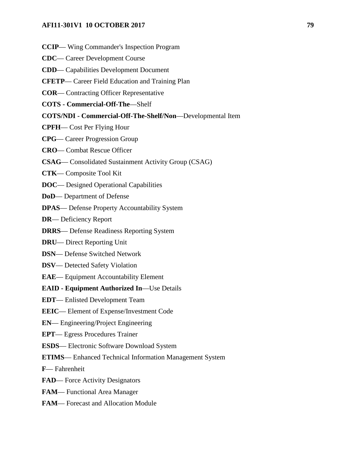- **CCIP** Wing Commander's Inspection Program
- **CDC** Career Development Course
- **CDD** Capabilities Development Document
- **CFETP** Career Field Education and Training Plan
- **COR** Contracting Officer Representative
- **COTS - Commercial-Off-The**—Shelf
- **COTS/NDI - Commercial-Off-The-Shelf/Non**—Developmental Item
- **CPFH** Cost Per Flying Hour
- **CPG** Career Progression Group
- **CRO** Combat Rescue Officer
- **CSAG** Consolidated Sustainment Activity Group (CSAG)
- **CTK** Composite Tool Kit
- **DOC** Designed Operational Capabilities
- **DoD** Department of Defense
- **DPAS** Defense Property Accountability System
- **DR** Deficiency Report
- **DRRS** Defense Readiness Reporting System
- **DRU** Direct Reporting Unit
- **DSN** Defense Switched Network
- **DSV** Detected Safety Violation
- **EAE** Equipment Accountability Element
- **EAID - Equipment Authorized In**—Use Details
- **EDT** Enlisted Development Team
- **EEIC** Element of Expense/Investment Code
- **EN** Engineering/Project Engineering
- **EPT** Egress Procedures Trainer
- **ESDS** Electronic Software Download System
- **ETIMS** Enhanced Technical Information Management System
- **F** Fahrenheit
- **FAD** Force Activity Designators
- **FAM** Functional Area Manager
- **FAM** Forecast and Allocation Module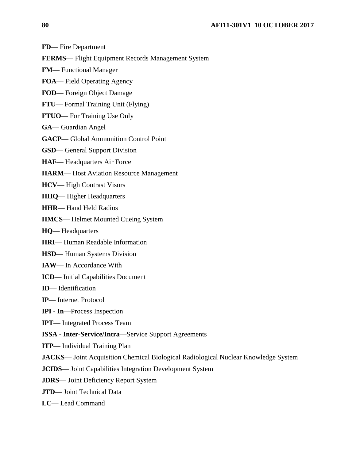- **FD** Fire Department
- **FERMS** Flight Equipment Records Management System
- **FM** Functional Manager
- **FOA** Field Operating Agency
- **FOD** Foreign Object Damage
- **FTU** Formal Training Unit (Flying)
- **FTUO** For Training Use Only
- **GA** Guardian Angel
- **GACP** Global Ammunition Control Point
- **GSD** General Support Division
- **HAF** Headquarters Air Force
- **HARM** Host Aviation Resource Management
- **HCV** High Contrast Visors
- **HHQ** Higher Headquarters
- **HHR** Hand Held Radios
- **HMCS** Helmet Mounted Cueing System
- **HQ** Headquarters
- **HRI** Human Readable Information
- **HSD** Human Systems Division
- **IAW** In Accordance With
- **ICD** Initial Capabilities Document
- **ID** Identification
- **IP** Internet Protocol
- **IPI - In**—Process Inspection
- **IPT** Integrated Process Team
- **ISSA - Inter-Service/Intra**—Service Support Agreements
- **ITP** Individual Training Plan
- **JACKS** Joint Acquisition Chemical Biological Radiological Nuclear Knowledge System
- **JCIDS** Joint Capabilities Integration Development System
- **JDRS** Joint Deficiency Report System
- **JTD** Joint Technical Data
- **LC** Lead Command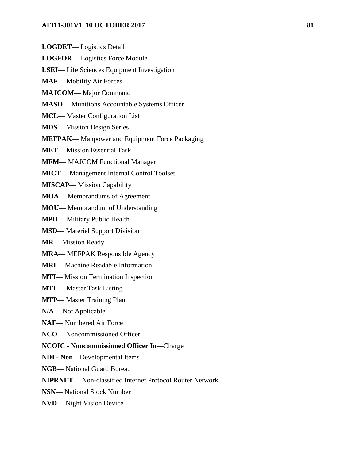- **LOGDET** Logistics Detail
- **LOGFOR** Logistics Force Module
- **LSEI** Life Sciences Equipment Investigation
- **MAF** Mobility Air Forces
- **MAJCOM** Major Command
- **MASO** Munitions Accountable Systems Officer
- **MCL** Master Configuration List
- **MDS** Mission Design Series
- **MEFPAK** Manpower and Equipment Force Packaging

**MET**— Mission Essential Task

- **MFM** MAJCOM Functional Manager
- **MICT** Management Internal Control Toolset
- **MISCAP** Mission Capability
- **MOA** Memorandums of Agreement
- **MOU** Memorandum of Understanding

**MPH**— Military Public Health

- **MSD** Materiel Support Division
- **MR** Mission Ready
- **MRA** MEFPAK Responsible Agency
- **MRI** Machine Readable Information
- **MTI** Mission Termination Inspection
- **MTL** Master Task Listing
- **MTP** Master Training Plan
- **N/A** Not Applicable
- **NAF** Numbered Air Force
- **NCO** Noncommissioned Officer
- **NCOIC - Noncommissioned Officer In**—Charge
- **NDI - Non**—Developmental Items
- **NGB** National Guard Bureau
- **NIPRNET** Non-classified Internet Protocol Router Network
- **NSN** National Stock Number
- **NVD** Night Vision Device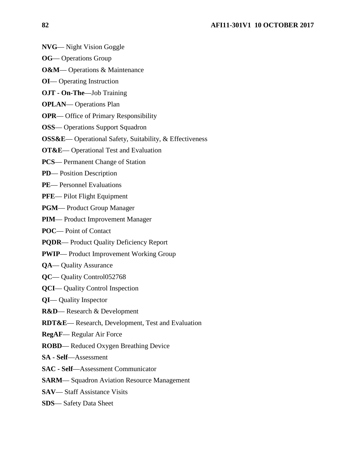- **NVG** Night Vision Goggle
- **OG** Operations Group
- **O&M** Operations & Maintenance
- **OI** Operating Instruction
- **OJT - On-The**—Job Training
- **OPLAN** Operations Plan
- **OPR** Office of Primary Responsibility
- **OSS** Operations Support Squadron
- **OSS&E** Operational Safety, Suitability, & Effectiveness
- **OT&E** Operational Test and Evaluation
- **PCS** Permanent Change of Station
- **PD** Position Description
- PE— Personnel Evaluations
- **PFE** Pilot Flight Equipment
- **PGM** Product Group Manager
- **PIM** Product Improvement Manager
- **POC** Point of Contact
- **PQDR** Product Quality Deficiency Report
- **PWIP** Product Improvement Working Group
- **QA** Quality Assurance
- **QC** Quality Control052768
- **QCI** Quality Control Inspection
- **QI** Quality Inspector
- **R&D** Research & Development
- **RDT&E** Research, Development, Test and Evaluation
- **RegAF** Regular Air Force
- **ROBD** Reduced Oxygen Breathing Device
- **SA - Self**—Assessment
- **SAC - Self**—Assessment Communicator
- **SARM** Squadron Aviation Resource Management
- **SAV** Staff Assistance Visits
- **SDS** Safety Data Sheet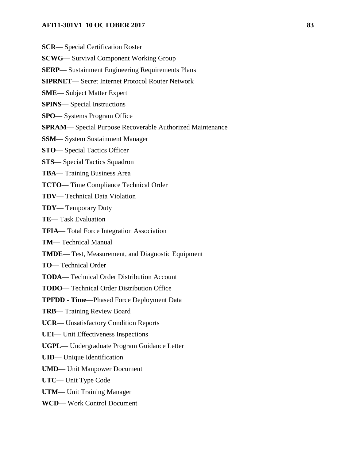- **SCR** Special Certification Roster
- **SCWG** Survival Component Working Group
- **SERP** Sustainment Engineering Requirements Plans
- **SIPRNET** Secret Internet Protocol Router Network
- **SME** Subject Matter Expert
- **SPINS** Special Instructions
- **SPO** Systems Program Office
- **SPRAM** Special Purpose Recoverable Authorized Maintenance
- **SSM** System Sustainment Manager
- **STO** Special Tactics Officer
- **STS** Special Tactics Squadron
- **TBA** Training Business Area
- **TCTO** Time Compliance Technical Order
- **TDV** Technical Data Violation
- **TDY** Temporary Duty
- **TE** Task Evaluation
- **TFIA** Total Force Integration Association
- **TM** Technical Manual
- **TMDE** Test, Measurement, and Diagnostic Equipment
- **TO** Technical Order
- **TODA** Technical Order Distribution Account
- **TODO** Technical Order Distribution Office
- **TPFDD - Time**—Phased Force Deployment Data
- **TRB** Training Review Board
- **UCR** Unsatisfactory Condition Reports
- **UEI** Unit Effectiveness Inspections
- **UGPL** Undergraduate Program Guidance Letter
- **UID** Unique Identification
- **UMD** Unit Manpower Document
- **UTC** Unit Type Code
- **UTM** Unit Training Manager
- **WCD** Work Control Document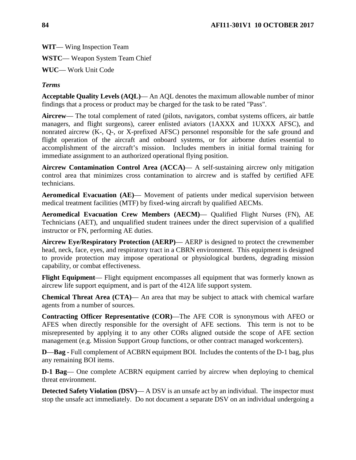**WIT**— Wing Inspection Team

**WSTC**— Weapon System Team Chief

**WUC**— Work Unit Code

# *Terms*

**Acceptable Quality Levels (AQL)**— An AQL denotes the maximum allowable number of minor findings that a process or product may be charged for the task to be rated "Pass".

**Aircrew**— The total complement of rated (pilots, navigators, combat systems officers, air battle managers, and flight surgeons), career enlisted aviators (1AXXX and 1UXXX AFSC), and nonrated aircrew (K-, Q-, or X-prefixed AFSC) personnel responsible for the safe ground and flight operation of the aircraft and onboard systems, or for airborne duties essential to accomplishment of the aircraft's mission. Includes members in initial formal training for immediate assignment to an authorized operational flying position.

**Aircrew Contamination Control Area (ACCA)**— A self-sustaining aircrew only mitigation control area that minimizes cross contamination to aircrew and is staffed by certified AFE technicians.

**Aeromedical Evacuation (AE)**— Movement of patients under medical supervision between medical treatment facilities (MTF) by fixed-wing aircraft by qualified AECMs.

**Aeromedical Evacuation Crew Members (AECM)**— Qualified Flight Nurses (FN), AE Technicians (AET), and unqualified student trainees under the direct supervision of a qualified instructor or FN, performing AE duties.

**Aircrew Eye/Respiratory Protection (AERP)**— AERP is designed to protect the crewmember head, neck, face, eyes, and respiratory tract in a CBRN environment. This equipment is designed to provide protection may impose operational or physiological burdens, degrading mission capability, or combat effectiveness.

**Flight Equipment**— Flight equipment encompasses all equipment that was formerly known as aircrew life support equipment, and is part of the 412A life support system.

**Chemical Threat Area (CTA)**— An area that may be subject to attack with chemical warfare agents from a number of sources.

**Contracting Officer Representative (COR)**—The AFE COR is synonymous with AFEO or AFES when directly responsible for the oversight of AFE sections. This term is not to be misrepresented by applying it to any other CORs aligned outside the scope of AFE section management (e.g. Mission Support Group functions, or other contract managed workcenters).

**D—Bag** - Full complement of ACBRN equipment BOI. Includes the contents of the D-1 bag, plus any remaining BOI items.

**D-1 Bag**— One complete ACBRN equipment carried by aircrew when deploying to chemical threat environment.

**Detected Safety Violation (DSV)— A DSV** is an unsafe act by an individual. The inspector must stop the unsafe act immediately. Do not document a separate DSV on an individual undergoing a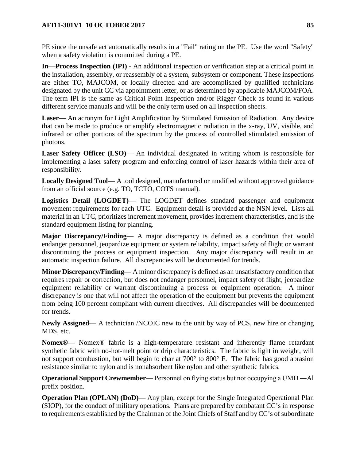PE since the unsafe act automatically results in a "Fail" rating on the PE. Use the word "Safety" when a safety violation is committed during a PE.

**In**—**Process Inspection (IPI) -** An additional inspection or verification step at a critical point in the installation, assembly, or reassembly of a system, subsystem or component. These inspections are either TO, MAJCOM, or locally directed and are accomplished by qualified technicians designated by the unit CC via appointment letter, or as determined by applicable MAJCOM/FOA. The term IPI is the same as Critical Point Inspection and/or Rigger Check as found in various different service manuals and will be the only term used on all inspection sheets.

**Laser**— An acronym for Light Amplification by Stimulated Emission of Radiation. Any device that can be made to produce or amplify electromagnetic radiation in the x-ray, UV, visible, and infrared or other portions of the spectrum by the process of controlled stimulated emission of photons.

**Laser Safety Officer (LSO)**— An individual designated in writing whom is responsible for implementing a laser safety program and enforcing control of laser hazards within their area of responsibility.

**Locally Designed Tool**— A tool designed, manufactured or modified without approved guidance from an official source (e.g. TO, TCTO, COTS manual).

**Logistics Detail (LOGDET)**— The LOGDET defines standard passenger and equipment movement requirements for each UTC. Equipment detail is provided at the NSN level. Lists all material in an UTC, prioritizes increment movement, provides increment characteristics, and is the standard equipment listing for planning.

**Major Discrepancy/Finding**— A major discrepancy is defined as a condition that would endanger personnel, jeopardize equipment or system reliability, impact safety of flight or warrant discontinuing the process or equipment inspection. Any major discrepancy will result in an automatic inspection failure. All discrepancies will be documented for trends.

**Minor Discrepancy/Finding**— A minor discrepancy is defined as an unsatisfactory condition that requires repair or correction, but does not endanger personnel, impact safety of flight, jeopardize equipment reliability or warrant discontinuing a process or equipment operation. A minor discrepancy is one that will not affect the operation of the equipment but prevents the equipment from being 100 percent compliant with current directives. All discrepancies will be documented for trends.

**Newly Assigned**— A technician /NCOIC new to the unit by way of PCS, new hire or changing MDS, etc.

**Nomex®**— Nomex® fabric is a high-temperature resistant and inherently flame retardant synthetic fabric with no-hot-melt point or drip characteristics. The fabric is light in weight, will not support combustion, but will begin to char at 700° to 800° F. The fabric has good abrasion resistance similar to nylon and is nonabsorbent like nylon and other synthetic fabrics.

**Operational Support Crewmember—** Personnel on flying status but not occupying a UMD —A prefix position.

**Operation Plan (OPLAN) (DoD)— Any plan, except for the Single Integrated Operational Plan** (SIOP), for the conduct of military operations. Plans are prepared by combatant CC's in response to requirements established by the Chairman of the Joint Chiefs of Staff and by CC's of subordinate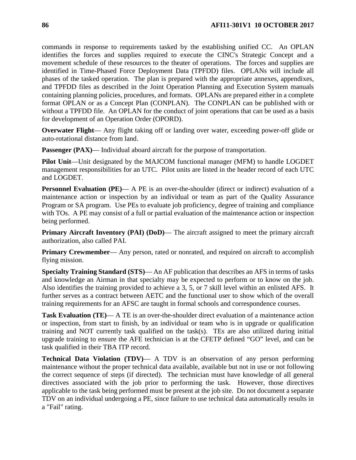commands in response to requirements tasked by the establishing unified CC. An OPLAN identifies the forces and supplies required to execute the CINC's Strategic Concept and a movement schedule of these resources to the theater of operations. The forces and supplies are identified in Time-Phased Force Deployment Data (TPFDD) files. OPLANs will include all phases of the tasked operation. The plan is prepared with the appropriate annexes, appendixes, and TPFDD files as described in the Joint Operation Planning and Execution System manuals containing planning policies, procedures, and formats. OPLANs are prepared either in a complete format OPLAN or as a Concept Plan (CONPLAN). The CONPLAN can be published with or without a TPFDD file. An OPLAN for the conduct of joint operations that can be used as a basis for development of an Operation Order (OPORD).

**Overwater Flight**— Any flight taking off or landing over water, exceeding power-off glide or auto-rotational distance from land.

**Passenger (PAX)—** Individual aboard aircraft for the purpose of transportation.

**Pilot Unit**—Unit designated by the MAJCOM functional manager (MFM) to handle LOGDET management responsibilities for an UTC. Pilot units are listed in the header record of each UTC and LOGDET.

**Personnel Evaluation (PE)— A PE is an over-the-shoulder (direct or indirect) evaluation of a** maintenance action or inspection by an individual or team as part of the Quality Assurance Program or SA program. Use PEs to evaluate job proficiency, degree of training and compliance with TOs. A PE may consist of a full or partial evaluation of the maintenance action or inspection being performed.

**Primary Aircraft Inventory (PAI) (DoD)— The aircraft assigned to meet the primary aircraft** authorization, also called PAI.

**Primary Crewmember—** Any person, rated or nonrated, and required on aircraft to accomplish flying mission.

**Specialty Training Standard (STS)**— An AF publication that describes an AFS in terms of tasks and knowledge an Airman in that specialty may be expected to perform or to know on the job. Also identifies the training provided to achieve a 3, 5, or 7 skill level within an enlisted AFS. It further serves as a contract between AETC and the functional user to show which of the overall training requirements for an AFSC are taught in formal schools and correspondence courses.

**Task Evaluation (TE)**— A TE is an over-the-shoulder direct evaluation of a maintenance action or inspection, from start to finish, by an individual or team who is in upgrade or qualification training and NOT currently task qualified on the task(s). TEs are also utilized during initial upgrade training to ensure the AFE technician is at the CFETP defined "GO" level, and can be task qualified in their TBA ITP record.

**Technical Data Violation (TDV)— A TDV** is an observation of any person performing maintenance without the proper technical data available, available but not in use or not following the correct sequence of steps (if directed). The technician must have knowledge of all general directives associated with the job prior to performing the task. However, those directives applicable to the task being performed must be present at the job site. Do not document a separate TDV on an individual undergoing a PE, since failure to use technical data automatically results in a "Fail" rating.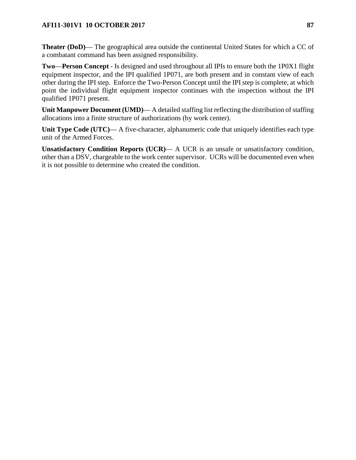**Theater (DoD)**— The geographical area outside the continental United States for which a CC of a combatant command has been assigned responsibility.

**Two**—**Person Concept** - Is designed and used throughout all IPIs to ensure both the 1P0X1 flight equipment inspector, and the IPI qualified 1P071, are both present and in constant view of each other during the IPI step. Enforce the Two-Person Concept until the IPI step is complete, at which point the individual flight equipment inspector continues with the inspection without the IPI qualified 1P071 present.

**Unit Manpower Document (UMD)**— A detailed staffing list reflecting the distribution of staffing allocations into a finite structure of authorizations (by work center).

Unit Type Code (UTC)— A five-character, alphanumeric code that uniquely identifies each type unit of the Armed Forces.

**Unsatisfactory Condition Reports (UCR)**— A UCR is an unsafe or unsatisfactory condition, other than a DSV, chargeable to the work center supervisor. UCRs will be documented even when it is not possible to determine who created the condition.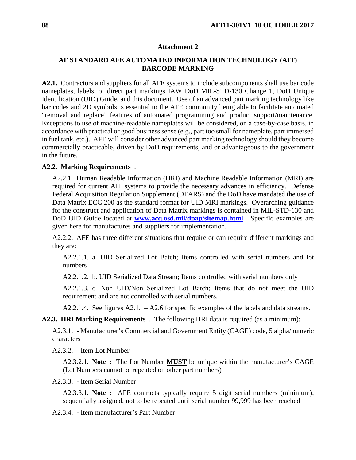#### **Attachment 2**

# **AF STANDARD AFE AUTOMATED INFORMATION TECHNOLOGY (AIT) BARCODE MARKING**

**A2.1.** Contractors and suppliers for all AFE systems to include subcomponents shall use bar code nameplates, labels, or direct part markings IAW DoD MIL-STD-130 Change 1, DoD Unique Identification (UID) Guide, and this document. Use of an advanced part marking technology like bar codes and 2D symbols is essential to the AFE community being able to facilitate automated "removal and replace" features of automated programming and product support/maintenance. Exceptions to use of machine-readable nameplates will be considered, on a case-by-case basis, in accordance with practical or good business sense (e.g., part too small for nameplate, part immersed in fuel tank, etc.). AFE will consider other advanced part marking technology should they become commercially practicable, driven by DoD requirements, and or advantageous to the government in the future.

#### **A2.2. Marking Requirements** .

A2.2.1. Human Readable Information (HRI) and Machine Readable Information (MRI) are required for current AIT systems to provide the necessary advances in efficiency. Defense Federal Acquisition Regulation Supplement (DFARS) and the DoD have mandated the use of Data Matrix ECC 200 as the standard format for UID MRI markings. Overarching guidance for the construct and application of Data Matrix markings is contained in MIL-STD-130 and DoD UID Guide located at **www.acq.osd.mil/dpap/sitemap.html**. Specific examples are given here for manufactures and suppliers for implementation.

A2.2.2. AFE has three different situations that require or can require different markings and they are:

A2.2.1.1. a. UID Serialized Lot Batch; Items controlled with serial numbers and lot numbers

A2.2.1.2. b. UID Serialized Data Stream; Items controlled with serial numbers only

A2.2.1.3. c. Non UID/Non Serialized Lot Batch; Items that do not meet the UID requirement and are not controlled with serial numbers.

A2.2.1.4. See figures A2.1. – A2.6 for specific examples of the labels and data streams.

**A2.3. HRI Marking Requirements** . The following HRI data is required (as a minimum):

A2.3.1. - Manufacturer's Commercial and Government Entity (CAGE) code, 5 alpha/numeric characters

A2.3.2. - Item Lot Number

A2.3.2.1. **Note** : The Lot Number **MUST** be unique within the manufacturer's CAGE (Lot Numbers cannot be repeated on other part numbers)

A2.3.3. - Item Serial Number

A2.3.3.1. **Note** : AFE contracts typically require 5 digit serial numbers (minimum), sequentially assigned, not to be repeated until serial number 99,999 has been reached

A2.3.4. - Item manufacturer's Part Number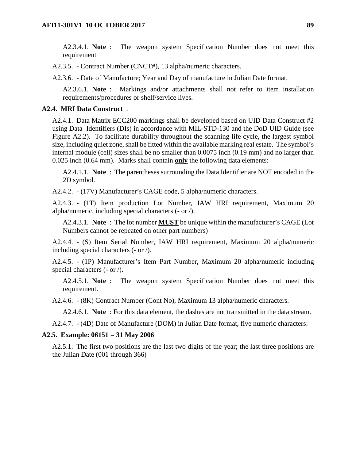A2.3.4.1. **Note** : The weapon system Specification Number does not meet this requirement

A2.3.5. - Contract Number (CNCT#), 13 alpha/numeric characters.

A2.3.6. - Date of Manufacture; Year and Day of manufacture in Julian Date format.

A2.3.6.1. **Note** : Markings and/or attachments shall not refer to item installation requirements/procedures or shelf/service lives.

## **A2.4. MRI Data Construct** .

A2.4.1. Data Matrix ECC200 markings shall be developed based on UID Data Construct #2 using Data Identifiers (DIs) in accordance with MIL-STD-130 and the DoD UID Guide (see Figure A2.2). To facilitate durability throughout the scanning life cycle, the largest symbol size, including quiet zone, shall be fitted within the available marking real estate. The symbol's internal module (cell) sizes shall be no smaller than 0.0075 inch (0.19 mm) and no larger than 0.025 inch (0.64 mm). Marks shall contain **only** the following data elements:

A2.4.1.1. **Note** : The parentheses surrounding the Data Identifier are NOT encoded in the 2D symbol.

A2.4.2. - (17V) Manufacturer's CAGE code, 5 alpha/numeric characters.

A2.4.3. - (1T) Item production Lot Number, IAW HRI requirement, Maximum 20 alpha/numeric, including special characters (- or /).

A2.4.3.1. **Note** : The lot number **MUST** be unique within the manufacturer's CAGE (Lot Numbers cannot be repeated on other part numbers)

A2.4.4. - (S) Item Serial Number, IAW HRI requirement, Maximum 20 alpha/numeric including special characters (- or /).

A2.4.5. - (1P) Manufacturer's Item Part Number, Maximum 20 alpha/numeric including special characters (- or /).

A2.4.5.1. **Note** : The weapon system Specification Number does not meet this requirement.

A2.4.6. - (8K) Contract Number (Cont No), Maximum 13 alpha/numeric characters.

A2.4.6.1. **Note** : For this data element, the dashes are not transmitted in the data stream.

A2.4.7. - (4D) Date of Manufacture (DOM) in Julian Date format, five numeric characters:

#### **A2.5. Example: 06151 = 31 May 2006**

A2.5.1. The first two positions are the last two digits of the year; the last three positions are the Julian Date (001 through 366)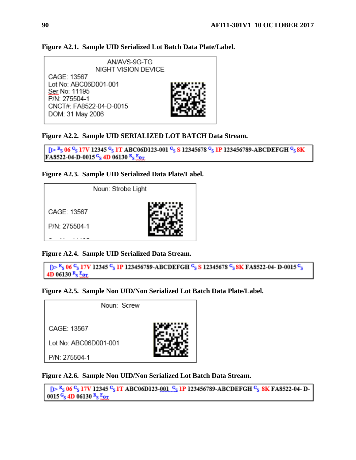

# **Figure A2.1. Sample UID Serialized Lot Batch Data Plate/Label.**



 $p > R_S 06 C_S 17V 12345 C_S 1T ABC06D123-001 C_S S 12345678 C_S 1P 123456789-ABCDEFGH C_S 8K$ FA8522-04-D-0015 $G_S$  4D 06130  $R_S$   $g_{OT}$ 

## **Figure A2.3. Sample UID Serialized Data Plate/Label.**



**Figure A2.4. Sample UID Serialized Data Stream.**

```
D> R<sub>S</sub> 06 G<sub>S</sub> 17V 12345 G<sub>S</sub> 1P 123456789-ABCDEFGH G<sub>S</sub> S 12345678 G<sub>S</sub> 8K FA8522-04- D-0015 G<sub>S</sub>
4D 06130 R_S E_{OT}
```
**Figure A2.5. Sample Non UID/Non Serialized Lot Batch Data Plate/Label.**



**Figure A2.6. Sample Non UID/Non Serialized Lot Batch Data Stream.**

```
D > R_S 06 C_S 17V 12345 C_S 1T ABC06D123-001 C_S 1P 123456789-ABCDEFGH C_S 8K FA8522-04-D-
0015\frac{C_s}{s} 4D 06130 \frac{R_s}{s} \frac{E_{OT}}{s}
```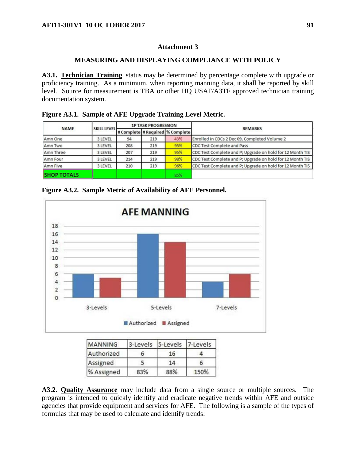# **Attachment 3**

## **MEASURING AND DISPLAYING COMPLIANCE WITH POLICY**

**A3.1. Technician Training** status may be determined by percentage complete with upgrade or proficiency training. As a minimum, when reporting manning data, it shall be reported by skill level. Source for measurement is TBA or other HQ USAF/A3TF approved technician training documentation system.

**Figure A3.1. Sample of AFE Upgrade Training Level Metric.**

| <b>NAME</b>        | <b>SKILL LEVEL</b> | <b>1P TASK PROGRESSION</b> |     |                                  | <b>REMARKS</b>                                            |  |
|--------------------|--------------------|----------------------------|-----|----------------------------------|-----------------------------------------------------------|--|
|                    |                    |                            |     | # Complete # Required % Complete |                                                           |  |
| Amn One            | 3 LEVEL            | 94                         | 219 | 43%                              | Enrolled in CDCs 2 Dec 09, Completed Volume 2             |  |
| Amn Two            | 3 LEVEL            | 208                        | 219 | 95%                              | CDC Test Complete and Pass                                |  |
| Amn Three          | 3 LEVEL            | 207                        | 219 | 95%                              | CDC Test Complete and P; Upgrade on hold for 12 Month TIS |  |
| Amn Four           | 3 LEVEL            | 214                        | 219 | 98%                              | CDC Test Complete and P; Upgrade on hold for 12 Month TIS |  |
| Amn Five           | 3 LEVEL            | 210                        | 219 | 96%                              | CDC Test Complete and P; Upgrade on hold for 12 Month TIS |  |
| <b>SHOP TOTALS</b> |                    |                            |     | 85%                              |                                                           |  |

**Figure A3.2. Sample Metric of Availability of AFE Personnel.**



| <b>MANNING</b> | 3-Levels | 5-Levels | 7-Levels |  |
|----------------|----------|----------|----------|--|
| Authorized     |          | 16       |          |  |
| Assigned       |          | 14       |          |  |
| % Assigned     | 83%      | 88%      | 150%     |  |

**A3.2. Quality Assurance** may include data from a single source or multiple sources. The program is intended to quickly identify and eradicate negative trends within AFE and outside agencies that provide equipment and services for AFE. The following is a sample of the types of formulas that may be used to calculate and identify trends: